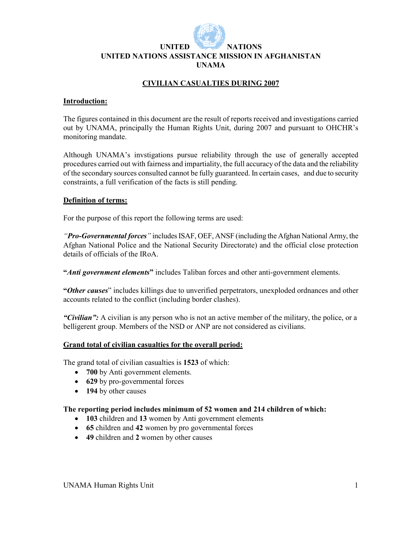

#### **UNITED NATIONS UNITED NATIONS ASSISTANCE MISSION IN AFGHANISTAN UNAMA**

# **CIVILIAN CASUALTIES DURING 2007**

#### **Introduction:**

The figures contained in this document are the result of reports received and investigations carried out by UNAMA, principally the Human Rights Unit, during 2007 and pursuant to OHCHR's monitoring mandate.

Although UNAMA's invstigations pursue reliability through the use of generally accepted procedures carried out with fairness and impartiality, the full accuracy of the data and the reliability of the secondary sources consulted cannot be fully guaranteed. In certain cases, and due to security constraints, a full verification of the facts is still pending.

#### **Definition of terms:**

For the purpose of this report the following terms are used:

*"Pro-Governmental forces"* includes ISAF, OEF, ANSF (including the Afghan National Army, the Afghan National Police and the National Security Directorate) and the official close protection details of officials of the IRoA.

**"***Anti government elements***"** includes Taliban forces and other anti-government elements.

**"***Other causes*" includes killings due to unverified perpetrators, unexploded ordnances and other accounts related to the conflict (including border clashes).

*"Civilian":* A civilian is any person who is not an active member of the military, the police, or a belligerent group. Members of the NSD or ANP are not considered as civilians.

#### **Grand total of civilian casualties for the overall period:**

The grand total of civilian casualties is **1523** of which:

- **700** by Anti government elements.
- **629** by pro-governmental forces
- **194** by other causes

#### **The reporting period includes minimum of 52 women and 214 children of which:**

- **103** children and **13** women by Anti government elements
- **65** children and **42** women by pro governmental forces
- **49** children and **2** women by other causes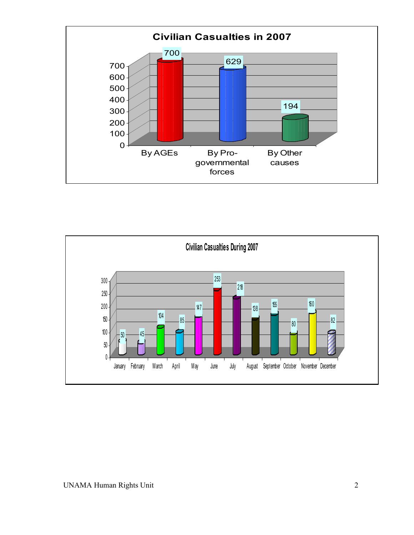

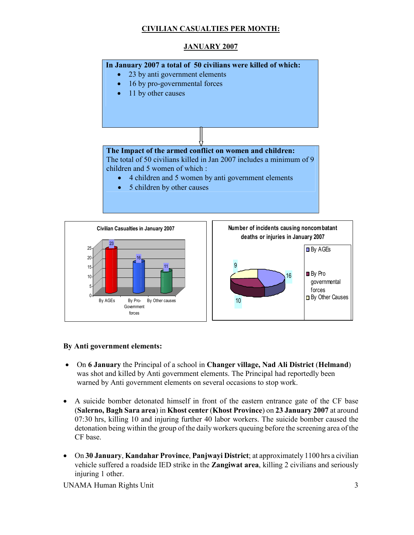# **CIVILIAN CASUALTIES PER MONTH:**

# **JANUARY 2007**





### **By Anti government elements:**

- On **6 January** the Principal of a school in **Changer village, Nad Ali District** (**Helmand**) was shot and killed by Anti government elements. The Principal had reportedly been warned by Anti government elements on several occasions to stop work.
- A suicide bomber detonated himself in front of the eastern entrance gate of the CF base (**Salerno, Bagh Sara area**) in **Khost center** (**Khost Province**) on **23 January 2007** at around 07:30 hrs, killing 10 and injuring further 40 labor workers. The suicide bomber caused the detonation being within the group of the daily workers queuing before the screening area of the CF base.
- On **30 January**, **Kandahar Province**, **Panjwayi District**; at approximately 1100 hrs a civilian vehicle suffered a roadside IED strike in the **Zangiwat area**, killing 2 civilians and seriously injuring 1 other.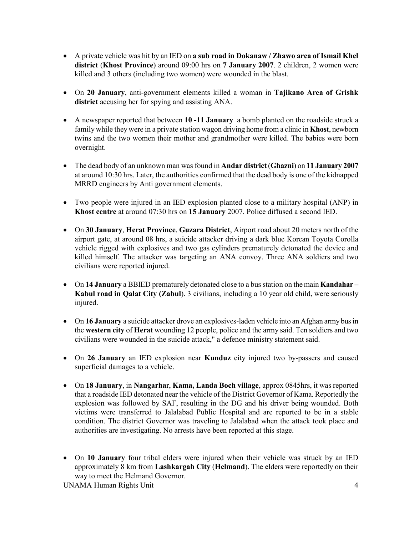- A private vehicle was hit by an IED on **a sub road in Dokanaw / Zhawo area of Ismail Khel district** (**Khost Province**) around 09:00 hrs on **7 January 2007**. 2 children, 2 women were killed and 3 others (including two women) were wounded in the blast.
- On **20 January**, anti-government elements killed a woman in **Tajikano Area of Grishk district** accusing her for spying and assisting ANA.
- A newspaper reported that between **10 -11 January** a bomb planted on the roadside struck a family while they were in a private station wagon driving home from a clinic in **Khost**, newborn twins and the two women their mother and grandmother were killed. The babies were born overnight.
- The dead body of an unknown man was found in **Andar district** (**Ghazni**) on **11 January 2007**  at around 10:30 hrs. Later, the authorities confirmed that the dead body is one of the kidnapped MRRD engineers by Anti government elements.
- Two people were injured in an IED explosion planted close to a military hospital (ANP) in **Khost centre** at around 07:30 hrs on **15 January** 2007. Police diffused a second IED.
- On **30 January**, **Herat Province**, **Guzara District**, Airport road about 20 meters north of the airport gate, at around 08 hrs, a suicide attacker driving a dark blue Korean Toyota Corolla vehicle rigged with explosives and two gas cylinders prematurely detonated the device and killed himself. The attacker was targeting an ANA convoy. Three ANA soldiers and two civilians were reported injured.
- On **14 January** a BBIED prematurely detonated close to a bus station on the main **Kandahar Kabul road in Qalat City (Zabul**). 3 civilians, including a 10 year old child, were seriously injured.
- On **16 January** a suicide attacker drove an explosives-laden vehicle into an Afghan army bus in the **western city** of **Herat** wounding 12 people, police and the army said. Ten soldiers and two civilians were wounded in the suicide attack," a defence ministry statement said.
- On **26 January** an IED explosion near **Kunduz** city injured two by-passers and caused superficial damages to a vehicle.
- On **18 January**, in **Nangarha**r, **Kama, Landa Boch village**, approx 0845hrs, it was reported that a roadside IED detonated near the vehicle of the District Governor of Kama. Reportedly the explosion was followed by SAF, resulting in the DG and his driver being wounded. Both victims were transferred to Jalalabad Public Hospital and are reported to be in a stable condition. The district Governor was traveling to Jalalabad when the attack took place and authorities are investigating. No arrests have been reported at this stage.
- On **10 January** four tribal elders were injured when their vehicle was struck by an IED approximately 8 km from **Lashkargah City** (**Helmand**). The elders were reportedly on their way to meet the Helmand Governor.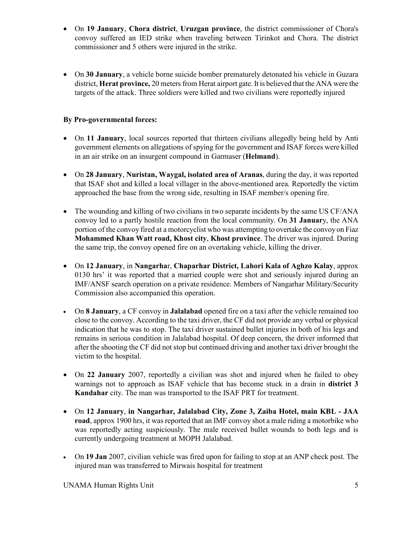- On **19 January**, **Chora district**, **Uruzgan province**, the district commissioner of Chora's convoy suffered an IED strike when traveling between Tirinkot and Chora. The district commissioner and 5 others were injured in the strike.
- On **30 January**, a vehicle borne suicide bomber prematurely detonated his vehicle in Guzara district, **Herat province,** 20 meters from Herat airport gate. It is believed that the ANA were the targets of the attack. Three soldiers were killed and two civilians were reportedly injured

# **By Pro-governmental forces:**

- On **11 January**, local sources reported that thirteen civilians allegedly being held by Anti government elements on allegations of spying for the government and ISAF forces were killed in an air strike on an insurgent compound in Garmaser (**Helmand**).
- On **28 January**, **Nuristan, Waygal, isolated area of Aranas**, during the day, it was reported that ISAF shot and killed a local villager in the above-mentioned area. Reportedly the victim approached the base from the wrong side, resulting in ISAF member/s opening fire.
- The wounding and killing of two civilians in two separate incidents by the same US CF/ANA convoy led to a partly hostile reaction from the local community. On **31 Januar**y, the ANA portion of the convoy fired at a motorcyclist who was attempting to overtake the convoy on Fiaz **Mohammed Khan Watt road, Khost city**, **Khost province**. The driver was injured. During the same trip, the convoy opened fire on an overtaking vehicle, killing the driver.
- On **12 January**, in **Nangarha**r, **Chaparhar District, Lahori Kala of Aghzo Kalay**, approx 0130 hrs' it was reported that a married couple were shot and seriously injured during an IMF/ANSF search operation on a private residence. Members of Nangarhar Military/Security Commission also accompanied this operation.
- On **8 January**, a CF convoy in **Jalalabad** opened fire on a taxi after the vehicle remained too close to the convoy. According to the taxi driver, the CF did not provide any verbal or physical indication that he was to stop. The taxi driver sustained bullet injuries in both of his legs and remains in serious condition in Jalalabad hospital. Of deep concern, the driver informed that after the shooting the CF did not stop but continued driving and another taxi driver brought the victim to the hospital.
- On **22 January** 2007, reportedly a civilian was shot and injured when he failed to obey warnings not to approach as ISAF vehicle that has become stuck in a drain in **district 3 Kandahar** city. The man was transported to the ISAF PRT for treatment.
- On **12 January**, **in Nangarhar, Jalalabad City, Zone 3, Zaiba Hotel, main KBL JAA road**, approx 1900 hrs, it was reported that an IMF convoy shot a male riding a motorbike who was reportedly acting suspiciously. The male received bullet wounds to both legs and is currently undergoing treatment at MOPH Jalalabad.
- On **19 Jan** 2007, civilian vehicle was fired upon for failing to stop at an ANP check post. The injured man was transferred to Mirwais hospital for treatment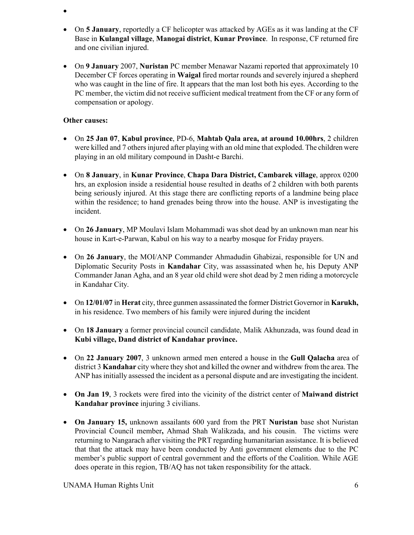- •
- On **5 January**, reportedly a CF helicopter was attacked by AGEs as it was landing at the CF Base in **Kulangal village**, **Manogai district**, **Kunar Province**. In response, CF returned fire and one civilian injured.
- On **9 January** 2007, **Nuristan** PC member Menawar Nazami reported that approximately 10 December CF forces operating in **Waigal** fired mortar rounds and severely injured a shepherd who was caught in the line of fire. It appears that the man lost both his eyes. According to the PC member, the victim did not receive sufficient medical treatment from the CF or any form of compensation or apology.

### **Other causes:**

- On **25 Jan 07**, **Kabul province**, PD-6, **Mahtab Qala area, at around 10.00hrs**, 2 children were killed and 7 others injured after playing with an old mine that exploded. The children were playing in an old military compound in Dasht-e Barchi.
- On **8 January**, in **Kunar Province**, **Chapa Dara District, Cambarek village**, approx 0200 hrs, an explosion inside a residential house resulted in deaths of 2 children with both parents being seriously injured. At this stage there are conflicting reports of a landmine being place within the residence; to hand grenades being throw into the house. ANP is investigating the incident.
- On **26 January**, MP Moulavi Islam Mohammadi was shot dead by an unknown man near his house in Kart-e-Parwan, Kabul on his way to a nearby mosque for Friday prayers.
- On **26 January**, the MOI/ANP Commander Ahmadudin Ghabizai, responsible for UN and Diplomatic Security Posts in **Kandahar** City, was assassinated when he, his Deputy ANP Commander Janan Agha, and an 8 year old child were shot dead by 2 men riding a motorcycle in Kandahar City.
- On **12/01/07** in **Herat** city, three gunmen assassinated the former District Governor in **Karukh,** in his residence. Two members of his family were injured during the incident
- On **18 January** a former provincial council candidate, Malik Akhunzada, was found dead in **Kubi village, Dand district of Kandahar province.**
- On **22 January 2007**, 3 unknown armed men entered a house in the **Gull Qalacha** area of district 3 **Kandahar** city where they shot and killed the owner and withdrew from the area. The ANP has initially assessed the incident as a personal dispute and are investigating the incident.
- **On Jan 19**, 3 rockets were fired into the vicinity of the district center of **Maiwand district Kandahar province** injuring 3 civilians.
- **On January 15,** unknown assailants 600 yard from the PRT **Nuristan** base shot Nuristan Provincial Council member**,** Ahmad Shah Walikzada, and his cousin. The victims were returning to Nangarach after visiting the PRT regarding humanitarian assistance. It is believed that that the attack may have been conducted by Anti government elements due to the PC member's public support of central government and the efforts of the Coalition. While AGE does operate in this region, TB/AQ has not taken responsibility for the attack.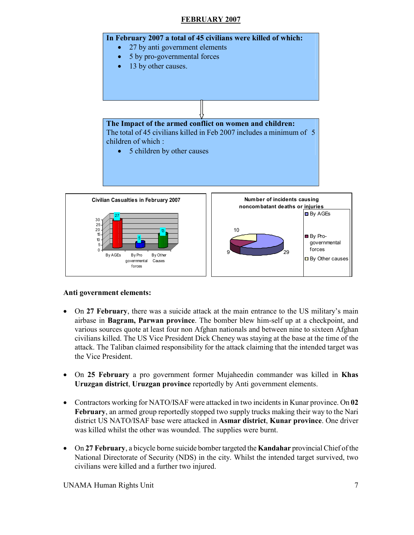### **FEBRUARY 2007**



#### **Anti government elements:**

- On 27 February, there was a suicide attack at the main entrance to the US military's main airbase in **Bagram, Parwan province**. The bomber blew him-self up at a checkpoint, and various sources quote at least four non Afghan nationals and between nine to sixteen Afghan civilians killed. The US Vice President Dick Cheney was staying at the base at the time of the attack. The Taliban claimed responsibility for the attack claiming that the intended target was the Vice President.
- On **25 February** a pro government former Mujaheedin commander was killed in **Khas Uruzgan district**, **Uruzgan province** reportedly by Anti government elements.
- Contractors working for NATO/ISAF were attacked in two incidents in Kunar province. On **02 February**, an armed group reportedly stopped two supply trucks making their way to the Nari district US NATO/ISAF base were attacked in **Asmar district**, **Kunar province**. One driver was killed whilst the other was wounded. The supplies were burnt.
- On **27 February**, a bicycle borne suicide bomber targeted the **Kandahar** provincial Chief of the National Directorate of Security (NDS) in the city. Whilst the intended target survived, two civilians were killed and a further two injured.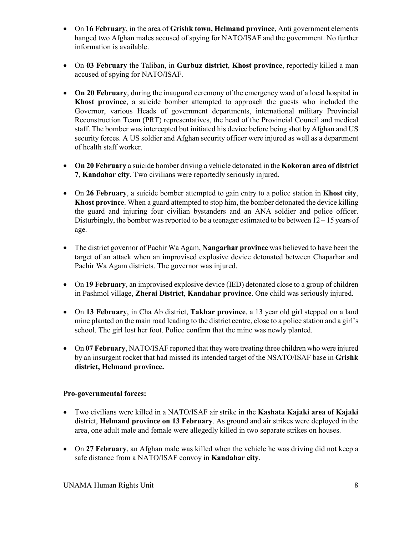- On **16 February**, in the area of **Grishk town, Helmand province**, Anti government elements hanged two Afghan males accused of spying for NATO/ISAF and the government. No further information is available.
- On **03 February** the Taliban, in **Gurbuz district**, **Khost province**, reportedly killed a man accused of spying for NATO/ISAF.
- **On 20 February**, during the inaugural ceremony of the emergency ward of a local hospital in **Khost province**, a suicide bomber attempted to approach the guests who included the Governor, various Heads of government departments, international military Provincial Reconstruction Team (PRT) representatives, the head of the Provincial Council and medical staff. The bomber was intercepted but initiated his device before being shot by Afghan and US security forces. A US soldier and Afghan security officer were injured as well as a department of health staff worker.
- **On 20 February** a suicide bomber driving a vehicle detonated in the **Kokoran area of district 7**, **Kandahar city**. Two civilians were reportedly seriously injured.
- On **26 February**, a suicide bomber attempted to gain entry to a police station in **Khost city**, **Khost province**. When a guard attempted to stop him, the bomber detonated the device killing the guard and injuring four civilian bystanders and an ANA soldier and police officer. Disturbingly, the bomber was reported to be a teenager estimated to be between 12 – 15 years of age.
- The district governor of Pachir Wa Agam, **Nangarhar province** was believed to have been the target of an attack when an improvised explosive device detonated between Chaparhar and Pachir Wa Agam districts. The governor was injured.
- On **19 February**, an improvised explosive device (IED) detonated close to a group of children in Pashmol village, **Zherai District**, **Kandahar province**. One child was seriously injured.
- On **13 February**, in Cha Ab district, **Takhar province**, a 13 year old girl stepped on a land mine planted on the main road leading to the district centre, close to a police station and a girl's school. The girl lost her foot. Police confirm that the mine was newly planted.
- On 07 February, NATO/ISAF reported that they were treating three children who were injured by an insurgent rocket that had missed its intended target of the NSATO/ISAF base in **Grishk district, Helmand province.**

# **Pro-governmental forces:**

- Two civilians were killed in a NATO/ISAF air strike in the **Kashata Kajaki area of Kajaki** district, **Helmand province on 13 February**. As ground and air strikes were deployed in the area, one adult male and female were allegedly killed in two separate strikes on houses.
- On **27 February**, an Afghan male was killed when the vehicle he was driving did not keep a safe distance from a NATO/ISAF convoy in **Kandahar city**.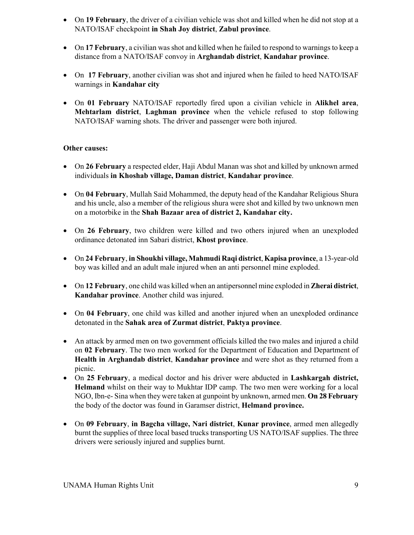- On **19 February**, the driver of a civilian vehicle was shot and killed when he did not stop at a NATO/ISAF checkpoint **in Shah Joy district**, **Zabul province**.
- On **17 February**, a civilian was shot and killed when he failed to respond to warnings to keep a distance from a NATO/ISAF convoy in **Arghandab district**, **Kandahar province**.
- On **17 February**, another civilian was shot and injured when he failed to heed NATO/ISAF warnings in **Kandahar city**
- On **01 February** NATO/ISAF reportedly fired upon a civilian vehicle in **Alikhel area**, **Mehtarlam district**, **Laghman province** when the vehicle refused to stop following NATO/ISAF warning shots. The driver and passenger were both injured.

### **Other causes:**

- On **26 February** a respected elder, Haji Abdul Manan was shot and killed by unknown armed individuals **in Khoshab village, Daman district**, **Kandahar province**.
- On **04 February**, Mullah Said Mohammed, the deputy head of the Kandahar Religious Shura and his uncle, also a member of the religious shura were shot and killed by two unknown men on a motorbike in the **Shah Bazaar area of district 2, Kandahar city.**
- On **26 February**, two children were killed and two others injured when an unexploded ordinance detonated inn Sabari district, **Khost province**.
- On **24 February**, **in Shoukhi village, Mahmudi Raqi district**, **Kapisa province**, a 13-year-old boy was killed and an adult male injured when an anti personnel mine exploded.
- On **12 February**, one child was killed when an antipersonnel mine exploded in **Zherai district**, **Kandahar province**. Another child was injured.
- On **04 February**, one child was killed and another injured when an unexploded ordinance detonated in the **Sahak area of Zurmat district**, **Paktya province**.
- An attack by armed men on two government officials killed the two males and injured a child on **02 February**. The two men worked for the Department of Education and Department of **Health in Arghandab district**, **Kandahar province** and were shot as they returned from a picnic.
- On **25 February**, a medical doctor and his driver were abducted in **Lashkargah district, Helmand** whilst on their way to Mukhtar IDP camp. The two men were working for a local NGO, Ibn-e- Sina when they were taken at gunpoint by unknown, armed men. **On 28 February** the body of the doctor was found in Garamser district, **Helmand province.**
- On **09 February**, **in Bagcha village, Nari district**, **Kunar province**, armed men allegedly burnt the supplies of three local based trucks transporting US NATO/ISAF supplies. The three drivers were seriously injured and supplies burnt.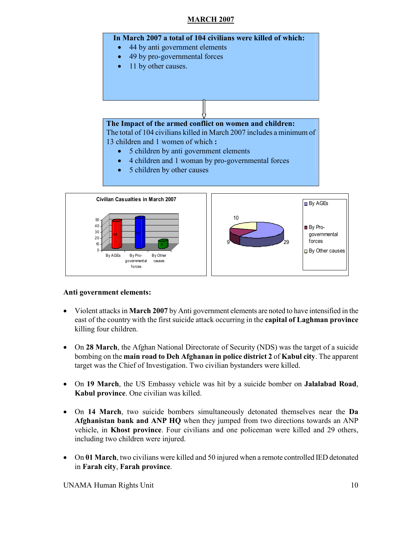# **MARCH 2007**



### **Anti government elements:**

- Violent attacks in **March 2007** by Anti government elements are noted to have intensified in the east of the country with the first suicide attack occurring in the **capital of Laghman province** killing four children.
- On 28 March, the Afghan National Directorate of Security (NDS) was the target of a suicide bombing on the **main road to Deh Afghanan in police district 2** of **Kabul city**. The apparent target was the Chief of Investigation. Two civilian bystanders were killed.
- On **19 March**, the US Embassy vehicle was hit by a suicide bomber on **Jalalabad Road**, **Kabul province**. One civilian was killed.
- On **14 March**, two suicide bombers simultaneously detonated themselves near the **Da Afghanistan bank and ANP HQ** when they jumped from two directions towards an ANP vehicle, in **Khost province**. Four civilians and one policeman were killed and 29 others, including two children were injured.
- On 01 March, two civilians were killed and 50 injured when a remote controlled IED detonated in **Farah city**, **Farah province**.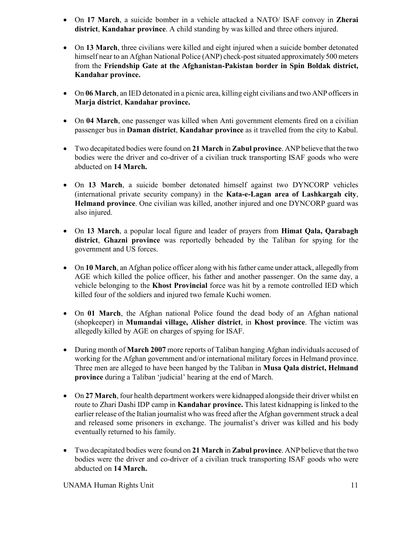- On **17 March**, a suicide bomber in a vehicle attacked a NATO/ ISAF convoy in **Zherai district**, **Kandahar province**. A child standing by was killed and three others injured.
- On **13 March**, three civilians were killed and eight injured when a suicide bomber detonated himself near to an Afghan National Police (ANP) check-post situated approximately 500 meters from the **Friendship Gate at the Afghanistan-Pakistan border in Spin Boldak district, Kandahar province.**
- On **06 March**, an IED detonated in a picnic area, killing eight civilians and two ANP officers in **Marja district**, **Kandahar province.**
- On 04 March, one passenger was killed when Anti government elements fired on a civilian passenger bus in **Daman district**, **Kandahar province** as it travelled from the city to Kabul.
- Two decapitated bodies were found on **21 March** in **Zabul province**. ANP believe that the two bodies were the driver and co-driver of a civilian truck transporting ISAF goods who were abducted on **14 March.**
- On **13 March**, a suicide bomber detonated himself against two DYNCORP vehicles (international private security company) in the **Kata-e-Lagan area of Lashkargah city**, **Helmand province**. One civilian was killed, another injured and one DYNCORP guard was also injured.
- On **13 March**, a popular local figure and leader of prayers from **Himat Qala, Qarabagh district**, **Ghazni province** was reportedly beheaded by the Taliban for spying for the government and US forces.
- On **10 March**, an Afghan police officer along with his father came under attack, allegedly from AGE which killed the police officer, his father and another passenger. On the same day, a vehicle belonging to the **Khost Provincial** force was hit by a remote controlled IED which killed four of the soldiers and injured two female Kuchi women.
- On **01 March**, the Afghan national Police found the dead body of an Afghan national (shopkeeper) in **Mumandai village, Alisher district**, in **Khost province**. The victim was allegedly killed by AGE on charges of spying for ISAF.
- During month of **March 2007** more reports of Taliban hanging Afghan individuals accused of working for the Afghan government and/or international military forces in Helmand province. Three men are alleged to have been hanged by the Taliban in **Musa Qala district, Helmand province** during a Taliban 'judicial' hearing at the end of March.
- On **27 March**, four health department workers were kidnapped alongside their driver whilst en route to Zhari Dashi IDP camp in **Kandahar province.** This latest kidnapping is linked to the earlier release of the Italian journalist who was freed after the Afghan government struck a deal and released some prisoners in exchange. The journalist's driver was killed and his body eventually returned to his family.
- Two decapitated bodies were found on **21 March** in **Zabul province**. ANP believe that the two bodies were the driver and co-driver of a civilian truck transporting ISAF goods who were abducted on **14 March.**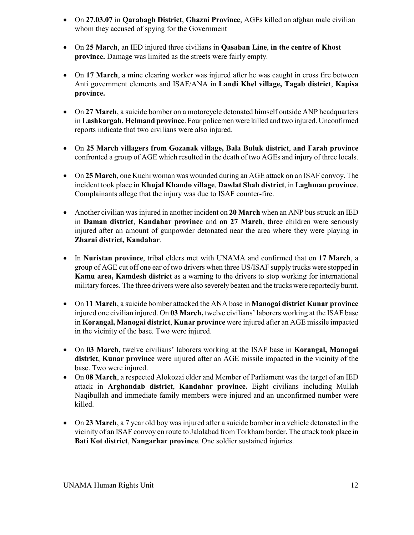- On **27.03.07** in **Qarabagh District**, **Ghazni Province**, AGEs killed an afghan male civilian whom they accused of spying for the Government
- On **25 March**, an IED injured three civilians in **Qasaban Line**, **in the centre of Khost province.** Damage was limited as the streets were fairly empty.
- On 17 March, a mine clearing worker was injured after he was caught in cross fire between Anti government elements and ISAF/ANA in **Landi Khel village, Tagab district**, **Kapisa province.**
- On **27 March**, a suicide bomber on a motorcycle detonated himself outside ANP headquarters in **Lashkargah**, **Helmand province**. Four policemen were killed and two injured. Unconfirmed reports indicate that two civilians were also injured.
- On **25 March villagers from Gozanak village, Bala Buluk district**, **and Farah province** confronted a group of AGE which resulted in the death of two AGEs and injury of three locals.
- On **25 March**, one Kuchi woman was wounded during an AGE attack on an ISAF convoy. The incident took place in **Khujal Khando village**, **Dawlat Shah district**, in **Laghman province**. Complainants allege that the injury was due to ISAF counter-fire.
- Another civilian was injured in another incident on **20 March** when an ANP bus struck an IED in **Daman district**, **Kandahar province** and **on 27 March**, three children were seriously injured after an amount of gunpowder detonated near the area where they were playing in **Zharai district, Kandahar**.
- In **Nuristan province**, tribal elders met with UNAMA and confirmed that on **17 March**, a group of AGE cut off one ear of two drivers when three US/ISAF supply trucks were stopped in **Kamu area, Kamdesh district** as a warning to the drivers to stop working for international military forces. The three drivers were also severely beaten and the trucks were reportedly burnt.
- On **11 March**, a suicide bomber attacked the ANA base in **Manogai district Kunar province** injured one civilian injured. On **03 March,** twelve civilians' laborers working at the ISAF base in **Korangal, Manogai district**, **Kunar province** were injured after an AGE missile impacted in the vicinity of the base. Two were injured.
- On **03 March,** twelve civilians' laborers working at the ISAF base in **Korangal, Manogai district**, **Kunar province** were injured after an AGE missile impacted in the vicinity of the base. Two were injured.
- On 08 March, a respected Alokozai elder and Member of Parliament was the target of an IED attack in **Arghandab district**, **Kandahar province.** Eight civilians including Mullah Naqibullah and immediate family members were injured and an unconfirmed number were killed.
- On **23 March**, a 7 year old boy was injured after a suicide bomber in a vehicle detonated in the vicinity of an ISAF convoy en route to Jalalabad from Torkham border. The attack took place in **Bati Kot district**, **Nangarhar province**. One soldier sustained injuries.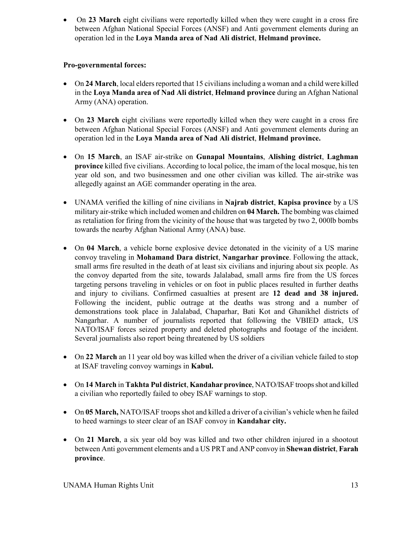• On 23 March eight civilians were reportedly killed when they were caught in a cross fire between Afghan National Special Forces (ANSF) and Anti government elements during an operation led in the **Loya Manda area of Nad Ali district**, **Helmand province.**

# **Pro-governmental forces:**

- On **24 March**, local elders reported that 15 civilians including a woman and a child were killed in the **Loya Manda area of Nad Ali district**, **Helmand province** during an Afghan National Army (ANA) operation.
- On 23 March eight civilians were reportedly killed when they were caught in a cross fire between Afghan National Special Forces (ANSF) and Anti government elements during an operation led in the **Loya Manda area of Nad Ali district**, **Helmand province.**
- On **15 March**, an ISAF air-strike on **Gunapal Mountains**, **Alishing district**, **Laghman province** killed five civilians. According to local police, the imam of the local mosque, his ten year old son, and two businessmen and one other civilian was killed. The air-strike was allegedly against an AGE commander operating in the area.
- UNAMA verified the killing of nine civilians in **Najrab district**, **Kapisa province** by a US military air-strike which included women and children on **04 March.** The bombing was claimed as retaliation for firing from the vicinity of the house that was targeted by two 2, 000lb bombs towards the nearby Afghan National Army (ANA) base.
- On **04 March**, a vehicle borne explosive device detonated in the vicinity of a US marine convoy traveling in **Mohamand Dara district**, **Nangarhar province**. Following the attack, small arms fire resulted in the death of at least six civilians and injuring about six people. As the convoy departed from the site, towards Jalalabad, small arms fire from the US forces targeting persons traveling in vehicles or on foot in public places resulted in further deaths and injury to civilians. Confirmed casualties at present are **12 dead and 38 injured.** Following the incident, public outrage at the deaths was strong and a number of demonstrations took place in Jalalabad, Chaparhar, Bati Kot and Ghanikhel districts of Nangarhar. A number of journalists reported that following the VBIED attack, US NATO/ISAF forces seized property and deleted photographs and footage of the incident. Several journalists also report being threatened by US soldiers
- On **22 March** an 11 year old boy was killed when the driver of a civilian vehicle failed to stop at ISAF traveling convoy warnings in **Kabul.**
- On **14 March** in **Takhta Pul district**, **Kandahar province**, NATO/ISAF troops shot and killed a civilian who reportedly failed to obey ISAF warnings to stop.
- On 05 March, NATO/ISAF troops shot and killed a driver of a civilian's vehicle when he failed to heed warnings to steer clear of an ISAF convoy in **Kandahar city.**
- On **21 March**, a six year old boy was killed and two other children injured in a shootout between Anti government elements and a US PRT and ANP convoy in **Shewan district**, **Farah province**.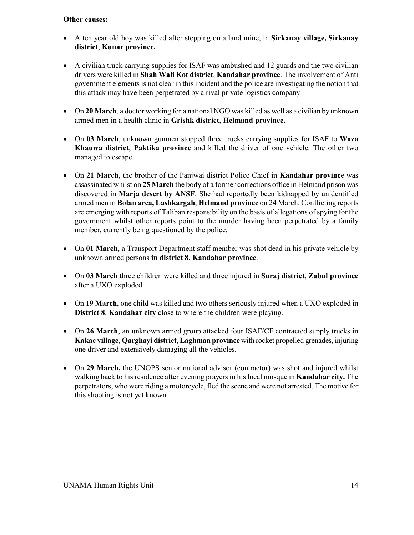#### **Other causes:**

- A ten year old boy was killed after stepping on a land mine, in **Sirkanay village, Sirkanay district**, **Kunar province.**
- A civilian truck carrying supplies for ISAF was ambushed and 12 guards and the two civilian drivers were killed in **Shah Wali Kot district**, **Kandahar province**. The involvement of Anti government elements is not clear in this incident and the police are investigating the notion that this attack may have been perpetrated by a rival private logistics company.
- On **20 March**, a doctor working for a national NGO was killed as well as a civilian by unknown armed men in a health clinic in **Grishk district**, **Helmand province.**
- On **03 March**, unknown gunmen stopped three trucks carrying supplies for ISAF to **Waza Khauwa district**, **Paktika province** and killed the driver of one vehicle. The other two managed to escape.
- On **21 March**, the brother of the Panjwai district Police Chief in **Kandahar province** was assassinated whilst on **25 March** the body of a former corrections office in Helmand prison was discovered in **Marja desert by ANSF**. She had reportedly been kidnapped by unidentified armed men in **Bolan area, Lashkargah**, **Helmand province** on 24 March. Conflicting reports are emerging with reports of Taliban responsibility on the basis of allegations of spying for the government whilst other reports point to the murder having been perpetrated by a family member, currently being questioned by the police.
- On **01 March**, a Transport Department staff member was shot dead in his private vehicle by unknown armed persons **in district 8**, **Kandahar province**.
- On **03 March** three children were killed and three injured in **Suraj district**, **Zabul province** after a UXO exploded.
- On **19 March,** one child was killed and two others seriously injured when a UXO exploded in **District 8**, **Kandahar city** close to where the children were playing.
- On **26 March**, an unknown armed group attacked four ISAF/CF contracted supply trucks in **Kakac village**, **Qarghayi district**, **Laghman province** with rocket propelled grenades, injuring one driver and extensively damaging all the vehicles.
- On **29 March,** the UNOPS senior national advisor (contractor) was shot and injured whilst walking back to his residence after evening prayers in his local mosque in **Kandahar city.** The perpetrators, who were riding a motorcycle, fled the scene and were not arrested. The motive for this shooting is not yet known.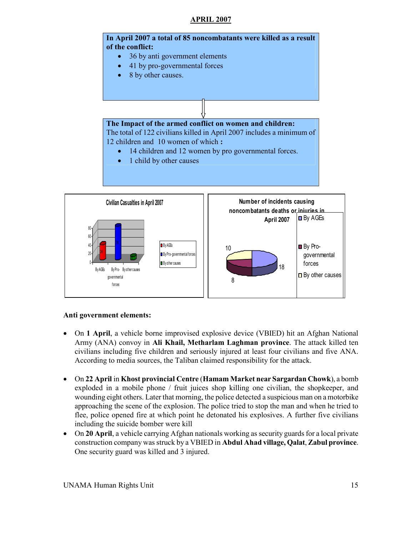### **APRIL 2007**



forces 8 **Anti government elements:**  • On **1 April**, a vehicle borne improvised explosive device (VBIED) hit an Afghan National

18

governmental forces

□ By other causes

By Pro- government al forces **B** By other causes

- Army (ANA) convoy in **Ali Khail, Metharlam Laghman province**. The attack killed ten civilians including five children and seriously injured at least four civilians and five ANA. According to media sources, the Taliban claimed responsibility for the attack.
- On **22 April** in **Khost provincial Centre** (**Hamam Market near Sargardan Chowk**), a bomb exploded in a mobile phone / fruit juices shop killing one civilian, the shopkeeper, and wounding eight others. Later that morning, the police detected a suspicious man on a motorbike approaching the scene of the explosion. The police tried to stop the man and when he tried to flee, police opened fire at which point he detonated his explosives. A further five civilians including the suicide bomber were kill
- On **20 April**, a vehicle carrying Afghan nationals working as security guards for a local private construction company was struck by a VBIED in **Abdul Ahad village, Qalat**, **Zabul province**. One security guard was killed and 3 injured.

36

0 20

0.

By AGEs By Pro-By other causes government al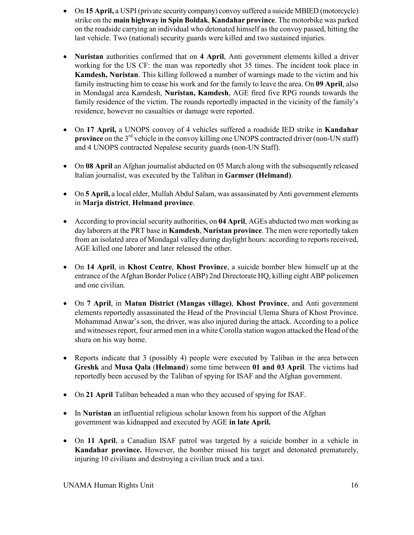- On **15 April**, a USPI (private security company) convoy suffered a suicide MBIED (motorcycle) strike on the **main highway in Spin Boldak**, **Kandahar province**. The motorbike was parked on the roadside carrying an individual who detonated himself as the convoy passed, hitting the last vehicle. Two (national) security guards were killed and two sustained injuries.
- **Nuristan** authorities confirmed that on **4 April**, Anti government elements killed a driver working for the US CF: the man was reportedly shot 35 times. The incident took place in **Kamdesh, Nuristan**. This killing followed a number of warnings made to the victim and his family instructing him to cease his work and for the family to leave the area. On **09 April**, also in Mondagal area Kamdesh, **Nuristan, Kamdesh**, AGE fired five RPG rounds towards the family residence of the victim. The rounds reportedly impacted in the vicinity of the family's residence, however no casualties or damage were reported.
- On **17 April,** a UNOPS convoy of 4 vehicles suffered a roadside IED strike in **Kandahar province** on the 3<sup>rd</sup> vehicle in the convoy killing one UNOPS contracted driver (non-UN staff) and 4 UNOPS contracted Nepalese security guards (non-UN Staff).
- On 08 April an Afghan journalist abducted on 05 March along with the subsequently released Italian journalist, was executed by the Taliban in **Garmser (Helmand)**.
- On **5 April,** a local elder, Mullah Abdul Salam, was assassinated by Anti government elements in **Marja district**, **Helmand province**.
- According to provincial security authorities, on **04 April**, AGEs abducted two men working as day laborers at the PRT base in **Kamdesh**, **Nuristan province**. The men were reportedly taken from an isolated area of Mondagal valley during daylight hours: according to reports received, AGE killed one laborer and later released the other.
- On **14 April**, in **Khost Centre**, **Khost Province**, a suicide bomber blew himself up at the entrance of the Afghan Border Police (ABP) 2nd Directorate HQ, killing eight ABP policemen and one civilian.
- On **7 April**, in **Matun District (Mangas village)**, **Khost Province**, and Anti government elements reportedly assassinated the Head of the Provincial Ulema Shura of Khost Province. Mohammad Anwar's son, the driver, was also injured during the attack. According to a police and witnesses report, four armed men in a white Corolla station wagon attacked the Head of the shura on his way home.
- Reports indicate that 3 (possibly 4) people were executed by Taliban in the area between **Greshk** and **Musa Qala** (**Helmand**) some time between **01 and 03 April**. The victims had reportedly been accused by the Taliban of spying for ISAF and the Afghan government.
- On **21 April** Taliban beheaded a man who they accused of spying for ISAF.
- In **Nuristan** an influential religious scholar known from his support of the Afghan government was kidnapped and executed by AGE **in late April.**
- On **11 April**, a Canadian ISAF patrol was targeted by a suicide bomber in a vehicle in **Kandahar province.** However, the bomber missed his target and detonated prematurely, injuring 10 civilians and destroying a civilian truck and a taxi.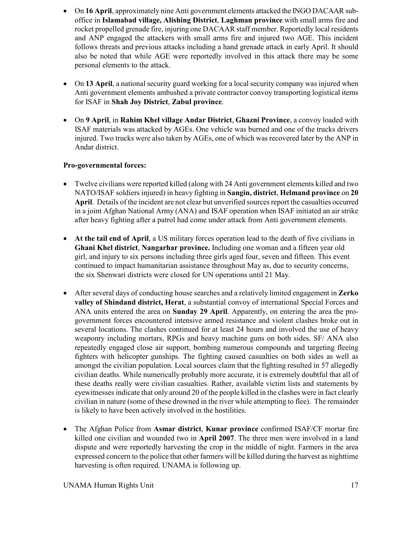- On **16 April**, approximately nine Anti government elements attacked the INGO DACAAR suboffice in **Islamabad village, Alishing District**, **Laghman province** with small arms fire and rocket propelled grenade fire, injuring one DACAAR staff member. Reportedly local residents and ANP engaged the attackers with small arms fire and injured two AGE. This incident follows threats and previous attacks including a hand grenade attack in early April. It should also be noted that while AGE were reportedly involved in this attack there may be some personal elements to the attack.
- On 13 April, a national security guard working for a local security company was injured when Anti government elements ambushed a private contractor convoy transporting logistical items for ISAF in **Shah Joy District**, **Zabul province**.
- On **9 April**, in **Rahim Khel village Andar District**, **Ghazni Province**, a convoy loaded with ISAF materials was attacked by AGEs. One vehicle was burned and one of the trucks drivers injured. Two trucks were also taken by AGEs, one of which was recovered later by the ANP in Andar district.

### **Pro-governmental forces:**

- Twelve civilians were reported killed (along with 24 Anti government elements killed and two NATO/ISAF soldiers injured) in heavy fighting in **Sangin, district**, **Helmand province** on **20 April**. Details of the incident are not clear but unverified sources report the casualties occurred in a joint Afghan National Army (ANA) and ISAF operation when ISAF initiated an air strike after heavy fighting after a patrol had come under attack from Anti government elements.
- **At the tail end of April**, a US military forces operation lead to the death of five civilians in **Ghani Khel district**, **Nangarhar province.** Including one woman and a fifteen year old girl, and injury to six persons including three girls aged four, seven and fifteen. This event continued to impact humanitarian assistance throughout May as, due to security concerns, the six Shenwari districts were closed for UN operations until 21 May.
- After several days of conducting house searches and a relatively limited engagement in **Zerko valley of Shindand district, Herat**, a substantial convoy of international Special Forces and ANA units entered the area on **Sunday 29 April**. Apparently, on entering the area the progovernment forces encountered intensive armed resistance and violent clashes broke out in several locations. The clashes continued for at least 24 hours and involved the use of heavy weaponry including mortars, RPGs and heavy machine guns on both sides. SF/ ANA also repeatedly engaged close air support, bombing numerous compounds and targeting fleeing fighters with helicopter gunships. The fighting caused casualties on both sides as well as amongst the civilian population. Local sources claim that the fighting resulted in 57 allegedly civilian deaths. While numerically probably more accurate, it is extremely doubtful that all of these deaths really were civilian casualties. Rather, available victim lists and statements by eyewitnesses indicate that only around 20 of the people killed in the clashes were in fact clearly civilian in nature (some of these drowned in the river while attempting to flee). The remainder is likely to have been actively involved in the hostilities.
- The Afghan Police from **Asmar district**, **Kunar province** confirmed ISAF/CF mortar fire killed one civilian and wounded two in **April 2007**. The three men were involved in a land dispute and were reportedly harvesting the crop in the middle of night. Farmers in the area expressed concern to the police that other farmers will be killed during the harvest as nighttime harvesting is often required. UNAMA is following up.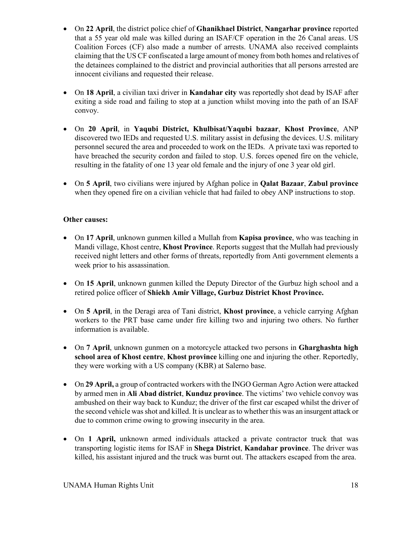- On **22 April**, the district police chief of **Ghanikhael District**, **Nangarhar province** reported that a 55 year old male was killed during an ISAF/CF operation in the 26 Canal areas. US Coalition Forces (CF) also made a number of arrests. UNAMA also received complaints claiming that the US CF confiscated a large amount of money from both homes and relatives of the detainees complained to the district and provincial authorities that all persons arrested are innocent civilians and requested their release.
- On **18 April**, a civilian taxi driver in **Kandahar city** was reportedly shot dead by ISAF after exiting a side road and failing to stop at a junction whilst moving into the path of an ISAF convoy.
- On **20 April**, in **Yaqubi District, Khulbisat/Yaqubi bazaar**, **Khost Province**, ANP discovered two IEDs and requested U.S. military assist in defusing the devices. U.S. military personnel secured the area and proceeded to work on the IEDs. A private taxi was reported to have breached the security cordon and failed to stop. U.S. forces opened fire on the vehicle, resulting in the fatality of one 13 year old female and the injury of one 3 year old girl.
- On **5 April**, two civilians were injured by Afghan police in **Qalat Bazaar**, **Zabul province** when they opened fire on a civilian vehicle that had failed to obey ANP instructions to stop.

# **Other causes:**

- On **17 April**, unknown gunmen killed a Mullah from **Kapisa province**, who was teaching in Mandi village, Khost centre, **Khost Province**. Reports suggest that the Mullah had previously received night letters and other forms of threats, reportedly from Anti government elements a week prior to his assassination.
- On **15 April**, unknown gunmen killed the Deputy Director of the Gurbuz high school and a retired police officer of **Shiekh Amir Village, Gurbuz District Khost Province.**
- On **5 April**, in the Deragi area of Tani district, **Khost province**, a vehicle carrying Afghan workers to the PRT base came under fire killing two and injuring two others. No further information is available.
- On **7 April**, unknown gunmen on a motorcycle attacked two persons in **Gharghashta high school area of Khost centre**, **Khost province** killing one and injuring the other. Reportedly, they were working with a US company (KBR) at Salerno base.
- On **29 April,** a group of contracted workers with the INGO German Agro Action were attacked by armed men in **Ali Abad district**, **Kunduz province**. The victims' two vehicle convoy was ambushed on their way back to Kunduz; the driver of the first car escaped whilst the driver of the second vehicle was shot and killed. It is unclear as to whether this was an insurgent attack or due to common crime owing to growing insecurity in the area.
- On **1 April,** unknown armed individuals attacked a private contractor truck that was transporting logistic items for ISAF in **Shega District**, **Kandahar province**. The driver was killed, his assistant injured and the truck was burnt out. The attackers escaped from the area.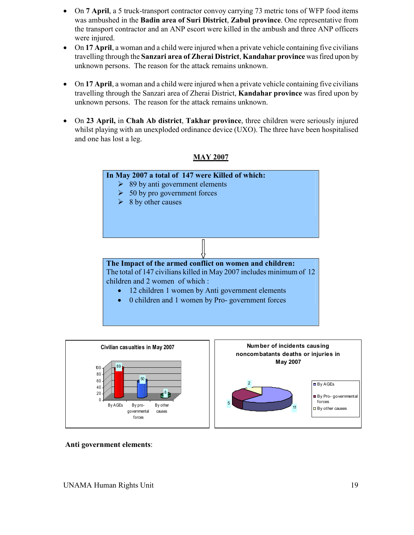- On **7 April**, a 5 truck-transport contractor convoy carrying 73 metric tons of WFP food items was ambushed in the **Badin area of Suri District**, **Zabul province**. One representative from the transport contractor and an ANP escort were killed in the ambush and three ANP officers were injured.
- On 17 April, a woman and a child were injured when a private vehicle containing five civilians travelling through the **Sanzari area of Zherai District**, **Kandahar province** was fired upon by unknown persons. The reason for the attack remains unknown.
- On 17 April, a woman and a child were injured when a private vehicle containing five civilians travelling through the Sanzari area of Zherai District, **Kandahar province** was fired upon by unknown persons. The reason for the attack remains unknown.
- On **23 April,** in **Chah Ab district**, **Takhar province**, three children were seriously injured whilst playing with an unexploded ordinance device (UXO). The three have been hospitalised and one has lost a leg.







 **Anti government elements**: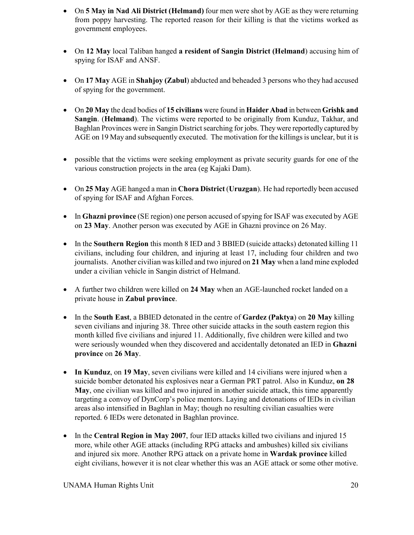- On **5 May in Nad Ali District (Helmand)** four men were shot by AGE as they were returning from poppy harvesting. The reported reason for their killing is that the victims worked as government employees.
- On **12 May** local Taliban hanged **a resident of Sangin District (Helmand**) accusing him of spying for ISAF and ANSF.
- On **17 May** AGE in **Shahjoy (Zabul**) abducted and beheaded 3 persons who they had accused of spying for the government.
- On **20 May** the dead bodies of **15 civilians** were found in **Haider Abad** in between **Grishk and Sangin**. (**Helmand**). The victims were reported to be originally from Kunduz, Takhar, and Baghlan Provinces were in Sangin District searching for jobs. They were reportedly captured by AGE on 19 May and subsequently executed. The motivation for the killings is unclear, but it is
- possible that the victims were seeking employment as private security guards for one of the various construction projects in the area (eg Kajaki Dam).
- On **25 May** AGE hanged a man in **Chora District** (**Uruzgan**). He had reportedly been accused of spying for ISAF and Afghan Forces.
- In **Ghazni province** (SE region) one person accused of spying for ISAF was executed by AGE on **23 May**. Another person was executed by AGE in Ghazni province on 26 May.
- In the **Southern Region** this month 8 IED and 3 BBIED (suicide attacks) detonated killing 11 civilians, including four children, and injuring at least 17, including four children and two journalists. Another civilian was killed and two injured on **21 May** when a land mine exploded under a civilian vehicle in Sangin district of Helmand.
- A further two children were killed on **24 May** when an AGE-launched rocket landed on a private house in **Zabul province**.
- In the **South East**, a BBIED detonated in the centre of **Gardez (Paktya**) on **20 May** killing seven civilians and injuring 38. Three other suicide attacks in the south eastern region this month killed five civilians and injured 11. Additionally, five children were killed and two were seriously wounded when they discovered and accidentally detonated an IED in **Ghazni province** on **26 May**.
- **In Kunduz**, on **19 May**, seven civilians were killed and 14 civilians were injured when a suicide bomber detonated his explosives near a German PRT patrol. Also in Kunduz, **on 28 May**, one civilian was killed and two injured in another suicide attack, this time apparently targeting a convoy of DynCorp's police mentors. Laying and detonations of IEDs in civilian areas also intensified in Baghlan in May; though no resulting civilian casualties were reported. 6 IEDs were detonated in Baghlan province.
- In the **Central Region in May 2007**, four IED attacks killed two civilians and injured 15 more, while other AGE attacks (including RPG attacks and ambushes) killed six civilians and injured six more. Another RPG attack on a private home in **Wardak province** killed eight civilians, however it is not clear whether this was an AGE attack or some other motive.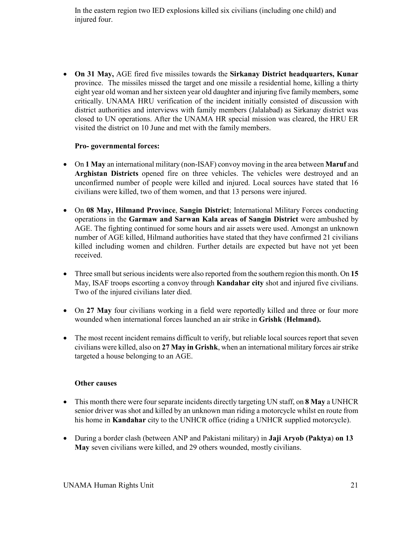In the eastern region two IED explosions killed six civilians (including one child) and injured four.

• **On 31 May,** AGE fired five missiles towards the **Sirkanay District headquarters, Kunar** province. The missiles missed the target and one missile a residential home, killing a thirty eight year old woman and her sixteen year old daughter and injuring five family members, some critically. UNAMA HRU verification of the incident initially consisted of discussion with district authorities and interviews with family members (Jalalabad) as Sirkanay district was closed to UN operations. After the UNAMA HR special mission was cleared, the HRU ER visited the district on 10 June and met with the family members.

#### **Pro- governmental forces:**

- On **1 May** an international military (non-ISAF) convoy moving in the area between **Maruf** and **Arghistan Districts** opened fire on three vehicles. The vehicles were destroyed and an unconfirmed number of people were killed and injured. Local sources have stated that 16 civilians were killed, two of them women, and that 13 persons were injured.
- On **08 May, Hilmand Province**, **Sangin District**; International Military Forces conducting operations in the **Garmaw and Sarwan Kala areas of Sangin District** were ambushed by AGE. The fighting continued for some hours and air assets were used. Amongst an unknown number of AGE killed, Hilmand authorities have stated that they have confirmed 21 civilians killed including women and children. Further details are expected but have not yet been received.
- Three small but serious incidents were also reported from the southern region this month. On **15**  May, ISAF troops escorting a convoy through **Kandahar city** shot and injured five civilians. Two of the injured civilians later died.
- On 27 May four civilians working in a field were reportedly killed and three or four more wounded when international forces launched an air strike in **Grishk** (**Helmand).**
- The most recent incident remains difficult to verify, but reliable local sources report that seven civilians were killed, also on **27 May in Grishk**, when an international military forces air strike targeted a house belonging to an AGE.

#### **Other causes**

- This month there were four separate incidents directly targeting UN staff, on **8 May** a UNHCR senior driver was shot and killed by an unknown man riding a motorcycle whilst en route from his home in **Kandahar** city to the UNHCR office (riding a UNHCR supplied motorcycle).
- During a border clash (between ANP and Pakistani military) in **Jaji Aryob (Paktya**) **on 13 May** seven civilians were killed, and 29 others wounded, mostly civilians.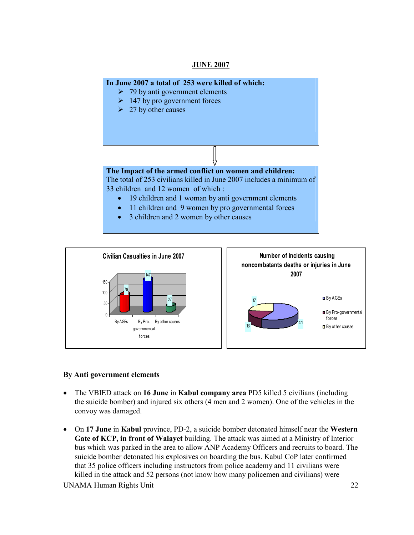#### **JUNE 2007**





#### **By Anti government elements**

- The VBIED attack on **16 June** in **Kabul company area** PD5 killed 5 civilians (including the suicide bomber) and injured six others (4 men and 2 women). One of the vehicles in the convoy was damaged.
- On **17 June** in **Kabul** province, PD-2, a suicide bomber detonated himself near the **Western Gate of KCP, in front of Walayet** building. The attack was aimed at a Ministry of Interior bus which was parked in the area to allow ANP Academy Officers and recruits to board. The suicide bomber detonated his explosives on boarding the bus. Kabul CoP later confirmed that 35 police officers including instructors from police academy and 11 civilians were killed in the attack and 52 persons (not know how many policemen and civilians) were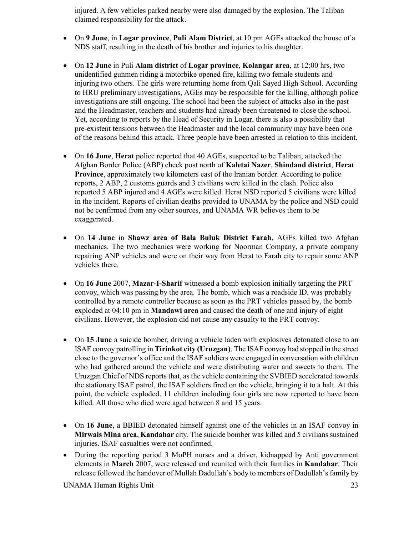injured. A few vehicles parked nearby were also damaged by the explosion. The Taliban claimed responsibility for the attack.

- On **9 June**, in **Logar province**, **Puli Alam District**, at 10 pm AGEs attacked the house of a NDS staff, resulting in the death of his brother and injuries to his daughter.
- On **12 June** in Puli **Alam district** of **Logar province**, **Kolangar area**, at 12:00 hrs, two unidentified gunmen riding a motorbike opened fire, killing two female students and injuring two others. The girls were returning home from Qali Sayed High School. According to HRU preliminary investigations, AGEs may be responsible for the killing, although police investigations are still ongoing. The school had been the subject of attacks also in the past and the Headmaster, teachers and students had already been threatened to close the school. Yet, according to reports by the Head of Security in Logar, there is also a possibility that pre-existent tensions between the Headmaster and the local community may have been one of the reasons behind this attack. Three people have been arrested in relation to this incident.
- On **16 June**, **Herat** police reported that 40 AGEs, suspected to be Taliban, attacked the Afghan Border Police (ABP) check post north of **Kaletai Nazer**, **Shindand district**, **Herat Province**, approximately two kilometers east of the Iranian border. According to police reports, 2 ABP, 2 customs guards and 3 civilians were killed in the clash. Police also reported 5 ABP injured and 4 AGEs were killed. Herat NSD reported 5 civilians were killed in the incident. Reports of civilian deaths provided to UNAMA by the police and NSD could not be confirmed from any other sources, and UNAMA WR believes them to be exaggerated.
- On **14 June** in **Shawz area of Bala Buluk District Farah**, AGEs killed two Afghan mechanics. The two mechanics were working for Noorman Company, a private company repairing ANP vehicles and were on their way from Herat to Farah city to repair some ANP vehicles there.
- On **16 June** 2007, **Mazar-I-Sharif** witnessed a bomb explosion initially targeting the PRT convoy, which was passing by the area. The bomb, which was a roadside ID, was probably controlled by a remote controller because as soon as the PRT vehicles passed by, the bomb exploded at 04:10 pm in **Mandawi area** and caused the death of one and injury of eight civilians. However, the explosion did not cause any casualty to the PRT convoy.
- On 15 June a suicide bomber, driving a vehicle laden with explosives detonated close to an ISAF convoy patrolling in **Tirinkot city (Uruzgan)**. The ISAF convoy had stopped in the street close to the governor's office and the ISAF soldiers were engaged in conversation with children who had gathered around the vehicle and were distributing water and sweets to them. The Uruzgan Chief of NDS reports that, as the vehicle containing the SVBIED accelerated towards the stationary ISAF patrol, the ISAF soldiers fired on the vehicle, bringing it to a halt. At this point, the vehicle exploded. 11 children including four girls are now reported to have been killed. All those who died were aged between 8 and 15 years.
- On **16 June**, a BBIED detonated himself against one of the vehicles in an ISAF convoy in **Mirwais Mina area**, **Kandahar** city. The suicide bomber was killed and 5 civilians sustained injuries. ISAF casualties were not confirmed.
- During the reporting period 3 MoPH nurses and a driver, kidnapped by Anti government elements in **March** 2007, were released and reunited with their families in **Kandahar**. Their release followed the handover of Mullah Dadullah's body to members of Dadullah's family by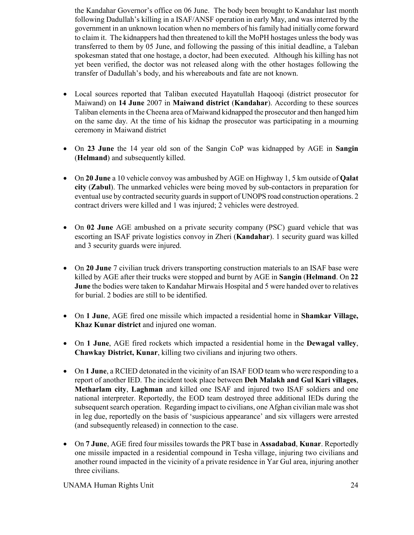the Kandahar Governor's office on 06 June. The body been brought to Kandahar last month following Dadullah's killing in a ISAF/ANSF operation in early May, and was interred by the government in an unknown location when no members of his family had initially come forward to claim it. The kidnappers had then threatened to kill the MoPH hostages unless the body was transferred to them by 05 June, and following the passing of this initial deadline, a Taleban spokesman stated that one hostage, a doctor, had been executed. Although his killing has not yet been verified, the doctor was not released along with the other hostages following the transfer of Dadullah's body, and his whereabouts and fate are not known.

- Local sources reported that Taliban executed Hayatullah Haqooqi (district prosecutor for Maiwand) on **14 June** 2007 in **Maiwand district** (**Kandahar**). According to these sources Taliban elements in the Cheena area of Maiwand kidnapped the prosecutor and then hanged him on the same day. At the time of his kidnap the prosecutor was participating in a mourning ceremony in Maiwand district
- On **23 June** the 14 year old son of the Sangin CoP was kidnapped by AGE in **Sangin** (**Helmand**) and subsequently killed.
- On **20 June** a 10 vehicle convoy was ambushed by AGE on Highway 1, 5 km outside of **Qalat city** (**Zabul**). The unmarked vehicles were being moved by sub-contactors in preparation for eventual use by contracted security guards in support of UNOPS road construction operations. 2 contract drivers were killed and 1 was injured; 2 vehicles were destroyed.
- On 02 June AGE ambushed on a private security company (PSC) guard vehicle that was escorting an ISAF private logistics convoy in Zheri (**Kandahar**). 1 security guard was killed and 3 security guards were injured.
- On **20 June** 7 civilian truck drivers transporting construction materials to an ISAF base were killed by AGE after their trucks were stopped and burnt by AGE in **Sangin** (**Helmand**. On **22 June** the bodies were taken to Kandahar Mirwais Hospital and 5 were handed over to relatives for burial. 2 bodies are still to be identified.
- On **1 June**, AGE fired one missile which impacted a residential home in **Shamkar Village, Khaz Kunar district** and injured one woman.
- On **1 June**, AGE fired rockets which impacted a residential home in the **Dewagal valley**, **Chawkay District, Kunar**, killing two civilians and injuring two others.
- On 1 June, a RCIED detonated in the vicinity of an ISAF EOD team who were responding to a report of another IED. The incident took place between **Deh Malakh and Gul Kari villages**, **Metharlam city**, **Laghman** and killed one ISAF and injured two ISAF soldiers and one national interpreter. Reportedly, the EOD team destroyed three additional IEDs during the subsequent search operation. Regarding impact to civilians, one Afghan civilian male was shot in leg due, reportedly on the basis of 'suspicious appearance' and six villagers were arrested (and subsequently released) in connection to the case.
- On **7 June**, AGE fired four missiles towards the PRT base in **Assadabad**, **Kunar**. Reportedly one missile impacted in a residential compound in Tesha village, injuring two civilians and another round impacted in the vicinity of a private residence in Yar Gul area, injuring another three civilians.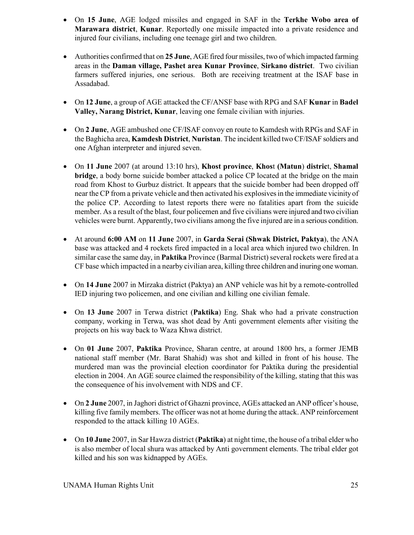- On **15 June**, AGE lodged missiles and engaged in SAF in the **Terkhe Wobo area of Marawara district**, **Kunar**. Reportedly one missile impacted into a private residence and injured four civilians, including one teenage girl and two children.
- Authorities confirmed that on **25 June**, AGE fired four missiles, two of which impacted farming areas in the **Daman village, Pashet area Kunar Province**, **Sirkano district**. Two civilian farmers suffered injuries, one serious. Both are receiving treatment at the ISAF base in Assadabad.
- On **12 June**, a group of AGE attacked the CF/ANSF base with RPG and SAF **Kunar** in **Badel Valley, Narang District, Kunar**, leaving one female civilian with injuries.
- On **2 June**, AGE ambushed one CF/ISAF convoy en route to Kamdesh with RPGs and SAF in the Baghicha area, **Kamdesh District**, **Nuristan**. The incident killed two CF/ISAF soldiers and one Afghan interpreter and injured seven.
- On **11 June** 2007 (at around 13:10 hrs), **Khost province**, **Khos**t **(Matun**) **distric**t, **Shamal bridge**, a body borne suicide bomber attacked a police CP located at the bridge on the main road from Khost to Gurbuz district. It appears that the suicide bomber had been dropped off near the CP from a private vehicle and then activated his explosives in the immediate vicinity of the police CP. According to latest reports there were no fatalities apart from the suicide member. As a result of the blast, four policemen and five civilians were injured and two civilian vehicles were burnt. Apparently, two civilians among the five injured are in a serious condition.
- At around **6:00 AM** on **11 June** 2007, in **Garda Serai (Shwak District, Paktya**), the ANA base was attacked and 4 rockets fired impacted in a local area which injured two children. In similar case the same day, in **Paktika** Province (Barmal District) several rockets were fired at a CF base which impacted in a nearby civilian area, killing three children and inuring one woman.
- On 14 June 2007 in Mirzaka district (Paktya) an ANP vehicle was hit by a remote-controlled IED injuring two policemen, and one civilian and killing one civilian female.
- On **13 June** 2007 in Terwa district (**Paktika**) Eng. Shak who had a private construction company, working in Terwa, was shot dead by Anti government elements after visiting the projects on his way back to Waza Khwa district.
- On **01 June** 2007, **Paktika** Province, Sharan centre, at around 1800 hrs, a former JEMB national staff member (Mr. Barat Shahid) was shot and killed in front of his house. The murdered man was the provincial election coordinator for Paktika during the presidential election in 2004. An AGE source claimed the responsibility of the killing, stating that this was the consequence of his involvement with NDS and CF.
- On **2 June** 2007, in Jaghori district of Ghazni province, AGEs attacked an ANP officer's house, killing five family members. The officer was not at home during the attack. ANP reinforcement responded to the attack killing 10 AGEs.
- On **10 June** 2007, in Sar Hawza district (**Paktika**) at night time, the house of a tribal elder who is also member of local shura was attacked by Anti government elements. The tribal elder got killed and his son was kidnapped by AGEs.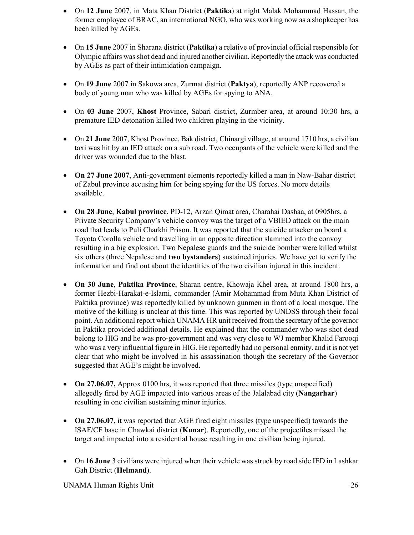- On **12 June** 2007, in Mata Khan District (**Paktik**a) at night Malak Mohammad Hassan, the former employee of BRAC, an international NGO, who was working now as a shopkeeper has been killed by AGEs.
- On **15 June** 2007 in Sharana district (**Paktika**) a relative of provincial official responsible for Olympic affairs was shot dead and injured another civilian. Reportedly the attack was conducted by AGEs as part of their intimidation campaign.
- On **19 June** 2007 in Sakowa area, Zurmat district (**Paktya**), reportedly ANP recovered a body of young man who was killed by AGEs for spying to ANA.
- On **03 June** 2007, **Khost** Province, Sabari district, Zurmber area, at around 10:30 hrs, a premature IED detonation killed two children playing in the vicinity.
- On **21 June** 2007, Khost Province, Bak district, Chinargi village, at around 1710 hrs, a civilian taxi was hit by an IED attack on a sub road. Two occupants of the vehicle were killed and the driver was wounded due to the blast.
- **On 27 June 2007**, Anti-government elements reportedly killed a man in Naw-Bahar district of Zabul province accusing him for being spying for the US forces. No more details available.
- **On 28 June**, **Kabul province**, PD-12, Arzan Qimat area, Charahai Dashaa, at 0905hrs, a Private Security Company's vehicle convoy was the target of a VBIED attack on the main road that leads to Puli Charkhi Prison. It was reported that the suicide attacker on board a Toyota Corolla vehicle and travelling in an opposite direction slammed into the convoy resulting in a big explosion. Two Nepalese guards and the suicide bomber were killed whilst six others (three Nepalese and **two bystanders**) sustained injuries. We have yet to verify the information and find out about the identities of the two civilian injured in this incident.
- **On 30 June**, **Paktika Province**, Sharan centre, Khowaja Khel area, at around 1800 hrs, a former Hezbi-Harakat-e-Islami, commander (Amir Mohammad from Muta Khan District of Paktika province) was reportedly killed by unknown gunmen in front of a local mosque. The motive of the killing is unclear at this time. This was reported by UNDSS through their focal point. An additional report which UNAMA HR unit received from the secretary of the governor in Paktika provided additional details. He explained that the commander who was shot dead belong to HIG and he was pro-government and was very close to WJ member Khalid Farooqi who was a very influential figure in HIG. He reportedly had no personal enmity. and it is not yet clear that who might be involved in his assassination though the secretary of the Governor suggested that AGE's might be involved.
- **On 27.06.07,** Approx 0100 hrs, it was reported that three missiles (type unspecified) allegedly fired by AGE impacted into various areas of the Jalalabad city (**Nangarhar**) resulting in one civilian sustaining minor injuries.
- **On 27.06.07**, it was reported that AGE fired eight missiles (type unspecified) towards the ISAF/CF base in Chawkai district (**Kunar**). Reportedly, one of the projectiles missed the target and impacted into a residential house resulting in one civilian being injured.
- On **16 June** 3 civilians were injured when their vehicle was struck by road side IED in Lashkar Gah District (**Helmand**).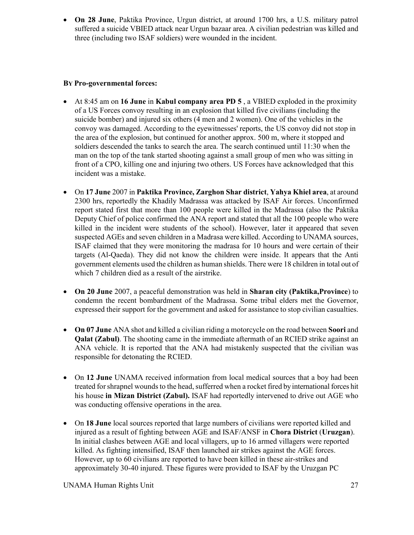• **On 28 June**, Paktika Province, Urgun district, at around 1700 hrs, a U.S. military patrol suffered a suicide VBIED attack near Urgun bazaar area. A civilian pedestrian was killed and three (including two ISAF soldiers) were wounded in the incident.

### **BY Pro-governmental forces:**

- At 8:45 am on **16 June** in **Kabul company area PD 5** , a VBIED exploded in the proximity of a US Forces convoy resulting in an explosion that killed five civilians (including the suicide bomber) and injured six others (4 men and 2 women). One of the vehicles in the convoy was damaged. According to the eyewitnesses' reports, the US convoy did not stop in the area of the explosion, but continued for another approx. 500 m, where it stopped and soldiers descended the tanks to search the area. The search continued until 11:30 when the man on the top of the tank started shooting against a small group of men who was sitting in front of a CPO, killing one and injuring two others. US Forces have acknowledged that this incident was a mistake.
- On **17 June** 2007 in **Paktika Province, Zarghon Shar district**, **Yahya Khiel area**, at around 2300 hrs, reportedly the Khadily Madrassa was attacked by ISAF Air forces. Unconfirmed report stated first that more than 100 people were killed in the Madrassa (also the Paktika Deputy Chief of police confirmed the ANA report and stated that all the 100 people who were killed in the incident were students of the school). However, later it appeared that seven suspected AGEs and seven children in a Madrasa were killed. According to UNAMA sources, ISAF claimed that they were monitoring the madrasa for 10 hours and were certain of their targets (Al-Qaeda). They did not know the children were inside. It appears that the Anti government elements used the children as human shields. There were 18 children in total out of which 7 children died as a result of the airstrike.
- **On 20 June** 2007, a peaceful demonstration was held in **Sharan city (Paktika,Province**) to condemn the recent bombardment of the Madrassa. Some tribal elders met the Governor, expressed their support for the government and asked for assistance to stop civilian casualties.
- **On 07 June** ANA shot and killed a civilian riding a motorcycle on the road between **Soori** and **Qalat (Zabul)**. The shooting came in the immediate aftermath of an RCIED strike against an ANA vehicle. It is reported that the ANA had mistakenly suspected that the civilian was responsible for detonating the RCIED.
- On **12 June** UNAMA received information from local medical sources that a boy had been treated for shrapnel wounds to the head, sufferred when a rocket fired by international forces hit his house **in Mizan District (Zabul).** ISAF had reportedly intervened to drive out AGE who was conducting offensive operations in the area.
- On **18 June** local sources reported that large numbers of civilians were reported killed and injured as a result of fighting between AGE and ISAF/ANSF in **Chora District** (**Uruzgan**). In initial clashes between AGE and local villagers, up to 16 armed villagers were reported killed. As fighting intensified, ISAF then launched air strikes against the AGE forces. However, up to 60 civilians are reported to have been killed in these air-strikes and approximately 30-40 injured. These figures were provided to ISAF by the Uruzgan PC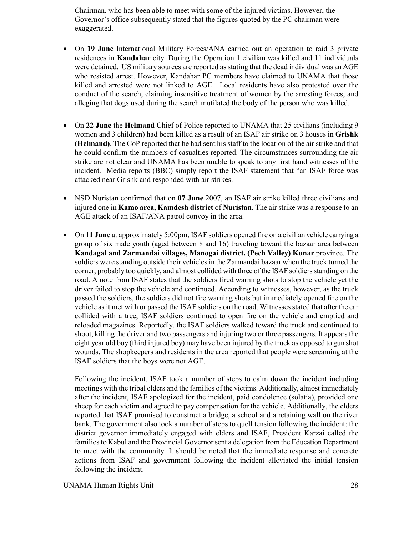Chairman, who has been able to meet with some of the injured victims. However, the Governor's office subsequently stated that the figures quoted by the PC chairman were exaggerated.

- On **19 June** International Military Forces/ANA carried out an operation to raid 3 private residences in **Kandahar** city. During the Operation 1 civilian was killed and 11 individuals were detained. US military sources are reported as stating that the dead individual was an AGE who resisted arrest. However, Kandahar PC members have claimed to UNAMA that those killed and arrested were not linked to AGE. Local residents have also protested over the conduct of the search, claiming insensitive treatment of women by the arresting forces, and alleging that dogs used during the search mutilated the body of the person who was killed.
- On 22 June the **Helmand** Chief of Police reported to UNAMA that 25 civilians (including 9 women and 3 children) had been killed as a result of an ISAF air strike on 3 houses in **Grishk (Helmand)**. The CoP reported that he had sent his staff to the location of the air strike and that he could confirm the numbers of casualties reported. The circumstances surrounding the air strike are not clear and UNAMA has been unable to speak to any first hand witnesses of the incident. Media reports (BBC) simply report the ISAF statement that "an ISAF force was attacked near Grishk and responded with air strikes.
- NSD Nuristan confirmed that on **07 June** 2007, an ISAF air strike killed three civilians and injured one in **Kamo area, Kamdesh district** of **Nuristan**. The air strike was a response to an AGE attack of an ISAF/ANA patrol convoy in the area.
- On **11 June** at approximately 5:00pm, ISAF soldiers opened fire on a civilian vehicle carrying a group of six male youth (aged between 8 and 16) traveling toward the bazaar area between **Kandagal and Zarmandai villages, Manogai district, (Pech Valley) Kunar** province. The soldiers were standing outside their vehicles in the Zarmandai bazaar when the truck turned the corner, probably too quickly, and almost collided with three of the ISAF soldiers standing on the road. A note from ISAF states that the soldiers fired warning shots to stop the vehicle yet the driver failed to stop the vehicle and continued. According to witnesses, however, as the truck passed the soldiers, the soldiers did not fire warning shots but immediately opened fire on the vehicle as it met with or passed the ISAF soldiers on the road. Witnesses stated that after the car collided with a tree, ISAF soldiers continued to open fire on the vehicle and emptied and reloaded magazines. Reportedly, the ISAF soldiers walked toward the truck and continued to shoot, killing the driver and two passengers and injuring two or three passengers. It appears the eight year old boy (third injured boy) may have been injured by the truck as opposed to gun shot wounds. The shopkeepers and residents in the area reported that people were screaming at the ISAF soldiers that the boys were not AGE.

Following the incident, ISAF took a number of steps to calm down the incident including meetings with the tribal elders and the families of the victims. Additionally, almost immediately after the incident, ISAF apologized for the incident, paid condolence (solatia), provided one sheep for each victim and agreed to pay compensation for the vehicle. Additionally, the elders reported that ISAF promised to construct a bridge, a school and a retaining wall on the river bank. The government also took a number of steps to quell tension following the incident: the district governor immediately engaged with elders and ISAF, President Karzai called the families to Kabul and the Provincial Governor sent a delegation from the Education Department to meet with the community. It should be noted that the immediate response and concrete actions from ISAF and government following the incident alleviated the initial tension following the incident.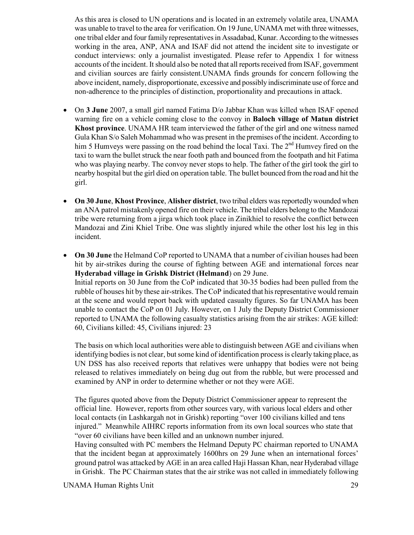As this area is closed to UN operations and is located in an extremely volatile area, UNAMA was unable to travel to the area for verification. On 19 June, UNAMA met with three witnesses, one tribal elder and four family representatives in Assadabad, Kunar. According to the witnesses working in the area, ANP, ANA and ISAF did not attend the incident site to investigate or conduct interviews: only a journalist investigated. Please refer to Appendix 1 for witness accounts of the incident. It should also be noted that all reports received from ISAF, government and civilian sources are fairly consistent.UNAMA finds grounds for concern following the above incident, namely, disproportionate, excessive and possibly indiscriminate use of force and non-adherence to the principles of distinction, proportionality and precautions in attack.

- On **3 June** 2007, a small girl named Fatima D/o Jabbar Khan was killed when ISAF opened warning fire on a vehicle coming close to the convoy in **Baloch village of Matun district Khost province**. UNAMA HR team interviewed the father of the girl and one witness named Gula Khan S/o Saleh Mohammad who was present in the premises of the incident. According to him 5 Humveys were passing on the road behind the local Taxi. The  $2<sup>nd</sup>$  Humvey fired on the taxi to warn the bullet struck the near footh path and bounced from the footpath and hit Fatima who was playing nearby. The convoy never stops to help. The father of the girl took the girl to nearby hospital but the girl died on operation table. The bullet bounced from the road and hit the girl.
- **On 30 June**, **Khost Province**, **Alisher district**, two tribal elders was reportedly wounded when an ANA patrol mistakenly opened fire on their vehicle. The tribal elders belong to the Mandozai tribe were returning from a jirga which took place in Zinikhiel to resolve the conflict between Mandozai and Zini Khiel Tribe. One was slightly injured while the other lost his leg in this incident.
- On 30 June the Helmand CoP reported to UNAMA that a number of civilian houses had been hit by air-strikes during the course of fighting between AGE and international forces near **Hyderabad village in Grishk District (Helmand**) on 29 June. Initial reports on 30 June from the CoP indicated that 30-35 bodies had been pulled from the rubble of houses hit by these air-strikes. The CoP indicated that his representative would remain at the scene and would report back with updated casualty figures. So far UNAMA has been unable to contact the CoP on 01 July. However, on 1 July the Deputy District Commissioner reported to UNAMA the following casualty statistics arising from the air strikes: AGE killed: 60, Civilians killed: 45, Civilians injured: 23

The basis on which local authorities were able to distinguish between AGE and civilians when identifying bodies is not clear, but some kind of identification process is clearly taking place, as UN DSS has also received reports that relatives were unhappy that bodies were not being released to relatives immediately on being dug out from the rubble, but were processed and examined by ANP in order to determine whether or not they were AGE.

The figures quoted above from the Deputy District Commissioner appear to represent the official line. However, reports from other sources vary, with various local elders and other local contacts (in Lashkargah not in Grishk) reporting "over 100 civilians killed and tens injured." Meanwhile AIHRC reports information from its own local sources who state that "over 60 civilians have been killed and an unknown number injured.

Having consulted with PC members the Helmand Deputy PC chairman reported to UNAMA that the incident began at approximately 1600hrs on 29 June when an international forces' ground patrol was attacked by AGE in an area called Haji Hassan Khan, near Hyderabad village in Grishk. The PC Chairman states that the air strike was not called in immediately following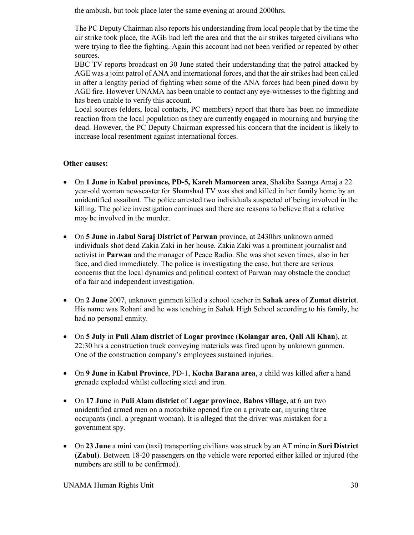the ambush, but took place later the same evening at around 2000hrs.

The PC Deputy Chairman also reports his understanding from local people that by the time the air strike took place, the AGE had left the area and that the air strikes targeted civilians who were trying to flee the fighting. Again this account had not been verified or repeated by other sources.

BBC TV reports broadcast on 30 June stated their understanding that the patrol attacked by AGE was a joint patrol of ANA and international forces, and that the air strikes had been called in after a lengthy period of fighting when some of the ANA forces had been pined down by AGE fire. However UNAMA has been unable to contact any eye-witnesses to the fighting and has been unable to verify this account.

Local sources (elders, local contacts, PC members) report that there has been no immediate reaction from the local population as they are currently engaged in mourning and burying the dead. However, the PC Deputy Chairman expressed his concern that the incident is likely to increase local resentment against international forces.

### **Other causes:**

- On **1 June** in **Kabul province, PD-5, Kareh Mamoreen area**, Shakiba Saanga Amaj a 22 year-old woman newscaster for Shamshad TV was shot and killed in her family home by an unidentified assailant. The police arrested two individuals suspected of being involved in the killing. The police investigation continues and there are reasons to believe that a relative may be involved in the murder.
- On **5 June** in **Jabul Saraj District of Parwan** province, at 2430hrs unknown armed individuals shot dead Zakia Zaki in her house. Zakia Zaki was a prominent journalist and activist in **Parwan** and the manager of Peace Radio. She was shot seven times, also in her face, and died immediately. The police is investigating the case, but there are serious concerns that the local dynamics and political context of Parwan may obstacle the conduct of a fair and independent investigation.
- On **2 June** 2007, unknown gunmen killed a school teacher in **Sahak area** of **Zumat district**. His name was Rohani and he was teaching in Sahak High School according to his family, he had no personal enmity.
- On **5 July** in **Puli Alam district** of **Logar province** (**Kolangar area, Qali Ali Khan**), at 22:30 hrs a construction truck conveying materials was fired upon by unknown gunmen. One of the construction company's employees sustained injuries.
- On **9 June** in **Kabul Province**, PD-1, **Kocha Barana area**, a child was killed after a hand grenade exploded whilst collecting steel and iron.
- On **17 June** in **Puli Alam district** of **Logar province**, **Babos village**, at 6 am two unidentified armed men on a motorbike opened fire on a private car, injuring three occupants (incl. a pregnant woman). It is alleged that the driver was mistaken for a government spy.
- On **23 June** a mini van (taxi) transporting civilians was struck by an AT mine in **Suri District (Zabul**). Between 18-20 passengers on the vehicle were reported either killed or injured (the numbers are still to be confirmed).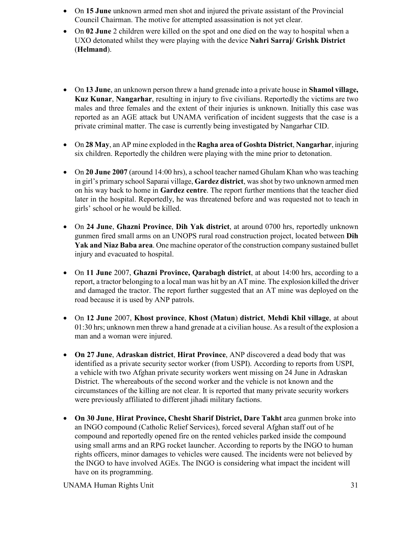- On **15 June** unknown armed men shot and injured the private assistant of the Provincial Council Chairman. The motive for attempted assassination is not yet clear.
- On 02 June 2 children were killed on the spot and one died on the way to hospital when a UXO detonated whilst they were playing with the device **Nahri Sarraj/ Grishk District** (**Helmand**).
- On **13 June**, an unknown person threw a hand grenade into a private house in **Shamol village, Kuz Kunar**, **Nangarhar**, resulting in injury to five civilians. Reportedly the victims are two males and three females and the extent of their injuries is unknown. Initially this case was reported as an AGE attack but UNAMA verification of incident suggests that the case is a private criminal matter. The case is currently being investigated by Nangarhar CID.
- On **28 May**, an AP mine exploded in the **Ragha area of Goshta District**, **Nangarhar**, injuring six children. Reportedly the children were playing with the mine prior to detonation.
- On **20 June 2007** (around 14:00 hrs), a school teacher named Ghulam Khan who was teaching in girl's primary school Saparai village, **Gardez district**, was shot by two unknown armed men on his way back to home in **Gardez centre**. The report further mentions that the teacher died later in the hospital. Reportedly, he was threatened before and was requested not to teach in girls' school or he would be killed.
- On **24 June**, **Ghazni Province**, **Dih Yak district**, at around 0700 hrs, reportedly unknown gunmen fired small arms on an UNOPS rural road construction project, located between **Dih Yak and Niaz Baba area**. One machine operator of the construction company sustained bullet injury and evacuated to hospital.
- On **11 June** 2007, **Ghazni Province, Qarabagh district**, at about 14:00 hrs, according to a report, a tractor belonging to a local man was hit by an AT mine. The explosion killed the driver and damaged the tractor. The report further suggested that an AT mine was deployed on the road because it is used by ANP patrols.
- On **12 June** 2007, **Khost province**, **Khost (Matun**) **district**, **Mehdi Khil village**, at about 01:30 hrs; unknown men threw a hand grenade at a civilian house. As a result of the explosion a man and a woman were injured.
- **On 27 June**, **Adraskan district**, **Hirat Province**, ANP discovered a dead body that was identified as a private security sector worker (from USPI). According to reports from USPI, a vehicle with two Afghan private security workers went missing on 24 June in Adraskan District. The whereabouts of the second worker and the vehicle is not known and the circumstances of the killing are not clear. It is reported that many private security workers were previously affiliated to different jihadi military factions.
- **On 30 June**, **Hirat Province, Chesht Sharif District, Dare Takht** area gunmen broke into an INGO compound (Catholic Relief Services), forced several Afghan staff out of he compound and reportedly opened fire on the rented vehicles parked inside the compound using small arms and an RPG rocket launcher. According to reports by the INGO to human rights officers, minor damages to vehicles were caused. The incidents were not believed by the INGO to have involved AGEs. The INGO is considering what impact the incident will have on its programming.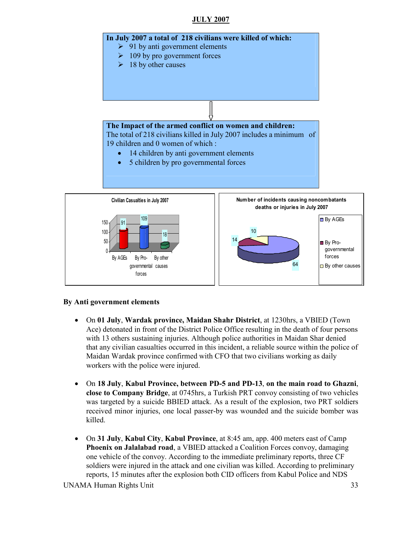### **JULY 2007**



#### **By Anti government elements**

- On **01 July**, **Wardak province, Maidan Shahr District**, at 1230hrs, a VBIED (Town Ace) detonated in front of the District Police Office resulting in the death of four persons with 13 others sustaining injuries. Although police authorities in Maidan Shar denied that any civilian casualties occurred in this incident, a reliable source within the police of Maidan Wardak province confirmed with CFO that two civilians working as daily workers with the police were injured.
- On **18 July**, **Kabul Province, between PD-5 and PD-13**, **on the main road to Ghazni**, **close to Company Bridge**, at 0745hrs, a Turkish PRT convoy consisting of two vehicles was targeted by a suicide BBIED attack. As a result of the explosion, two PRT soldiers received minor injuries, one local passer-by was wounded and the suicide bomber was killed.
- On **31 July**, **Kabul City**, **Kabul Province**, at 8:45 am, app. 400 meters east of Camp **Phoenix on Jalalabad road**, a VBIED attacked a Coalition Forces convoy, damaging one vehicle of the convoy. According to the immediate preliminary reports, three CF soldiers were injured in the attack and one civilian was killed. According to preliminary reports, 15 minutes after the explosion both CID officers from Kabul Police and NDS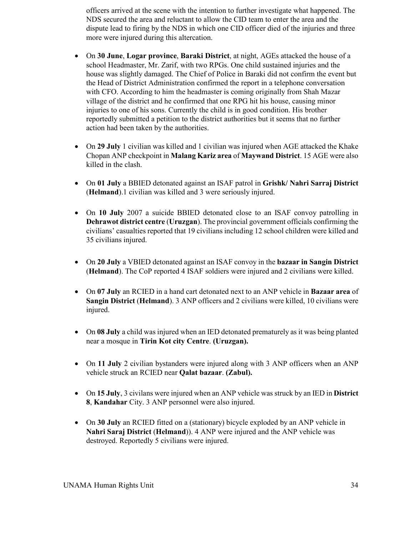officers arrived at the scene with the intention to further investigate what happened. The NDS secured the area and reluctant to allow the CID team to enter the area and the dispute lead to firing by the NDS in which one CID officer died of the injuries and three more were injured during this altercation.

- On **30 June**, **Logar province**, **Baraki District**, at night, AGEs attacked the house of a school Headmaster, Mr. Zarif, with two RPGs. One child sustained injuries and the house was slightly damaged. The Chief of Police in Baraki did not confirm the event but the Head of District Administration confirmed the report in a telephone conversation with CFO. According to him the headmaster is coming originally from Shah Mazar village of the district and he confirmed that one RPG hit his house, causing minor injuries to one of his sons. Currently the child is in good condition. His brother reportedly submitted a petition to the district authorities but it seems that no further action had been taken by the authorities.
- On **29 July** 1 civilian was killed and 1 civilian was injured when AGE attacked the Khake Chopan ANP checkpoint in **Malang Kariz area** of **Maywand District**. 15 AGE were also killed in the clash.
- On **01 July** a BBIED detonated against an ISAF patrol in **Grishk/ Nahri Sarraj District** (**Helmand**).1 civilian was killed and 3 were seriously injured.
- On **10 July** 2007 a suicide BBIED detonated close to an ISAF convoy patrolling in **Dehrawot district centre** (**Uruzgan**). The provincial government officials confirming the civilians' casualties reported that 19 civilians including 12 school children were killed and 35 civilians injured.
- On **20 July** a VBIED detonated against an ISAF convoy in the **bazaar in Sangin District** (**Helmand**). The CoP reported 4 ISAF soldiers were injured and 2 civilians were killed.
- On **07 July** an RCIED in a hand cart detonated next to an ANP vehicle in **Bazaar area** of **Sangin District** (**Helmand**). 3 ANP officers and 2 civilians were killed, 10 civilians were injured.
- On **08 July** a child was injured when an IED detonated prematurely as it was being planted near a mosque in **Tirin Kot city Centre**. **(Uruzgan).**
- On **11 July** 2 civilian bystanders were injured along with 3 ANP officers when an ANP vehicle struck an RCIED near **Qalat bazaar**. **(Zabul).**
- On **15 July**, 3 civilans were injured when an ANP vehicle was struck by an IED in **District 8**, **Kandahar** City. 3 ANP personnel were also injured.
- On **30 July** an RCIED fitted on a (stationary) bicycle exploded by an ANP vehicle in **Nahri Saraj District** (**Helmand**)). 4 ANP were injured and the ANP vehicle was destroyed. Reportedly 5 civilians were injured.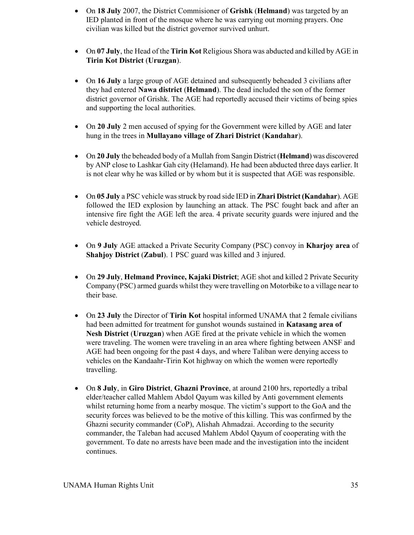- On **18 July** 2007, the District Commisioner of **Grishk** (**Helmand**) was targeted by an IED planted in front of the mosque where he was carrying out morning prayers. One civilian was killed but the district governor survived unhurt.
- On **07 July**, the Head of the **Tirin Kot** Religious Shora was abducted and killed by AGE in **Tirin Kot District** (**Uruzgan**).
- On **16 July** a large group of AGE detained and subsequently beheaded 3 civilians after they had entered **Nawa district** (**Helmand**). The dead included the son of the former district governor of Grishk. The AGE had reportedly accused their victims of being spies and supporting the local authorities.
- On **20 July** 2 men accused of spying for the Government were killed by AGE and later hung in the trees in **Mullayano village of Zhari District** (**Kandahar**).
- On **20 July** the beheaded body of a Mullah from Sangin District (**Helmand**) was discovered by ANP close to Lashkar Gah city (Helamand). He had been abducted three days earlier. It is not clear why he was killed or by whom but it is suspected that AGE was responsible.
- On **05 July** a PSC vehicle was struck by road side IED in **Zhari District (Kandahar**). AGE followed the IED explosion by launching an attack. The PSC fought back and after an intensive fire fight the AGE left the area. 4 private security guards were injured and the vehicle destroyed.
- On **9 July** AGE attacked a Private Security Company (PSC) convoy in **Kharjoy area** of **Shahjoy District** (**Zabul**). 1 PSC guard was killed and 3 injured.
- On **29 July**, **Helmand Province, Kajaki District**; AGE shot and killed 2 Private Security Company (PSC) armed guards whilst they were travelling on Motorbike to a village near to their base.
- On 23 July the Director of **Tirin Kot** hospital informed UNAMA that 2 female civilians had been admitted for treatment for gunshot wounds sustained in **Katasang area of Nesh District** (**Uruzgan**) when AGE fired at the private vehicle in which the women were traveling. The women were traveling in an area where fighting between ANSF and AGE had been ongoing for the past 4 days, and where Taliban were denying access to vehicles on the Kandaahr-Tirin Kot highway on which the women were reportedly travelling.
- On **8 July**, in **Giro District**, **Ghazni Province**, at around 2100 hrs, reportedly a tribal elder/teacher called Mahlem Abdol Qayum was killed by Anti government elements whilst returning home from a nearby mosque. The victim's support to the GoA and the security forces was believed to be the motive of this killing. This was confirmed by the Ghazni security commander (CoP), Alishah Ahmadzai. According to the security commander, the Taleban had accused Mahlem Abdol Qayum of cooperating with the government. To date no arrests have been made and the investigation into the incident continues.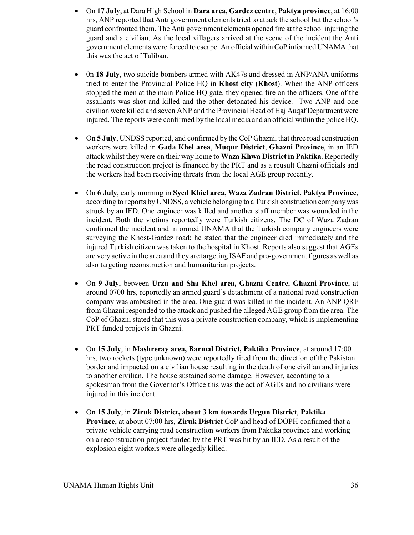- On **17 July**, at Dara High School in **Dara area**, **Gardez centre**, **Paktya province**, at 16:00 hrs, ANP reported that Anti government elements tried to attack the school but the school's guard confronted them. The Anti government elements opened fire at the school injuring the guard and a civilian. As the local villagers arrived at the scene of the incident the Anti government elements were forced to escape. An official within CoP informed UNAMA that this was the act of Taliban.
- 0n **18 July**, two suicide bombers armed with AK47s and dressed in ANP/ANA uniforms tried to enter the Provincial Police HQ in **Khost city (Khost**). When the ANP officers stopped the men at the main Police HQ gate, they opened fire on the officers. One of the assailants was shot and killed and the other detonated his device. Two ANP and one civilian were killed and seven ANP and the Provincial Head of Haj Auqaf Department were injured. The reports were confirmed by the local media and an official within the police HQ.
- On **5 July**, UNDSS reported, and confirmed by the CoP Ghazni, that three road construction workers were killed in **Gada Khel area**, **Muqur District**, **Ghazni Province**, in an IED attack whilst they were on their way home to **Waza Khwa District in Paktika**. Reportedly the road construction project is financed by the PRT and as a reusult Ghazni officials and the workers had been receiving threats from the local AGE group recently.
- On **6 July**, early morning in **Syed Khiel area, Waza Zadran District**, **Paktya Province**, according to reports by UNDSS, a vehicle belonging to a Turkish construction company was struck by an IED. One engineer was killed and another staff member was wounded in the incident. Both the victims reportedly were Turkish citizens. The DC of Waza Zadran confirmed the incident and informed UNAMA that the Turkish company engineers were surveying the Khost-Gardez road; he stated that the engineer died immediately and the injured Turkish citizen was taken to the hospital in Khost. Reports also suggest that AGEs are very active in the area and they are targeting ISAF and pro-government figures as well as also targeting reconstruction and humanitarian projects.
- On **9 July**, between **Urzu and Sha Khel area, Ghazni Centre**, **Ghazni Province**, at around 0700 hrs, reportedly an armed guard's detachment of a national road construction company was ambushed in the area. One guard was killed in the incident. An ANP QRF from Ghazni responded to the attack and pushed the alleged AGE group from the area. The CoP of Ghazni stated that this was a private construction company, which is implementing PRT funded projects in Ghazni.
- On **15 July**, in **Mashreray area, Barmal District, Paktika Province**, at around 17:00 hrs, two rockets (type unknown) were reportedly fired from the direction of the Pakistan border and impacted on a civilian house resulting in the death of one civilian and injuries to another civilian. The house sustained some damage. However, according to a spokesman from the Governor's Office this was the act of AGEs and no civilians were injured in this incident.
- On **15 July**, in **Ziruk District, about 3 km towards Urgun District**, **Paktika Province**, at about 07:00 hrs, **Ziruk District** CoP and head of DOPH confirmed that a private vehicle carrying road construction workers from Paktika province and working on a reconstruction project funded by the PRT was hit by an IED. As a result of the explosion eight workers were allegedly killed.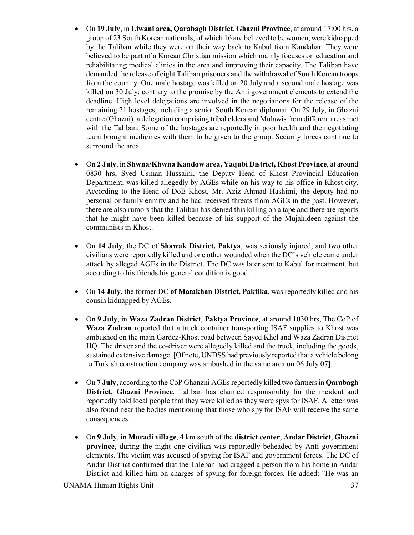- On **19 July**, in **Liwani area, Qarabagh District**, **Ghazni Province**, at around 17:00 hrs, a group of 23 South Korean nationals, of which 16 are believed to be women, were kidnapped by the Taliban while they were on their way back to Kabul from Kandahar. They were believed to be part of a Korean Christian mission which mainly focuses on education and rehabilitating medical clinics in the area and improving their capacity. The Taliban have demanded the release of eight Taliban prisoners and the withdrawal of South Korean troops from the country. One male hostage was killed on 20 July and a second male hostage was killed on 30 July; contrary to the promise by the Anti government elements to extend the deadline. High level delegations are involved in the negotiations for the release of the remaining 21 hostages, including a senior South Korean diplomat. On 29 July, in Ghazni centre (Ghazni), a delegation comprising tribal elders and Mulawis from different areas met with the Taliban. Some of the hostages are reportedly in poor health and the negotiating team brought medicines with them to be given to the group. Security forces continue to surround the area.
- On **2 July**, in **Shwna/Khwna Kandow area, Yaqubi District, Khost Province**, at around 0830 hrs, Syed Usman Hussaini, the Deputy Head of Khost Provincial Education Department, was killed allegedly by AGEs while on his way to his office in Khost city. According to the Head of DoE Khost, Mr. Aziz Ahmad Hashimi, the deputy had no personal or family enmity and he had received threats from AGEs in the past. However, there are also rumors that the Taliban has denied this killing on a tape and there are reports that he might have been killed because of his support of the Mujahideen against the communists in Khost.
- On **14 July**, the DC of **Shawak District, Paktya**, was seriously injured, and two other civilians were reportedly killed and one other wounded when the DC's vehicle came under attack by alleged AGEs in the District. The DC was later sent to Kabul for treatment, but according to his friends his general condition is good.
- On **14 July**, the former DC **of Matakhan District, Paktika**, was reportedly killed and his cousin kidnapped by AGEs.
- On **9 July**, in **Waza Zadran District**, **Paktya Province**, at around 1030 hrs, The CoP of **Waza Zadran** reported that a truck container transporting ISAF supplies to Khost was ambushed on the main Gardez-Khost road between Sayed Khel and Waza Zadran District HQ. The driver and the co-driver were allegedly killed and the truck, including the goods, sustained extensive damage. [Of note, UNDSS had previously reported that a vehicle belong to Turkish construction company was ambushed in the same area on 06 July 07].
- On **7 July**, according to the CoP Ghanzni AGEs reportedly killed two farmers in **Qarabagh District, Ghazni Province**. Taliban has claimed responsibility for the incident and reportedly told local people that they were killed as they were spys for ISAF. A letter was also found near the bodies mentioning that those who spy for ISAF will receive the same consequences.
- On **9 July**, in **Muradi village**, 4 km south of the **district center**, **Andar District**, **Ghazni province**, during the night one civilian was reportedly beheaded by Anti government elements. The victim was accused of spying for ISAF and government forces. The DC of Andar District confirmed that the Taleban had dragged a person from his home in Andar District and killed him on charges of spying for foreign forces. He added: "He was an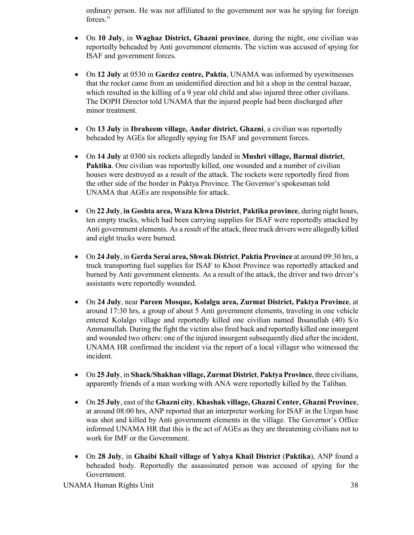ordinary person. He was not affiliated to the government nor was he spying for foreign forces."

- On **10 July**, in **Waghaz District, Ghazni province**, during the night, one civilian was reportedly beheaded by Anti government elements. The victim was accused of spying for ISAF and government forces.
- On **12 July** at 0530 in **Gardez centre, Paktia**, UNAMA was informed by eyewitnesses that the rocket came from an unidentified direction and hit a shop in the central bazaar, which resulted in the killing of a 9 year old child and also injured three other civilians. The DOPH Director told UNAMA that the injured people had been discharged after minor treatment.
- On **13 July** in **Ibraheem village, Andar district, Ghazni**, a civilian was reportedly beheaded by AGEs for allegedly spying for ISAF and government forces.
- On **14 July** at 0300 six rockets allegedly landed in **Mushri village, Barmal district**, **Paktika**. One civilian was reportedly killed, one wounded and a number of civilian houses were destroyed as a result of the attack. The rockets were reportedly fired from the other side of the border in Paktya Province. The Governor's spokesman told UNAMA that AGEs are responsible for attack.
- On **22 July**, **in Goshta area, Waza Khwa District**, **Paktika province**, during night hours, ten empty trucks, which had been carrying supplies for ISAF were reportedly attacked by Anti government elements. As a result of the attack, three truck drivers were allegedly killed and eight trucks were burned.
- On **24 July**, in **Gerda Serai area, Shwak District**, **Paktia Province** at around 09:30 hrs, a truck transporting fuel supplies for ISAF to Khost Province was reportedly attacked and burned by Anti government elements. As a result of the attack, the driver and two driver's assistants were reportedly wounded.
- On **24 July**, near **Pareen Mosque, Kolalgu area, Zurmat District, Paktya Province**, at around 17:30 hrs, a group of about 5 Anti government elements, traveling in one vehicle entered Kolalgo village and reportedly killed one civilian named Ihsanullah (40) S/o Ammanullah. During the fight the victim also fired back and reportedly killed one insurgent and wounded two others: one of the injured insurgent subsequently died after the incident, UNAMA HR confirmed the incident via the report of a local villager who witnessed the incident.
- On **25 July**, in **Shack/Shakhan village, Zurmat District**, **Paktya Province**, three civilians, apparently friends of a man working with ANA were reportedly killed by the Taliban.
- On **25 July**, east of the **Ghazni city**, **Khashak village, Ghazni Center, Ghazni Province**, at around 08:00 hrs, ANP reported that an interpreter working for ISAF in the Urgun base was shot and killed by Anti government elements in the village. The Governor's Office informed UNAMA HR that this is the act of AGEs as they are threatening civilians not to work for IMF or the Government.
- On **28 July**, in **Ghaibi Khail village of Yahya Khail District** (**Paktika**), ANP found a beheaded body. Reportedly the assassinated person was accused of spying for the Government.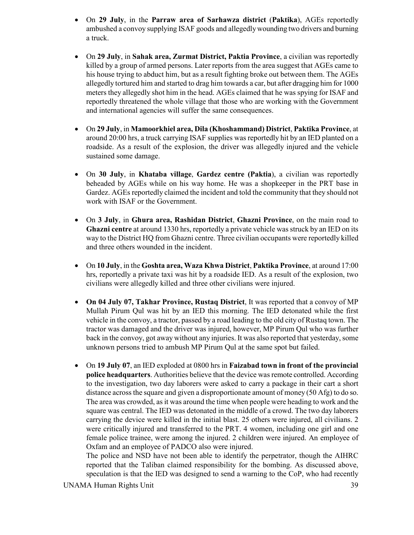- On **29 July**, in the **Parraw area of Sarhawza district** (**Paktika**), AGEs reportedly ambushed a convoy supplying ISAF goods and allegedly wounding two drivers and burning a truck.
- On **29 July**, in **Sahak area, Zurmat District, Paktia Province**, a civilian was reportedly killed by a group of armed persons. Later reports from the area suggest that AGEs came to his house trying to abduct him, but as a result fighting broke out between them. The AGEs allegedly tortured him and started to drag him towards a car, but after dragging him for 1000 meters they allegedly shot him in the head. AGEs claimed that he was spying for ISAF and reportedly threatened the whole village that those who are working with the Government and international agencies will suffer the same consequences.
- On **29 July**, in **Mamoorkhiel area, Dila (Khoshammand) District**, **Paktika Province**, at around 20:00 hrs, a truck carrying ISAF supplies was reportedly hit by an IED planted on a roadside. As a result of the explosion, the driver was allegedly injured and the vehicle sustained some damage.
- On **30 July**, in **Khataba village**, **Gardez centre (Paktia**), a civilian was reportedly beheaded by AGEs while on his way home. He was a shopkeeper in the PRT base in Gardez. AGEs reportedly claimed the incident and told the community that they should not work with ISAF or the Government.
- On **3 July**, in **Ghura area, Rashidan District**, **Ghazni Province**, on the main road to **Ghazni centre** at around 1330 hrs, reportedly a private vehicle was struck by an IED on its way to the District HQ from Ghazni centre. Three civilian occupants were reportedly killed and three others wounded in the incident.
- On **10 July**, in the **Goshta area, Waza Khwa District**, **Paktika Province**, at around 17:00 hrs, reportedly a private taxi was hit by a roadside IED. As a result of the explosion, two civilians were allegedly killed and three other civilians were injured.
- **On 04 July 07, Takhar Province, Rustaq District**, It was reported that a convoy of MP Mullah Pirum Qul was hit by an IED this morning. The IED detonated while the first vehicle in the convoy, a tractor, passed by a road leading to the old city of Rustaq town. The tractor was damaged and the driver was injured, however, MP Pirum Qul who was further back in the convoy, got away without any injuries. It was also reported that yesterday, some unknown persons tried to ambush MP Pirum Qul at the same spot but failed.
- On **19 July 07**, an IED exploded at 0800 hrs in **Faizabad town in front of the provincial police headquarters**. Authorities believe that the device was remote controlled. According to the investigation, two day laborers were asked to carry a package in their cart a short distance across the square and given a disproportionate amount of money (50 Afg) to do so. The area was crowded, as it was around the time when people were heading to work and the square was central. The IED was detonated in the middle of a crowd. The two day laborers carrying the device were killed in the initial blast. 25 others were injured, all civilians. 2 were critically injured and transferred to the PRT. 4 women, including one girl and one female police trainee, were among the injured. 2 children were injured. An employee of Oxfam and an employee of PADCO also were injured.

The police and NSD have not been able to identify the perpetrator, though the AIHRC reported that the Taliban claimed responsibility for the bombing. As discussed above, speculation is that the IED was designed to send a warning to the CoP, who had recently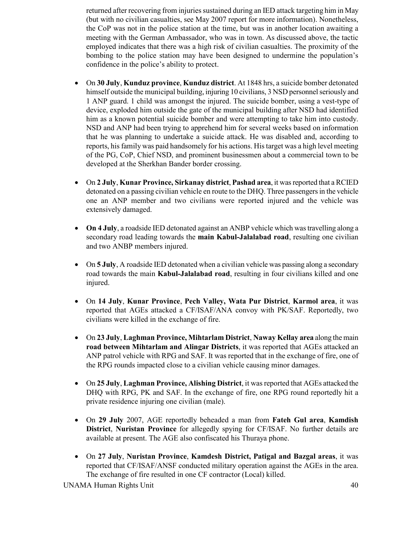returned after recovering from injuries sustained during an IED attack targeting him in May (but with no civilian casualties, see May 2007 report for more information). Nonetheless, the CoP was not in the police station at the time, but was in another location awaiting a meeting with the German Ambassador, who was in town. As discussed above, the tactic employed indicates that there was a high risk of civilian casualties. The proximity of the bombing to the police station may have been designed to undermine the population's confidence in the police's ability to protect.

- On **30 July**, **Kunduz province**, **Kunduz district**. At 1848 hrs, a suicide bomber detonated himself outside the municipal building, injuring 10 civilians, 3 NSD personnel seriously and 1 ANP guard. 1 child was amongst the injured. The suicide bomber, using a vest-type of device, exploded him outside the gate of the municipal building after NSD had identified him as a known potential suicide bomber and were attempting to take him into custody. NSD and ANP had been trying to apprehend him for several weeks based on information that he was planning to undertake a suicide attack. He was disabled and, according to reports, his family was paid handsomely for his actions. His target was a high level meeting of the PG, CoP, Chief NSD, and prominent businessmen about a commercial town to be developed at the Sherkhan Bander border crossing.
- On **2 July**, **Kunar Province, Sirkanay district**, **Pashad area**, it was reported that a RCIED detonated on a passing civilian vehicle en route to the DHQ. Three passengers in the vehicle one an ANP member and two civilians were reported injured and the vehicle was extensively damaged.
- **On 4 July**, a roadside IED detonated against an ANBP vehicle which was travelling along a secondary road leading towards the **main Kabul-Jalalabad road**, resulting one civilian and two ANBP members injured.
- On **5 July**, A roadside IED detonated when a civilian vehicle was passing along a secondary road towards the main **Kabul-Jalalabad road**, resulting in four civilians killed and one injured.
- On **14 July**, **Kunar Province**, **Pech Valley, Wata Pur District**, **Karmol area**, it was reported that AGEs attacked a CF/ISAF/ANA convoy with PK/SAF. Reportedly, two civilians were killed in the exchange of fire.
- On **23 July**, **Laghman Province, Mihtarlam District**, **Naway Kellay area** along the main **road between Mihtarlam and Alingar Districts**, it was reported that AGEs attacked an ANP patrol vehicle with RPG and SAF. It was reported that in the exchange of fire, one of the RPG rounds impacted close to a civilian vehicle causing minor damages.
- On **25 July**, **Laghman Province, Alishing District**, it was reported that AGEs attacked the DHQ with RPG, PK and SAF. In the exchange of fire, one RPG round reportedly hit a private residence injuring one civilian (male).
- On **29 July** 2007, AGE reportedly beheaded a man from **Fateh Gul area**, **Kamdish District**, **Nuristan Province** for allegedly spying for CF/ISAF. No further details are available at present. The AGE also confiscated his Thuraya phone.
- On **27 July**, **Nuristan Province**, **Kamdesh District, Patigal and Bazgal areas**, it was reported that CF/ISAF/ANSF conducted military operation against the AGEs in the area. The exchange of fire resulted in one CF contractor (Local) killed.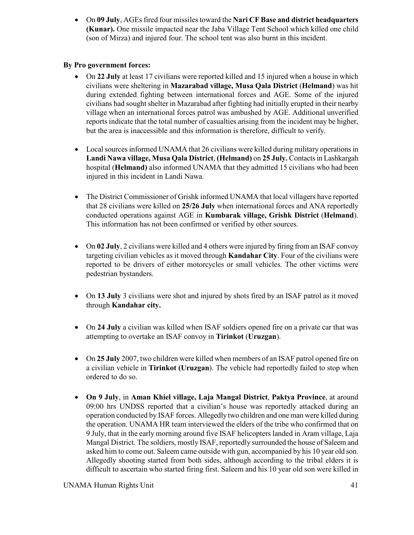• On **09 July**, AGEs fired four missiles toward the **Nari CF Base and district headquarters (Kunar).** One missile impacted near the Jaba Village Tent School which killed one child (son of Mirza) and injured four. The school tent was also burnt in this incident.

# **By Pro government forces:**

- On 22 July at least 17 civilians were reported killed and 15 injured when a house in which civilians were sheltering in **Mazarabad village, Musa Qala District** (**Helmand**) was hit during extended fighting between international forces and AGE. Some of the injured civilians had sought shelter in Mazarabad after fighting had initially erupted in their nearby village when an international forces patrol was ambushed by AGE. Additional unverified reports indicate that the total number of casualties arising from the incident may be higher, but the area is inaccessible and this information is therefore, difficult to verify.
- Local sources informed UNAMA that 26 civilians were killed during military operations in **Landi Nawa village, Musa Qala District**, **(Helmand)** on **25 July.** Contacts in Lashkargah hospital (**Helmand)** also informed UNAMA that they admitted 15 civilians who had been injured in this incident in Landi Nawa.
- The District Commissioner of Grishk informed UNAMA that local villagers have reported that 28 civilians were killed on **25/26 July** when international forces and ANA reportedly conducted operations against AGE in **Kumbarak village, Grishk District** (**Helmand**). This information has not been confirmed or verified by other sources.
- On 02 July, 2 civilians were killed and 4 others were injured by firing from an ISAF convoy targeting civilian vehicles as it moved through **Kandahar City**. Four of the civilians were reported to be drivers of either motorcycles or small vehicles. The other victims were pedestrian bystanders.
- On 13 July 3 civilians were shot and injured by shots fired by an ISAF patrol as it moved through **Kandahar city.**
- On **24 July** a civilian was killed when ISAF soldiers opened fire on a private car that was attempting to overtake an ISAF convoy in **Tirinkot** (**Uruzgan**).
- On **25 July** 2007, two children were killed when members of an ISAF patrol opened fire on a civilian vehicle in **Tirinkot (Uruzgan**). The vehicle had reportedly failed to stop when ordered to do so.
- **On 9 July**, in **Aman Khiel village, Laja Mangal District**, **Paktya Province**, at around 09:00 hrs UNDSS reported that a civilian's house was reportedly attacked during an operation conducted by ISAF forces. Allegedly two children and one man were killed during the operation. UNAMA HR team interviewed the elders of the tribe who confirmed that on 9 July, that in the early morning around five ISAF helicopters landed in Aram village, Laja Mangal District. The soldiers, mostly ISAF, reportedly surrounded the house of Saleem and asked him to come out. Saleem came outside with gun, accompanied by his 10 year old son. Allegedly shooting started from both sides, although according to the tribal elders it is difficult to ascertain who started firing first. Saleem and his 10 year old son were killed in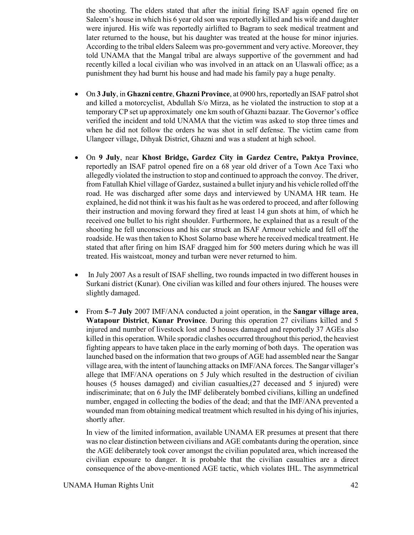the shooting. The elders stated that after the initial firing ISAF again opened fire on Saleem's house in which his 6 year old son was reportedly killed and his wife and daughter were injured. His wife was reportedly airlifted to Bagram to seek medical treatment and later returned to the house, but his daughter was treated at the house for minor injuries. According to the tribal elders Saleem was pro-government and very active. Moreover, they told UNAMA that the Mangal tribal are always supportive of the government and had recently killed a local civilian who was involved in an attack on an Ulaswali office; as a punishment they had burnt his house and had made his family pay a huge penalty.

- On **3 July**, in **Ghazni centre**, **Ghazni Province**, at 0900 hrs, reportedly an ISAF patrol shot and killed a motorcyclist, Abdullah S/o Mirza, as he violated the instruction to stop at a temporary CP set up approximately one km south of Ghazni bazaar. The Governor's office verified the incident and told UNAMA that the victim was asked to stop three times and when he did not follow the orders he was shot in self defense. The victim came from Ulangeer village, Dihyak District, Ghazni and was a student at high school.
- On **9 July**, near **Khost Bridge, Gardez City in Gardez Centre, Paktya Province**, reportedly an ISAF patrol opened fire on a 68 year old driver of a Town Ace Taxi who allegedly violated the instruction to stop and continued to approach the convoy. The driver, from Fatullah Khiel village of Gardez, sustained a bullet injury and his vehicle rolled off the road. He was discharged after some days and interviewed by UNAMA HR team. He explained, he did not think it was his fault as he was ordered to proceed, and after following their instruction and moving forward they fired at least 14 gun shots at him, of which he received one bullet to his right shoulder. Furthermore, he explained that as a result of the shooting he fell unconscious and his car struck an ISAF Armour vehicle and fell off the roadside. He was then taken to Khost Solarno base where he received medical treatment. He stated that after firing on him ISAF dragged him for 500 meters during which he was ill treated. His waistcoat, money and turban were never returned to him.
- In July 2007 As a result of ISAF shelling, two rounds impacted in two different houses in Surkani district (Kunar). One civilian was killed and four others injured. The houses were slightly damaged.
- From **5–7 July** 2007 IMF/ANA conducted a joint operation, in the **Sangar village area**, **Watapour District**, **Kunar Province**. During this operation 27 civilians killed and 5 injured and number of livestock lost and 5 houses damaged and reportedly 37 AGEs also killed in this operation. While sporadic clashes occurred throughout this period, the heaviest fighting appears to have taken place in the early morning of both days. The operation was launched based on the information that two groups of AGE had assembled near the Sangar village area, with the intent of launching attacks on IMF/ANA forces. The Sangar villager's allege that IMF/ANA operations on 5 July which resulted in the destruction of civilian houses (5 houses damaged) and civilian casualties,(27 deceased and 5 injured) were indiscriminate; that on 6 July the IMF deliberately bombed civilians, killing an undefined number, engaged in collecting the bodies of the dead; and that the IMF/ANA prevented a wounded man from obtaining medical treatment which resulted in his dying of his injuries, shortly after.

In view of the limited information, available UNAMA ER presumes at present that there was no clear distinction between civilians and AGE combatants during the operation, since the AGE deliberately took cover amongst the civilian populated area, which increased the civilian exposure to danger. It is probable that the civilian casualties are a direct consequence of the above-mentioned AGE tactic, which violates IHL. The asymmetrical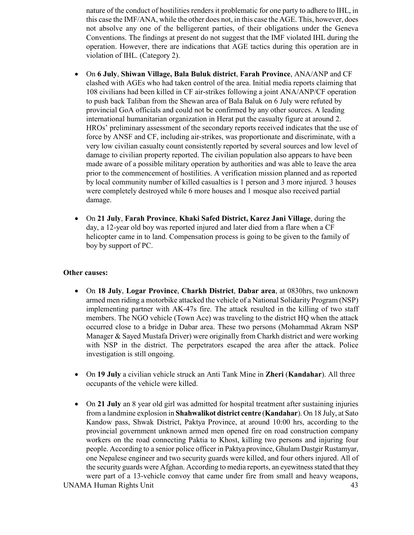nature of the conduct of hostilities renders it problematic for one party to adhere to IHL, in this case the IMF/ANA, while the other does not, in this case the AGE. This, however, does not absolve any one of the belligerent parties, of their obligations under the Geneva Conventions. The findings at present do not suggest that the IMF violated IHL during the operation. However, there are indications that AGE tactics during this operation are in violation of IHL. (Category 2).

- On **6 July**, **Shiwan Village, Bala Buluk district**, **Farah Province**, ANA/ANP and CF clashed with AGEs who had taken control of the area. Initial media reports claiming that 108 civilians had been killed in CF air-strikes following a joint ANA/ANP/CF operation to push back Taliban from the Shewan area of Bala Baluk on 6 July were refuted by provincial GoA officials and could not be confirmed by any other sources. A leading international humanitarian organization in Herat put the casualty figure at around 2. HROs' preliminary assessment of the secondary reports received indicates that the use of force by ANSF and CF, including air-strikes, was proportionate and discriminate, with a very low civilian casualty count consistently reported by several sources and low level of damage to civilian property reported. The civilian population also appears to have been made aware of a possible military operation by authorities and was able to leave the area prior to the commencement of hostilities. A verification mission planned and as reported by local community number of killed casualties is 1 person and 3 more injured. 3 houses were completely destroyed while 6 more houses and 1 mosque also received partial damage.
- On **21 July**, **Farah Province**, **Khaki Safed District, Karez Jani Village**, during the day, a 12-year old boy was reported injured and later died from a flare when a CF helicopter came in to land. Compensation process is going to be given to the family of boy by support of PC.

#### **Other causes:**

- On **18 July**, **Logar Province**, **Charkh District**, **Dabar area**, at 0830hrs, two unknown armed men riding a motorbike attacked the vehicle of a National Solidarity Program (NSP) implementing partner with AK-47s fire. The attack resulted in the killing of two staff members. The NGO vehicle (Town Ace) was traveling to the district HQ when the attack occurred close to a bridge in Dabar area. These two persons (Mohammad Akram NSP Manager & Sayed Mustafa Driver) were originally from Charkh district and were working with NSP in the district. The perpetrators escaped the area after the attack. Police investigation is still ongoing.
- On **19 July** a civilian vehicle struck an Anti Tank Mine in **Zheri** (**Kandahar**). All three occupants of the vehicle were killed.
- On 21 July an 8 year old girl was admitted for hospital treatment after sustaining injuries from a landmine explosion in **Shahwalikot district centre** (**Kandahar**). On 18 July, at Sato Kandow pass, Shwak District, Paktya Province, at around 10:00 hrs, according to the provincial government unknown armed men opened fire on road construction company workers on the road connecting Paktia to Khost, killing two persons and injuring four people. According to a senior police officer in Paktya province, Ghulam Dastgir Rustamyar, one Nepalese engineer and two security guards were killed, and four others injured. All of the security guards were Afghan. According to media reports, an eyewitness stated that they were part of a 13-vehicle convoy that came under fire from small and heavy weapons,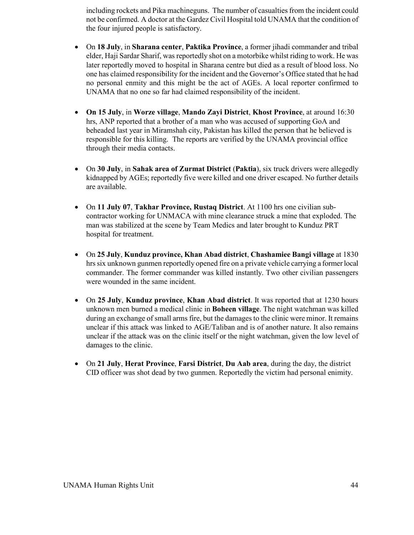including rockets and Pika machineguns. The number of casualties from the incident could not be confirmed. A doctor at the Gardez Civil Hospital told UNAMA that the condition of the four injured people is satisfactory.

- On **18 July**, in **Sharana center**, **Paktika Province**, a former jihadi commander and tribal elder, Haji Sardar Sharif, was reportedly shot on a motorbike whilst riding to work. He was later reportedly moved to hospital in Sharana centre but died as a result of blood loss. No one has claimed responsibility for the incident and the Governor's Office stated that he had no personal enmity and this might be the act of AGEs. A local reporter confirmed to UNAMA that no one so far had claimed responsibility of the incident.
- **On 15 July**, in **Worze village**, **Mando Zayi District**, **Khost Province**, at around 16:30 hrs, ANP reported that a brother of a man who was accused of supporting GoA and beheaded last year in Miramshah city, Pakistan has killed the person that he believed is responsible for this killing. The reports are verified by the UNAMA provincial office through their media contacts.
- On **30 July**, in **Sahak area of Zurmat District** (**Paktia**), six truck drivers were allegedly kidnapped by AGEs; reportedly five were killed and one driver escaped. No further details are available.
- On **11 July 07**, **Takhar Province, Rustaq District**. At 1100 hrs one civilian subcontractor working for UNMACA with mine clearance struck a mine that exploded. The man was stabilized at the scene by Team Medics and later brought to Kunduz PRT hospital for treatment.
- On **25 July**, **Kunduz province, Khan Abad district**, **Chashamiee Bangi village** at 1830 hrs six unknown gunmen reportedly opened fire on a private vehicle carrying a former local commander. The former commander was killed instantly. Two other civilian passengers were wounded in the same incident.
- On **25 July**, **Kunduz province**, **Khan Abad district**. It was reported that at 1230 hours unknown men burned a medical clinic in **Boheen village**. The night watchman was killed during an exchange of small arms fire, but the damages to the clinic were minor. It remains unclear if this attack was linked to AGE/Taliban and is of another nature. It also remains unclear if the attack was on the clinic itself or the night watchman, given the low level of damages to the clinic.
- On **21 July**, **Herat Province**, **Farsi District**, **Du Aab area**, during the day, the district CID officer was shot dead by two gunmen. Reportedly the victim had personal enimity.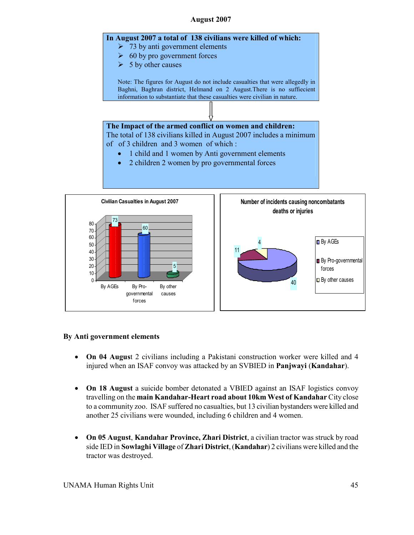#### **August 2007**





# **By Anti government elements**

- **On 04 Augus**t 2 civilians including a Pakistani construction worker were killed and 4 injured when an ISAF convoy was attacked by an SVBIED in **Panjwayi** (**Kandahar**).
- **On 18 August** a suicide bomber detonated a VBIED against an ISAF logistics convoy travelling on the **main Kandahar-Heart road about 10km West of Kandahar** City close to a community zoo. ISAF suffered no casualties, but 13 civilian bystanders were killed and another 25 civilians were wounded, including 6 children and 4 women.
- **On 05 August**, **Kandahar Province, Zhari District**, a civilian tractor was struck by road side IED in **Sowlaghi Village** of **Zhari District**, (**Kandahar**) 2 civilians were killed and the tractor was destroyed.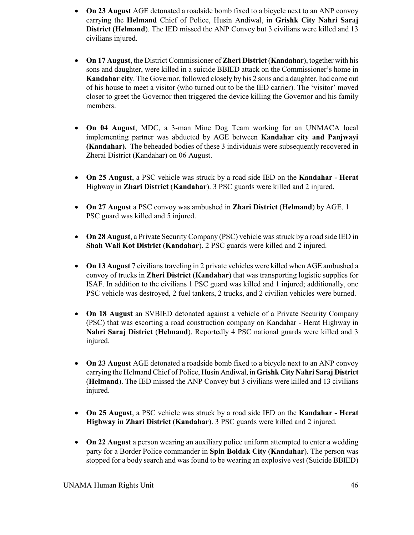- **On 23 August** AGE detonated a roadside bomb fixed to a bicycle next to an ANP convoy carrying the **Helmand** Chief of Police, Husin Andiwal, in **Grishk City Nahri Saraj District (Helmand**). The IED missed the ANP Convey but 3 civilians were killed and 13 civilians injured.
- **On 17 August**, the District Commissioner of **Zheri District** (**Kandahar**), together with his sons and daughter, were killed in a suicide BBIED attack on the Commissioner's home in **Kandahar city**. The Governor, followed closely by his 2 sons and a daughter, had come out of his house to meet a visitor (who turned out to be the IED carrier). The 'visitor' moved closer to greet the Governor then triggered the device killing the Governor and his family members.
- **On 04 August**, MDC, a 3-man Mine Dog Team working for an UNMACA local implementing partner was abducted by AGE between **Kandaha**r **city and Panjwayi (Kandahar).** The beheaded bodies of these 3 individuals were subsequently recovered in Zherai District (Kandahar) on 06 August.
- **On 25 August**, a PSC vehicle was struck by a road side IED on the **Kandahar Herat** Highway in **Zhari District** (**Kandahar**). 3 PSC guards were killed and 2 injured.
- **On 27 August** a PSC convoy was ambushed in **Zhari District** (**Helmand**) by AGE. 1 PSC guard was killed and 5 injured.
- **On 28 August**, a Private Security Company (PSC) vehicle was struck by a road side IED in **Shah Wali Kot District** (**Kandahar**). 2 PSC guards were killed and 2 injured.
- **On 13 August** 7 civilians traveling in 2 private vehicles were killed when AGE ambushed a convoy of trucks in **Zheri District** (**Kandahar**) that was transporting logistic supplies for ISAF. In addition to the civilians 1 PSC guard was killed and 1 injured; additionally, one PSC vehicle was destroyed, 2 fuel tankers, 2 trucks, and 2 civilian vehicles were burned.
- **On 18 August** an SVBIED detonated against a vehicle of a Private Security Company (PSC) that was escorting a road construction company on Kandahar - Herat Highway in **Nahri Saraj District** (**Helmand**). Reportedly 4 PSC national guards were killed and 3 injured.
- **On 23 August** AGE detonated a roadside bomb fixed to a bicycle next to an ANP convoy carrying the Helmand Chief of Police, Husin Andiwal, in **Grishk City Nahri Saraj District** (**Helmand**). The IED missed the ANP Convey but 3 civilians were killed and 13 civilians injured.
- **On 25 August**, a PSC vehicle was struck by a road side IED on the **Kandahar Herat Highway in Zhari District** (**Kandahar**). 3 PSC guards were killed and 2 injured.
- **On 22 August** a person wearing an auxiliary police uniform attempted to enter a wedding party for a Border Police commander in **Spin Boldak City** (**Kandahar**). The person was stopped for a body search and was found to be wearing an explosive vest (Suicide BBIED)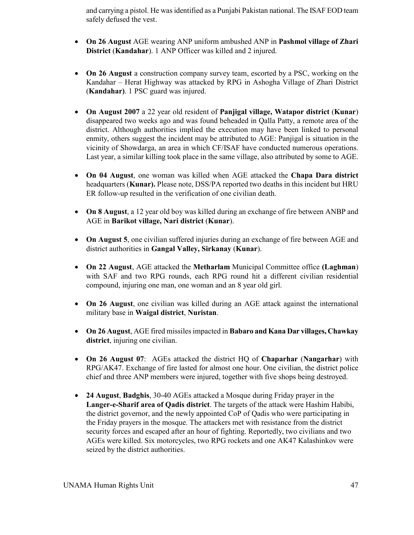and carrying a pistol. He was identified as a Punjabi Pakistan national. The ISAF EOD team safely defused the vest.

- **On 26 August** AGE wearing ANP uniform ambushed ANP in **Pashmol village of Zhari District** (**Kandahar**). 1 ANP Officer was killed and 2 injured.
- **On 26 August** a construction company survey team, escorted by a PSC, working on the Kandahar – Herat Highway was attacked by RPG in Ashogha Village of Zhari District (**Kandahar)**. 1 PSC guard was injured.
- **On August 2007** a 22 year old resident of **Panjigal village, Watapor district** (**Kunar**) disappeared two weeks ago and was found beheaded in Qalla Patty, a remote area of the district. Although authorities implied the execution may have been linked to personal enmity, others suggest the incident may be attributed to AGE: Panjigal is situation in the vicinity of Showdarga, an area in which CF/ISAF have conducted numerous operations. Last year, a similar killing took place in the same village, also attributed by some to AGE.
- **On 04 August**, one woman was killed when AGE attacked the **Chapa Dara district** headquarters (**Kunar).** Please note, DSS/PA reported two deaths in this incident but HRU ER follow-up resulted in the verification of one civilian death.
- **On 8 August**, a 12 year old boy was killed during an exchange of fire between ANBP and AGE in **Barikot village, Nari district** (**Kunar**).
- **On August 5**, one civilian suffered injuries during an exchange of fire between AGE and district authorities in **Gangal Valley, Sirkanay** (**Kunar**).
- **On 22 August**, AGE attacked the **Metharlam** Municipal Committee office **(Laghman**) with SAF and two RPG rounds, each RPG round hit a different civilian residential compound, injuring one man, one woman and an 8 year old girl.
- **On 26 August**, one civilian was killed during an AGE attack against the international military base in **Waigal district**, **Nuristan**.
- **On 26 August**, AGE fired missiles impacted in **Babaro and Kana Dar villages, Chawkay district**, injuring one civilian.
- **On 26 August 07**: AGEs attacked the district HQ of **Chaparhar** (**Nangarhar**) with RPG/AK47. Exchange of fire lasted for almost one hour. One civilian, the district police chief and three ANP members were injured, together with five shops being destroyed.
- **24 August**, **Badghis**, 30-40 AGEs attacked a Mosque during Friday prayer in the **Langer-e-Sharif area of Qadis district**. The targets of the attack were Hashim Habibi, the district governor, and the newly appointed CoP of Qadis who were participating in the Friday prayers in the mosque. The attackers met with resistance from the district security forces and escaped after an hour of fighting. Reportedly, two civilians and two AGEs were killed. Six motorcycles, two RPG rockets and one AK47 Kalashinkov were seized by the district authorities.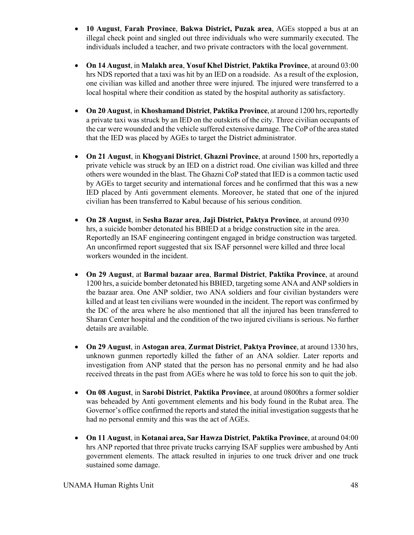- **10 August**, **Farah Province**, **Bakwa District, Puzak area**, AGEs stopped a bus at an illegal check point and singled out three individuals who were summarily executed. The individuals included a teacher, and two private contractors with the local government.
- **On 14 August**, in **Malakh area**, **Yosuf Khel District**, **Paktika Province**, at around 03:00 hrs NDS reported that a taxi was hit by an IED on a roadside. As a result of the explosion, one civilian was killed and another three were injured. The injured were transferred to a local hospital where their condition as stated by the hospital authority as satisfactory.
- **On 20 August**, in **Khoshamand District**, **Paktika Province**, at around 1200 hrs, reportedly a private taxi was struck by an IED on the outskirts of the city. Three civilian occupants of the car were wounded and the vehicle suffered extensive damage. The CoP of the area stated that the IED was placed by AGEs to target the District administrator.
- **On 21 August**, in **Khogyani District**, **Ghazni Province**, at around 1500 hrs, reportedly a private vehicle was struck by an IED on a district road. One civilian was killed and three others were wounded in the blast. The Ghazni CoP stated that IED is a common tactic used by AGEs to target security and international forces and he confirmed that this was a new IED placed by Anti government elements. Moreover, he stated that one of the injured civilian has been transferred to Kabul because of his serious condition.
- **On 28 August**, in **Sesha Bazar area**, **Jaji District, Paktya Province**, at around 0930 hrs, a suicide bomber detonated his BBIED at a bridge construction site in the area. Reportedly an ISAF engineering contingent engaged in bridge construction was targeted. An unconfirmed report suggested that six ISAF personnel were killed and three local workers wounded in the incident.
- **On 29 August**, at **Barmal bazaar area**, **Barmal District**, **Paktika Province**, at around 1200 hrs, a suicide bomber detonated his BBIED, targeting some ANA and ANP soldiers in the bazaar area. One ANP soldier, two ANA soldiers and four civilian bystanders were killed and at least ten civilians were wounded in the incident. The report was confirmed by the DC of the area where he also mentioned that all the injured has been transferred to Sharan Center hospital and the condition of the two injured civilians is serious. No further details are available.
- **On 29 August**, in **Astogan area**, **Zurmat District**, **Paktya Province**, at around 1330 hrs, unknown gunmen reportedly killed the father of an ANA soldier. Later reports and investigation from ANP stated that the person has no personal enmity and he had also received threats in the past from AGEs where he was told to force his son to quit the job.
- **On 08 August**, in **Sarobi District**, **Paktika Province**, at around 0800hrs a former soldier was beheaded by Anti government elements and his body found in the Rubat area. The Governor's office confirmed the reports and stated the initial investigation suggests that he had no personal enmity and this was the act of AGEs.
- **On 11 August**, in **Kotanai area, Sar Hawza District**, **Paktika Province**, at around 04:00 hrs ANP reported that three private trucks carrying ISAF supplies were ambushed by Anti government elements. The attack resulted in injuries to one truck driver and one truck sustained some damage.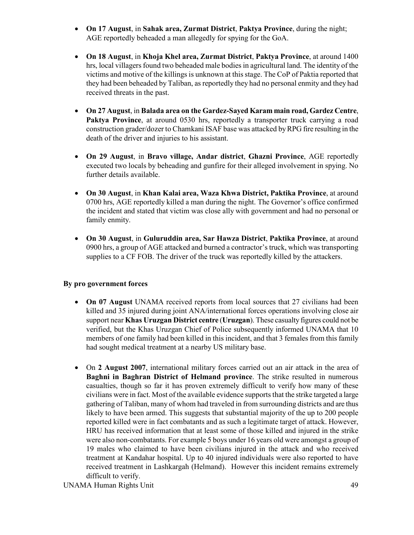- **On 17 August**, in **Sahak area, Zurmat District**, **Paktya Province**, during the night; AGE reportedly beheaded a man allegedly for spying for the GoA.
- **On 18 August**, in **Khoja Khel area, Zurmat District**, **Paktya Province**, at around 1400 hrs, local villagers found two beheaded male bodies in agricultural land. The identity of the victims and motive of the killings is unknown at this stage. The CoP of Paktia reported that they had been beheaded by Taliban, as reportedly they had no personal enmity and they had received threats in the past.
- **On 27 August**, in **Balada area on the Gardez-Sayed Karam main road, Gardez Centre**, **Paktya Province**, at around 0530 hrs, reportedly a transporter truck carrying a road construction grader/dozer to Chamkani ISAF base was attacked by RPG fire resulting in the death of the driver and injuries to his assistant.
- **On 29 August**, in **Bravo village, Andar district**, **Ghazni Province**, AGE reportedly executed two locals by beheading and gunfire for their alleged involvement in spying. No further details available.
- **On 30 August**, in **Khan Kalai area, Waza Khwa District, Paktika Province**, at around 0700 hrs, AGE reportedly killed a man during the night. The Governor's office confirmed the incident and stated that victim was close ally with government and had no personal or family enmity.
- **On 30 August**, in **Guluruddin area, Sar Hawza District**, **Paktika Province**, at around 0900 hrs, a group of AGE attacked and burned a contractor's truck, which was transporting supplies to a CF FOB. The driver of the truck was reportedly killed by the attackers.

# **By pro government forces**

- **On 07 August** UNAMA received reports from local sources that 27 civilians had been killed and 35 injured during joint ANA/international forces operations involving close air support near **Khas Uruzgan District centre** (**Uruzgan**). These casualty figures could not be verified, but the Khas Uruzgan Chief of Police subsequently informed UNAMA that 10 members of one family had been killed in this incident, and that 3 females from this family had sought medical treatment at a nearby US military base.
- On **2 August 2007**, international military forces carried out an air attack in the area of **Baghni in Baghran District of Helmand province**. The strike resulted in numerous casualties, though so far it has proven extremely difficult to verify how many of these civilians were in fact. Most of the available evidence supports that the strike targeted a large gathering of Taliban, many of whom had traveled in from surrounding districts and are thus likely to have been armed. This suggests that substantial majority of the up to 200 people reported killed were in fact combatants and as such a legitimate target of attack. However, HRU has received information that at least some of those killed and injured in the strike were also non-combatants. For example 5 boys under 16 years old were amongst a group of 19 males who claimed to have been civilians injured in the attack and who received treatment at Kandahar hospital. Up to 40 injured individuals were also reported to have received treatment in Lashkargah (Helmand). However this incident remains extremely difficult to verify.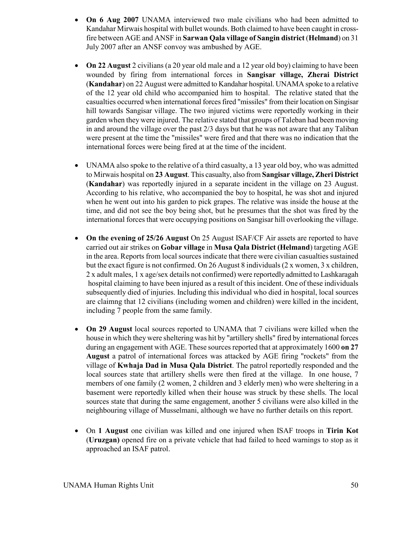- **On 6 Aug 2007** UNAMA interviewed two male civilians who had been admitted to Kandahar Mirwais hospital with bullet wounds. Both claimed to have been caught in crossfire between AGE and ANSF in **Sarwan Qala village of Sangin district** (**Helmand**) on 31 July 2007 after an ANSF convoy was ambushed by AGE.
- **On 22 August** 2 civilians (a 20 year old male and a 12 year old boy) claiming to have been wounded by firing from international forces in **Sangisar village, Zherai District** (**Kandahar**) on 22 August were admitted to Kandahar hospital. UNAMA spoke to a relative of the 12 year old child who accompanied him to hospital. The relative stated that the casualties occurred when international forces fired "missiles" from their location on Singisar hill towards Sangisar village. The two injured victims were reportedly working in their garden when they were injured. The relative stated that groups of Taleban had been moving in and around the village over the past 2/3 days but that he was not aware that any Taliban were present at the time the "missiles" were fired and that there was no indication that the international forces were being fired at at the time of the incident.
- UNAMA also spoke to the relative of a third casualty, a 13 year old boy, who was admitted to Mirwais hospital on **23 August**. This casualty, also from **Sangisar village, Zheri District** (**Kandahar**) was reportedly injured in a separate incident in the village on 23 August. According to his relative, who accompanied the boy to hospital, he was shot and injured when he went out into his garden to pick grapes. The relative was inside the house at the time, and did not see the boy being shot, but he presumes that the shot was fired by the international forces that were occupying positions on Sangisar hill overlooking the village.
- **On the evening of 25/26 August** On 25 August ISAF/CF Air assets are reported to have carried out air strikes on **Gobar village** in **Musa Qala District (Helmand**) targeting AGE in the area. Reports from local sources indicate that there were civilian casualties sustained but the exact figure is not confirmed. On 26 August 8 individuals (2 x women, 3 x children, 2 x adult males, 1 x age/sex details not confirmed) were reportedly admitted to Lashkaragah hospital claiming to have been injured as a result of this incident. One of these individuals subsequently died of injuries. Including this individual who died in hospital, local sources are claimng that 12 civilians (including women and children) were killed in the incident, including 7 people from the same family.
- **On 29 August** local sources reported to UNAMA that 7 civilians were killed when the house in which they were sheltering was hit by "artillery shells" fired by international forces during an engagement with AGE. These sources reported that at approximately 1600 **on 27 August** a patrol of international forces was attacked by AGE firing "rockets" from the village of **Kwhaja Dad in Musa Qala District**. The patrol reportedly responded and the local sources state that artillery shells were then fired at the village. In one house, 7 members of one family (2 women, 2 children and 3 elderly men) who were sheltering in a basement were reportedly killed when their house was struck by these shells. The local sources state that during the same engagement, another 5 civilians were also killed in the neighbouring village of Musselmani, although we have no further details on this report.
- On **1 August** one civilian was killed and one injured when ISAF troops in **Tirin Kot** (**Uruzgan)** opened fire on a private vehicle that had failed to heed warnings to stop as it approached an ISAF patrol.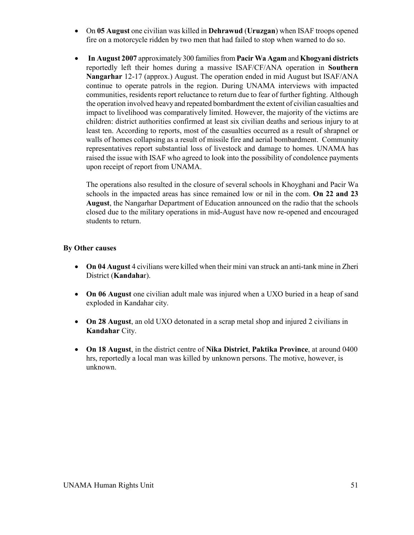- On **05 August** one civilian was killed in **Dehrawud** (**Uruzgan**) when ISAF troops opened fire on a motorcycle ridden by two men that had failed to stop when warned to do so.
- • **In August 2007** approximately 300 families from **Pacir Wa Agam** and **Khogyani districts** reportedly left their homes during a massive ISAF/CF/ANA operation in **Southern Nangarhar** 12-17 (approx.) August. The operation ended in mid August but ISAF/ANA continue to operate patrols in the region. During UNAMA interviews with impacted communities, residents report reluctance to return due to fear of further fighting. Although the operation involved heavy and repeated bombardment the extent of civilian casualties and impact to livelihood was comparatively limited. However, the majority of the victims are children: district authorities confirmed at least six civilian deaths and serious injury to at least ten. According to reports, most of the casualties occurred as a result of shrapnel or walls of homes collapsing as a result of missile fire and aerial bombardment. Community representatives report substantial loss of livestock and damage to homes. UNAMA has raised the issue with ISAF who agreed to look into the possibility of condolence payments upon receipt of report from UNAMA.

The operations also resulted in the closure of several schools in Khoyghani and Pacir Wa schools in the impacted areas has since remained low or nil in the com. **On 22 and 23 August**, the Nangarhar Department of Education announced on the radio that the schools closed due to the military operations in mid-August have now re-opened and encouraged students to return.

# **By Other causes**

- **On 04 August** 4 civilians were killed when their mini van struck an anti-tank mine in Zheri District (**Kandaha**r).
- **On 06 August** one civilian adult male was injured when a UXO buried in a heap of sand exploded in Kandahar city.
- **On 28 August**, an old UXO detonated in a scrap metal shop and injured 2 civilians in **Kandahar** City.
- **On 18 August**, in the district centre of **Nika District**, **Paktika Province**, at around 0400 hrs, reportedly a local man was killed by unknown persons. The motive, however, is unknown.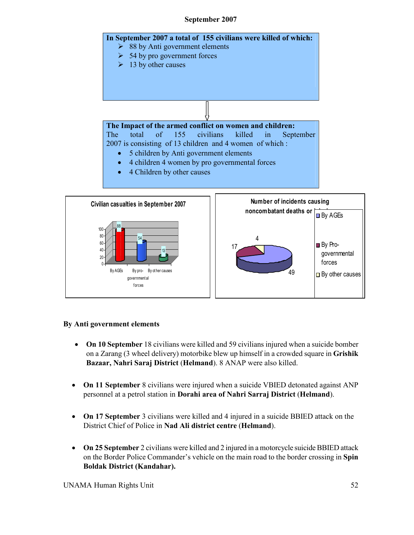# **September 2007**





#### **By Anti government elements**

88

100

- **On 10 September** 18 civilians were killed and 59 civilians injured when a suicide bomber on a Zarang (3 wheel delivery) motorbike blew up himself in a crowded square in **Grishik Bazaar, Nahri Saraj District** (**Helmand**). 8 ANAP were also killed.
- **On 11 September** 8 civilians were injured when a suicide VBIED detonated against ANP personnel at a petrol station in **Dorahi area of Nahri Sarraj District** (**Helmand**).
- **On 17 September** 3 civilians were killed and 4 injured in a suicide BBIED attack on the District Chief of Police in **Nad Ali district centre** (**Helmand**).
- **On 25 September** 2 civilians were killed and 2 injured in a motorcycle suicide BBIED attack on the Border Police Commander's vehicle on the main road to the border crossing in **Spin Boldak District (Kandahar).**

UNAMA Human Rights Unit 52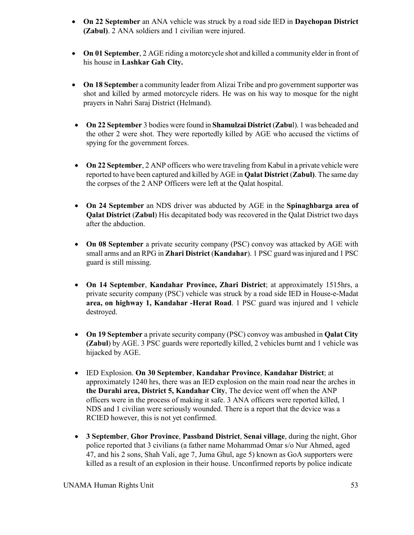- **On 22 September** an ANA vehicle was struck by a road side IED in **Daychopan District (Zabul)**. 2 ANA soldiers and 1 civilian were injured.
- **On 01 September**, 2 AGE riding a motorcycle shot and killed a community elder in front of his house in **Lashkar Gah City.**
- **On 18 Septembe**r a community leader from Alizai Tribe and pro government supporter was shot and killed by armed motorcycle riders. He was on his way to mosque for the night prayers in Nahri Saraj District (Helmand).
- **On 22 September** 3 bodies were found in **Shamulzai District** (**Zabu**l). 1 was beheaded and the other 2 were shot. They were reportedly killed by AGE who accused the victims of spying for the government forces.
- **On 22 September**, 2 ANP officers who were traveling from Kabul in a private vehicle were reported to have been captured and killed by AGE in **Qalat District** (**Zabul)**. The same day the corpses of the 2 ANP Officers were left at the Qalat hospital.
- **On 24 September** an NDS driver was abducted by AGE in the **Spinaghbarga area of Qalat District** (**Zabul**) His decapitated body was recovered in the Qalat District two days after the abduction.
- **On 08 September** a private security company (PSC) convoy was attacked by AGE with small arms and an RPG in **Zhari District** (**Kandahar**). 1 PSC guard was injured and 1 PSC guard is still missing.
- **On 14 September**, **Kandahar Province, Zhari District**; at approximately 1515hrs, a private security company (PSC) vehicle was struck by a road side IED in House-e-Madat **area, on highway 1, Kandahar -Herat Road**. 1 PSC guard was injured and 1 vehicle destroyed.
- **On 19 September** a private security company (PSC) convoy was ambushed in **Qalat City (Zabul**) by AGE. 3 PSC guards were reportedly killed, 2 vehicles burnt and 1 vehicle was hijacked by AGE.
- IED Explosion. **On 30 September**, **Kandahar Province**, **Kandahar District**; at approximately 1240 hrs, there was an IED explosion on the main road near the arches in **the Durahi area, District 5, Kandahar City**, The device went off when the ANP officers were in the process of making it safe. 3 ANA officers were reported killed, 1 NDS and 1 civilian were seriously wounded. There is a report that the device was a RCIED however, this is not yet confirmed.
- **3 September**, **Ghor Province**, **Passband District**, **Senai village**, during the night, Ghor police reported that 3 civilians (a father name Mohammad Omar s/o Nur Ahmed, aged 47, and his 2 sons, Shah Vali, age 7, Juma Ghul, age 5) known as GoA supporters were killed as a result of an explosion in their house. Unconfirmed reports by police indicate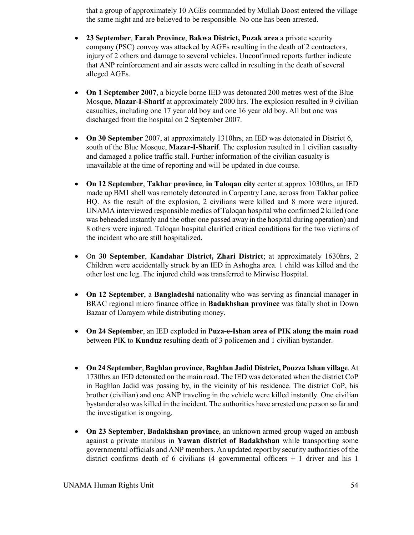that a group of approximately 10 AGEs commanded by Mullah Doost entered the village the same night and are believed to be responsible. No one has been arrested.

- **23 September**, **Farah Province**, **Bakwa District, Puzak area** a private security company (PSC) convoy was attacked by AGEs resulting in the death of 2 contractors, injury of 2 others and damage to several vehicles. Unconfirmed reports further indicate that ANP reinforcement and air assets were called in resulting in the death of several alleged AGEs.
- **On 1 September 2007**, a bicycle borne IED was detonated 200 metres west of the Blue Mosque, **Mazar-I-Sharif** at approximately 2000 hrs. The explosion resulted in 9 civilian casualties, including one 17 year old boy and one 16 year old boy. All but one was discharged from the hospital on 2 September 2007.
- **On 30 September** 2007, at approximately 1310hrs, an IED was detonated in District 6, south of the Blue Mosque, **Mazar-I-Sharif**. The explosion resulted in 1 civilian casualty and damaged a police traffic stall. Further information of the civilian casualty is unavailable at the time of reporting and will be updated in due course.
- **On 12 September**, **Takhar province**, **in Taloqan city** center at approx 1030hrs, an IED made up BM1 shell was remotely detonated in Carpentry Lane, across from Takhar police HQ. As the result of the explosion, 2 civilians were killed and 8 more were injured. UNAMA interviewed responsible medics of Taloqan hospital who confirmed 2 killed (one was beheaded instantly and the other one passed away in the hospital during operation) and 8 others were injured. Taloqan hospital clarified critical conditions for the two victims of the incident who are still hospitalized.
- On **30 September**, **Kandahar District, Zhari District**; at approximately 1630hrs, 2 Children were accidentally struck by an IED in Ashogha area. 1 child was killed and the other lost one leg. The injured child was transferred to Mirwise Hospital.
- **On 12 September**, a **Bangladeshi** nationality who was serving as financial manager in BRAC regional micro finance office in **Badakhshan province** was fatally shot in Down Bazaar of Darayem while distributing money.
- **On 24 September**, an IED exploded in **Puza-e-Ishan area of PIK along the main road** between PIK to **Kunduz** resulting death of 3 policemen and 1 civilian bystander.
- **On 24 September**, **Baghlan province**, **Baghlan Jadid District, Pouzza Ishan village**. At 1730hrs an IED detonated on the main road. The IED was detonated when the district CoP in Baghlan Jadid was passing by, in the vicinity of his residence. The district CoP, his brother (civilian) and one ANP traveling in the vehicle were killed instantly. One civilian bystander also was killed in the incident. The authorities have arrested one person so far and the investigation is ongoing.
- **On 23 September**, **Badakhshan province**, an unknown armed group waged an ambush against a private minibus in **Yawan district of Badakhshan** while transporting some governmental officials and ANP members. An updated report by security authorities of the district confirms death of 6 civilians  $(4)$  governmental officers  $+1$  driver and his 1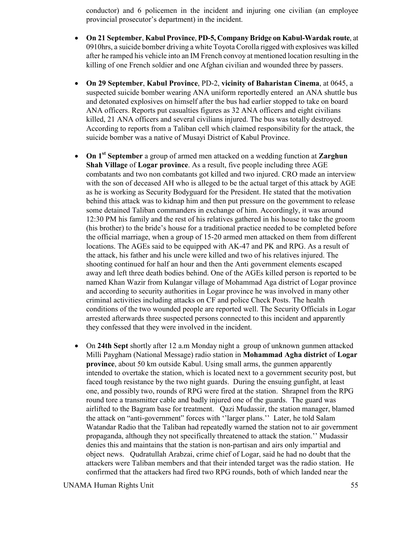conductor) and 6 policemen in the incident and injuring one civilian (an employee provincial prosecutor's department) in the incident.

- **On 21 September**, **Kabul Province**, **PD-5, Company Bridge on Kabul-Wardak route**, at 0910hrs, a suicide bomber driving a white Toyota Corolla rigged with explosives was killed after he ramped his vehicle into an IM French convoy at mentioned location resulting in the killing of one French soldier and one Afghan civilian and wounded three by passers.
- **On 29 September**, **Kabul Province**, PD-2, **vicinity of Baharistan Cinema**, at 0645, a suspected suicide bomber wearing ANA uniform reportedly entered an ANA shuttle bus and detonated explosives on himself after the bus had earlier stopped to take on board ANA officers. Reports put casualties figures as 32 ANA officers and eight civilians killed, 21 ANA officers and several civilians injured. The bus was totally destroyed. According to reports from a Taliban cell which claimed responsibility for the attack, the suicide bomber was a native of Musayi District of Kabul Province.
- **On 1st September** a group of armed men attacked on a wedding function at **Zarghun Shah Village** of **Logar province**. As a result, five people including three AGE combatants and two non combatants got killed and two injured. CRO made an interview with the son of deceased AH who is alleged to be the actual target of this attack by AGE as he is working as Security Bodyguard for the President. He stated that the motivation behind this attack was to kidnap him and then put pressure on the government to release some detained Taliban commanders in exchange of him. Accordingly, it was around 12:30 PM his family and the rest of his relatives gathered in his house to take the groom (his brother) to the bride's house for a traditional practice needed to be completed before the official marriage, when a group of 15-20 armed men attacked on them from different locations. The AGEs said to be equipped with AK-47 and PK and RPG. As a result of the attack, his father and his uncle were killed and two of his relatives injured. The shooting continued for half an hour and then the Anti government elements escaped away and left three death bodies behind. One of the AGEs killed person is reported to be named Khan Wazir from Kulangar village of Mohammad Aga district of Logar province and according to security authorities in Logar province he was involved in many other criminal activities including attacks on CF and police Check Posts. The health conditions of the two wounded people are reported well. The Security Officials in Logar arrested afterwards three suspected persons connected to this incident and apparently they confessed that they were involved in the incident.
- On **24th Sept** shortly after 12 a.m Monday night a group of unknown gunmen attacked Milli Paygham (National Message) radio station in **Mohammad Agha district** of **Logar province**, about 50 km outside Kabul. Using small arms, the gunmen apparently intended to overtake the station, which is located next to a government security post, but faced tough resistance by the two night guards. During the ensuing gunfight, at least one, and possibly two, rounds of RPG were fired at the station. Shrapnel from the RPG round tore a transmitter cable and badly injured one of the guards. The guard was airlifted to the Bagram base for treatment. Qazi Mudassir, the station manager, blamed the attack on "anti-government" forces with ''larger plans.'' Later, he told Salam Watandar Radio that the Taliban had repeatedly warned the station not to air government propaganda, although they not specifically threatened to attack the station.'' Mudassir denies this and maintains that the station is non-partisan and airs only impartial and object news. Qudratullah Arabzai, crime chief of Logar, said he had no doubt that the attackers were Taliban members and that their intended target was the radio station. He confirmed that the attackers had fired two RPG rounds, both of which landed near the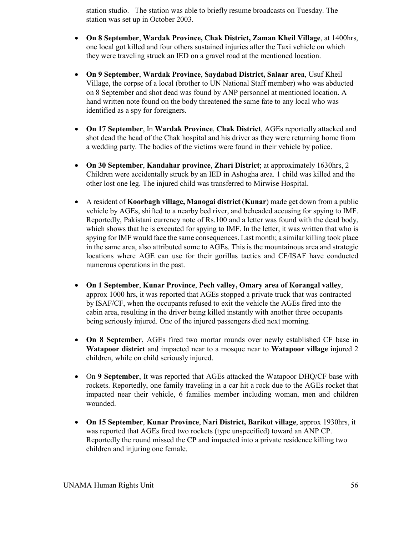station studio. The station was able to briefly resume broadcasts on Tuesday. The station was set up in October 2003.

- **On 8 September**, **Wardak Province, Chak District, Zaman Kheil Village**, at 1400hrs, one local got killed and four others sustained injuries after the Taxi vehicle on which they were traveling struck an IED on a gravel road at the mentioned location.
- **On 9 September**, **Wardak Province**, **Saydabad District, Salaar area**, Usuf Kheil Village, the corpse of a local (brother to UN National Staff member) who was abducted on 8 September and shot dead was found by ANP personnel at mentioned location. A hand written note found on the body threatened the same fate to any local who was identified as a spy for foreigners.
- **On 17 September**, In **Wardak Province**, **Chak District**, AGEs reportedly attacked and shot dead the head of the Chak hospital and his driver as they were returning home from a wedding party. The bodies of the victims were found in their vehicle by police.
- **On 30 September**, **Kandahar province**, **Zhari District**; at approximately 1630hrs, 2 Children were accidentally struck by an IED in Ashogha area. 1 child was killed and the other lost one leg. The injured child was transferred to Mirwise Hospital.
- A resident of **Koorbagh village, Manogai district** (**Kunar**) made get down from a public vehicle by AGEs, shifted to a nearby bed river, and beheaded accusing for spying to IMF. Reportedly, Pakistani currency note of Rs.100 and a letter was found with the dead body, which shows that he is executed for spying to IMF. In the letter, it was written that who is spying for IMF would face the same consequences. Last month; a similar killing took place in the same area, also attributed some to AGEs. This is the mountainous area and strategic locations where AGE can use for their gorillas tactics and CF/ISAF have conducted numerous operations in the past.
- **On 1 September**, **Kunar Province**, **Pech valley, Omary area of Korangal valley**, approx 1000 hrs, it was reported that AGEs stopped a private truck that was contracted by ISAF/CF, when the occupants refused to exit the vehicle the AGEs fired into the cabin area, resulting in the driver being killed instantly with another three occupants being seriously injured. One of the injured passengers died next morning.
- **On 8 September**, AGEs fired two mortar rounds over newly established CF base in **Watapoor district** and impacted near to a mosque near to **Watapoor village** injured 2 children, while on child seriously injured.
- On **9 September**, It was reported that AGEs attacked the Watapoor DHQ/CF base with rockets. Reportedly, one family traveling in a car hit a rock due to the AGEs rocket that impacted near their vehicle, 6 families member including woman, men and children wounded.
- **On 15 September**, **Kunar Province**, **Nari District, Barikot village**, approx 1930hrs, it was reported that AGEs fired two rockets (type unspecified) toward an ANP CP. Reportedly the round missed the CP and impacted into a private residence killing two children and injuring one female.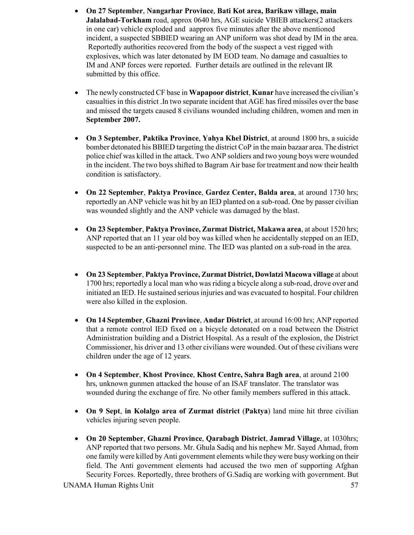- **On 27 September**, **Nangarhar Province**, **Bati Kot area, Barikaw village, main Jalalabad-Torkham** road, approx 0640 hrs, AGE suicide VBIEB attackers(2 attackers in one car) vehicle exploded and aapprox five minutes after the above mentioned incident, a suspected SBBIED wearing an ANP uniform was shot dead by IM in the area. Reportedly authorities recovered from the body of the suspect a vest rigged with explosives, which was later detonated by IM EOD team. No damage and casualties to IM and ANP forces were reported. Further details are outlined in the relevant IR submitted by this office.
- The newly constructed CF base in **Wapapoor district**, **Kunar** have increased the civilian's casualties in this district .In two separate incident that AGE has fired missiles over the base and missed the targets caused 8 civilians wounded including children, women and men in **September 2007.**
- **On 3 September**, **Paktika Province**, **Yahya Khel District**, at around 1800 hrs, a suicide bomber detonated his BBIED targeting the district CoP in the main bazaar area. The district police chief was killed in the attack. Two ANP soldiers and two young boys were wounded in the incident. The two boys shifted to Bagram Air base for treatment and now their health condition is satisfactory.
- **On 22 September**, **Paktya Province**, **Gardez Center, Balda area**, at around 1730 hrs; reportedly an ANP vehicle was hit by an IED planted on a sub-road. One by passer civilian was wounded slightly and the ANP vehicle was damaged by the blast.
- **On 23 September**, **Paktya Province, Zurmat District, Makawa area**, at about 1520 hrs; ANP reported that an 11 year old boy was killed when he accidentally stepped on an IED, suspected to be an anti-personnel mine. The IED was planted on a sub-road in the area.
- **On 23 September**, **Paktya Province, Zurmat District, Dowlatzi Macowa village** at about 1700 hrs; reportedly a local man who was riding a bicycle along a sub-road, drove over and initiated an IED. He sustained serious injuries and was evacuated to hospital. Four children were also killed in the explosion.
- **On 14 September**, **Ghazni Province**, **Andar District**, at around 16:00 hrs; ANP reported that a remote control IED fixed on a bicycle detonated on a road between the District Administration building and a District Hospital. As a result of the explosion, the District Commissioner, his driver and 13 other civilians were wounded. Out of these civilians were children under the age of 12 years.
- **On 4 September**, **Khost Province**, **Khost Centre, Sahra Bagh area**, at around 2100 hrs, unknown gunmen attacked the house of an ISAF translator. The translator was wounded during the exchange of fire. No other family members suffered in this attack.
- **On 9 Sept**, **in Kolalgo area of Zurmat district** (**Paktya**) land mine hit three civilian vehicles injuring seven people.
- **On 20 September**, **Ghazni Province**, **Qarabagh District**, **Jamrad Village**, at 1030hrs; ANP reported that two persons. Mr. Ghula Sadiq and his nephew Mr. Sayed Ahmad, from one family were killed by Anti government elements while they were busy working on their field. The Anti government elements had accused the two men of supporting Afghan Security Forces. Reportedly, three brothers of G.Sadiq are working with government. But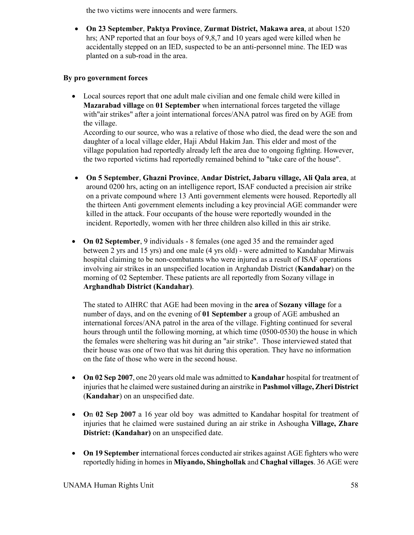the two victims were innocents and were farmers.

• **On 23 September**, **Paktya Province**, **Zurmat District, Makawa area**, at about 1520 hrs; ANP reported that an four boys of 9,8,7 and 10 years aged were killed when he accidentally stepped on an IED, suspected to be an anti-personnel mine. The IED was planted on a sub-road in the area.

# **By pro government forces**

• Local sources report that one adult male civilian and one female child were killed in **Mazarabad village** on **01 September** when international forces targeted the village with"air strikes" after a joint international forces/ANA patrol was fired on by AGE from the village.

According to our source, who was a relative of those who died, the dead were the son and daughter of a local village elder, Haji Abdul Hakim Jan. This elder and most of the village population had reportedly already left the area due to ongoing fighting. However, the two reported victims had reportedly remained behind to "take care of the house".

- **On 5 September**, **Ghazni Province**, **Andar District, Jabaru village, Ali Qala area**, at around 0200 hrs, acting on an intelligence report, ISAF conducted a precision air strike on a private compound where 13 Anti government elements were housed. Reportedly all the thirteen Anti government elements including a key provincial AGE commander were killed in the attack. Four occupants of the house were reportedly wounded in the incident. Reportedly, women with her three children also killed in this air strike.
- **On 02 September**, 9 individuals 8 females (one aged 35 and the remainder aged between 2 yrs and 15 yrs) and one male (4 yrs old) - were admitted to Kandahar Mirwais hospital claiming to be non-combatants who were injured as a result of ISAF operations involving air strikes in an unspecified location in Arghandab District (**Kandahar**) on the morning of 02 September. These patients are all reportedly from Sozany village in **Arghandhab District (Kandahar)**.

The stated to AIHRC that AGE had been moving in the **area** of **Sozany village** for a number of days, and on the evening of **01 September** a group of AGE ambushed an international forces/ANA patrol in the area of the village. Fighting continued for several hours through until the following morning, at which time (0500-0530) the house in which the females were sheltering was hit during an "air strike". Those interviewed stated that their house was one of two that was hit during this operation. They have no information on the fate of those who were in the second house.

- **On 02 Sep 2007**, one 20 years old male was admitted to **Kandahar** hospital for treatment of injuries that he claimed were sustained during an airstrike in **Pashmol village, Zheri District** (**Kandahar**) on an unspecified date.
- **O**n **02 Sep 2007** a 16 year old boy was admitted to Kandahar hospital for treatment of injuries that he claimed were sustained during an air strike in Ashougha **Village, Zhare District: (Kandahar)** on an unspecified date.
- **On 19 September** international forces conducted air strikes against AGE fighters who were reportedly hiding in homes in **Miyando, Shinghollak** and **Chaghal villages**. 36 AGE were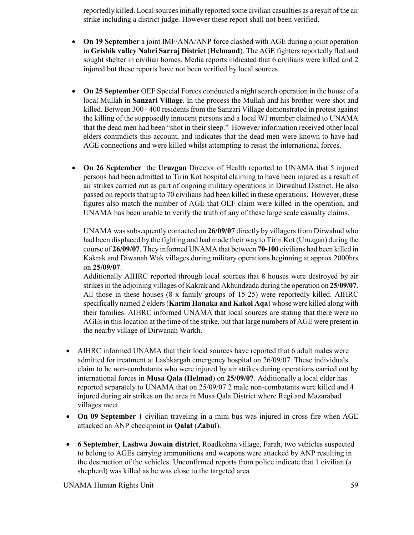reportedly killed. Local sources initially reported some civilian casualties as a result of the air strike including a district judge. However these report shall not been verified.

- **On 19 September** a joint IMF/ANA/ANP force clashed with AGE during a joint operation in **Grishik valley Nahri Sarraj District** (**Helmand**). The AGE fighters reportedly fled and sought shelter in civilian homes. Media reports indicated that 6 civilians were killed and 2 injured but these reports have not been verified by local sources.
- **On 25 September** OEF Special Forces conducted a night search operation in the house of a local Mullah in **Sanzari Village**. In the process the Mullah and his brother were shot and killed. Between 300 - 400 residents from the Sanzari Village demonstrated in protest against the killing of the supposedly innocent persons and a local WJ member claimed to UNAMA that the dead men had been "shot in their sleep." However information received other local elders contradicts this account, and indicates that the dead men were known to have had AGE connections and were killed whilst attempting to resist the international forces.
- **On 26 September** the **Uruzgan** Director of Health reported to UNAMA that 5 injured persons had been admitted to Tirin Kot hospital claiming to have been injured as a result of air strikes carried out as part of ongoing military operations in Dirwahud District. He also passed on reports that up to 70 civilians had been killed in these operations. However, these figures also match the number of AGE that OEF claim were killed in the operation, and UNAMA has been unable to verify the truth of any of these large scale casualty claims.

UNAMA was subsequently contacted on **26/09/07** directly by villagers from Dirwahud who had been displaced by the fighting and had made their way to Tirin Kot (Uruzgan) during the course of **26/09/07**. They informed UNAMA that between **70-100** civilians had been killed in Kakrak and Diwanah Wak villages during military operations beginning at approx 2000hrs on **25/09/07**.

Additionally AIHRC reported through local sources that 8 houses were destroyed by air strikes in the adjoining villages of Kakrak and Akhundzada during the operation on **25/09/07**. All those in these houses (8 x family groups of 15-25) were reportedly killed. AIHRC specifically named 2 elders (**Karim Hanaka and Kakol Aqa**) whose were killed along with their families. AIHRC informed UNAMA that local sources are stating that there were no AGEs in this location at the time of the strike, but that large numbers of AGE were present in the nearby village of Dirwanah Warkh.

- AIHRC informed UNAMA that their local sources have reported that 6 adult males were admitted for treatment at Lashkargah emergency hospital on 26/09/07. These individuals claim to be non-combatants who were injured by air strikes during operations carried out by international forces in **Musa Qala (Helmad**) on **25/09/07**. Additionally a local elder has reported separately to UNAMA that on 25/09/07 2 male non-combatants were killed and 4 injured during air strikes on the area in Musa Qala District where Regi and Mazarabad villages meet.
- **On 09 September** 1 civilian traveling in a mini bus was injured in cross fire when AGE attacked an ANP checkpoint in **Qalat** (**Zabu**l).
- **6 September**, **Lashwa Jowain district**, Roadkohna village, Farah, two vehicles suspected to belong to AGEs carrying ammunitions and weapons were attacked by ANP resulting in the destruction of the vehicles. Unconfirmed reports from police indicate that 1 civilian (a shepherd) was killed as he was close to the targeted area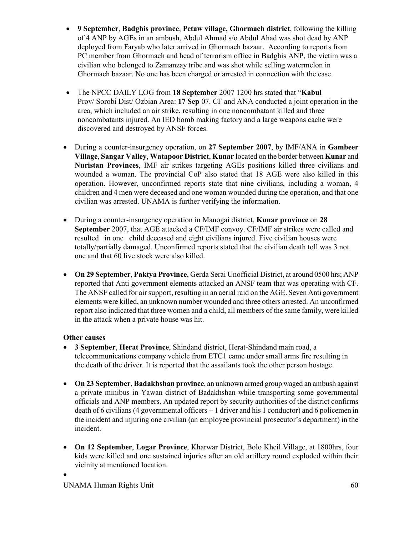- **9 September**, **Badghis province**, **Petaw village, Ghormach district**, following the killing of 4 ANP by AGEs in an ambush, Abdul Ahmad s/o Abdul Ahad was shot dead by ANP deployed from Faryab who later arrived in Ghormach bazaar. According to reports from PC member from Ghormach and head of terrorism office in Badghis ANP, the victim was a civilian who belonged to Zamanzay tribe and was shot while selling watermelon in Ghormach bazaar. No one has been charged or arrested in connection with the case.
- The NPCC DAILY LOG from **18 September** 2007 1200 hrs stated that "**Kabul**  Prov/ Sorobi Dist/ Ozbian Area: **17 Sep** 07. CF and ANA conducted a joint operation in the area, which included an air strike, resulting in one noncombatant killed and three noncombatants injured. An IED bomb making factory and a large weapons cache were discovered and destroyed by ANSF forces.
- During a counter-insurgency operation, on **27 September 2007**, by IMF/ANA in **Gambeer Village**, **Sangar Valley**, **Watapoor District**, **Kunar** located on the border between **Kunar** and **Nuristan Provinces**, IMF air strikes targeting AGEs positions killed three civilians and wounded a woman. The provincial CoP also stated that 18 AGE were also killed in this operation. However, unconfirmed reports state that nine civilians, including a woman, 4 children and 4 men were deceased and one woman wounded during the operation, and that one civilian was arrested. UNAMA is further verifying the information.
- During a counter-insurgency operation in Manogai district, **Kunar province** on **28 September** 2007, that AGE attacked a CF/IMF convoy. CF/IMF air strikes were called and resulted in one child deceased and eight civilians injured. Five civilian houses were totally/partially damaged. Unconfirmed reports stated that the civilian death toll was 3 not one and that 60 live stock were also killed.
- **On 29 September**, **Paktya Province**, Gerda Serai Unofficial District, at around 0500 hrs; ANP reported that Anti government elements attacked an ANSF team that was operating with CF. The ANSF called for air support, resulting in an aerial raid on the AGE. Seven Anti government elements were killed, an unknown number wounded and three others arrested. An unconfirmed report also indicated that three women and a child, all members of the same family, were killed in the attack when a private house was hit.

# **Other causes**

- **3 September**, **Herat Province**, Shindand district, Herat-Shindand main road, a telecommunications company vehicle from ETC1 came under small arms fire resulting in the death of the driver. It is reported that the assailants took the other person hostage.
- **On 23 September**, **Badakhshan province**, an unknown armed group waged an ambush against a private minibus in Yawan district of Badakhshan while transporting some governmental officials and ANP members. An updated report by security authorities of the district confirms death of 6 civilians (4 governmental officers + 1 driver and his 1 conductor) and 6 policemen in the incident and injuring one civilian (an employee provincial prosecutor's department) in the incident.
- **On 12 September**, **Logar Province**, Kharwar District, Bolo Kheil Village, at 1800hrs, four kids were killed and one sustained injuries after an old artillery round exploded within their vicinity at mentioned location. •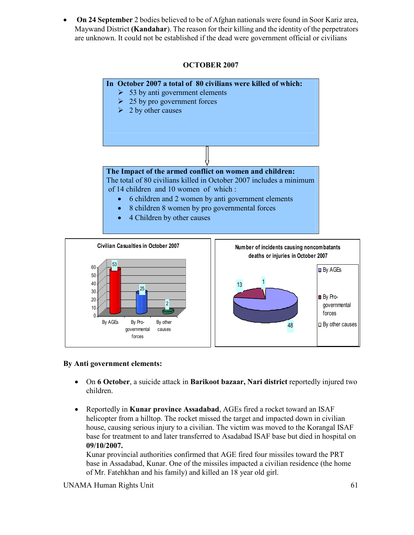• **On 24 September** 2 bodies believed to be of Afghan nationals were found in Soor Kariz area, Maywand District **(Kandahar**). The reason for their killing and the identity of the perpetrators are unknown. It could not be established if the dead were government official or civilians

# **OCTOBER 2007**





#### **By Anti government elements:**

- On **6 October**, a suicide attack in **Barikoot bazaar, Nari district** reportedly injured two children.
- Reportedly in **Kunar province Assadabad**, AGEs fired a rocket toward an ISAF helicopter from a hilltop. The rocket missed the target and impacted down in civilian house, causing serious injury to a civilian. The victim was moved to the Korangal ISAF base for treatment to and later transferred to Asadabad ISAF base but died in hospital on **09/10/2007.**

Kunar provincial authorities confirmed that AGE fired four missiles toward the PRT base in Assadabad, Kunar. One of the missiles impacted a civilian residence (the home of Mr. Fatehkhan and his family) and killed an 18 year old girl.

UNAMA Human Rights Unit 61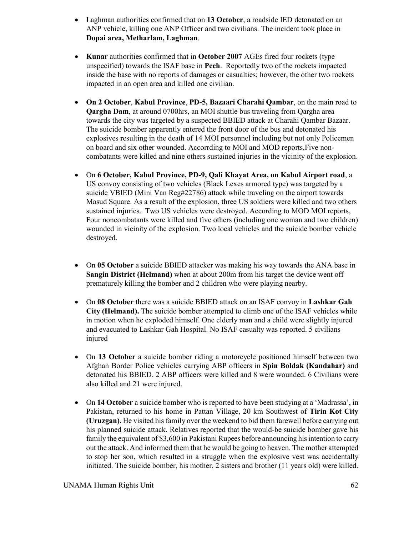- Laghman authorities confirmed that on **13 October**, a roadside IED detonated on an ANP vehicle, killing one ANP Officer and two civilians. The incident took place in **Dopai area, Metharlam, Laghman**.
- **Kunar** authorities confirmed that in **October 2007** AGEs fired four rockets (type unspecified) towards the ISAF base in **Pech**. Reportedly two of the rockets impacted inside the base with no reports of damages or casualties; however, the other two rockets impacted in an open area and killed one civilian.
- **On 2 October**, **Kabul Province**, **PD-5, Bazaari Charahi Qambar**, on the main road to **Qargha Dam**, at around 0700hrs, an MOI shuttle bus traveling from Qargha area towards the city was targeted by a suspected BBIED attack at Charahi Qambar Bazaar. The suicide bomber apparently entered the front door of the bus and detonated his explosives resulting in the death of 14 MOI personnel including but not only Policemen on board and six other wounded. Accorrding to MOI and MOD reports,Five noncombatants were killed and nine others sustained injuries in the vicinity of the explosion.
- On **6 October, Kabul Province, PD-9, Qali Khayat Area, on Kabul Airport road**, a US convoy consisting of two vehicles (Black Lexes armored type) was targeted by a suicide VBIED (Mini Van Reg#22786) attack while traveling on the airport towards Masud Square. As a result of the explosion, three US soldiers were killed and two others sustained injuries. Two US vehicles were destroyed. According to MOD MOI reports, Four noncombatants were killed and five others (including one woman and two children) wounded in vicinity of the explosion. Two local vehicles and the suicide bomber vehicle destroyed.
- On **05 October** a suicide BBIED attacker was making his way towards the ANA base in **Sangin District (Helmand)** when at about 200m from his target the device went off prematurely killing the bomber and 2 children who were playing nearby.
- On **08 October** there was a suicide BBIED attack on an ISAF convoy in **Lashkar Gah City (Helmand).** The suicide bomber attempted to climb one of the ISAF vehicles while in motion when he exploded himself. One elderly man and a child were slightly injured and evacuated to Lashkar Gah Hospital. No ISAF casualty was reported. 5 civilians injured
- On **13 October** a suicide bomber riding a motorcycle positioned himself between two Afghan Border Police vehicles carrying ABP officers in **Spin Boldak (Kandahar)** and detonated his BBIED. 2 ABP officers were killed and 8 were wounded. 6 Civilians were also killed and 21 were injured.
- On **14 October** a suicide bomber who is reported to have been studying at a 'Madrassa', in Pakistan, returned to his home in Pattan Village, 20 km Southwest of **Tirin Kot City (Uruzgan).** He visited his family over the weekend to bid them farewell before carrying out his planned suicide attack. Relatives reported that the would-be suicide bomber gave his family the equivalent of \$3,600 in Pakistani Rupees before announcing his intention to carry out the attack. And informed them that he would be going to heaven. The mother attempted to stop her son, which resulted in a struggle when the explosive vest was accidentally initiated. The suicide bomber, his mother, 2 sisters and brother (11 years old) were killed.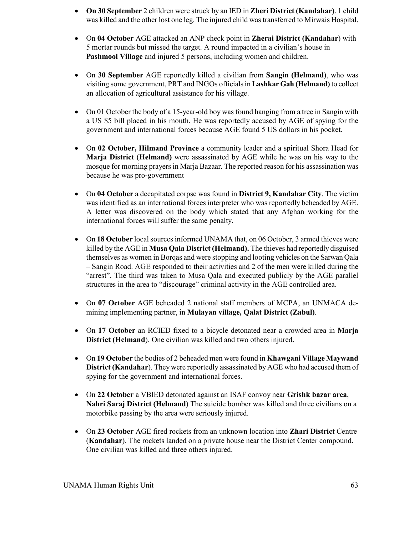- **On 30 September** 2 children were struck by an IED in **Zheri District (Kandahar)**. 1 child was killed and the other lost one leg. The injured child was transferred to Mirwais Hospital.
- On **04 October** AGE attacked an ANP check point in **Zherai District (Kandahar**) with 5 mortar rounds but missed the target. A round impacted in a civilian's house in **Pashmool Village** and injured 5 persons, including women and children.
- On **30 September** AGE reportedly killed a civilian from **Sangin (Helmand)**, who was visiting some government, PRT and INGOs officials in **Lashkar Gah (Helmand)** to collect an allocation of agricultural assistance for his village.
- On 01 October the body of a 15-year-old boy was found hanging from a tree in Sangin with a US \$5 bill placed in his mouth. He was reportedly accused by AGE of spying for the government and international forces because AGE found 5 US dollars in his pocket.
- On **02 October, Hilmand Province** a community leader and a spiritual Shora Head for **Marja District** (**Helmand)** were assassinated by AGE while he was on his way to the mosque for morning prayers in Marja Bazaar. The reported reason for his assassination was because he was pro-government
- On **04 October** a decapitated corpse was found in **District 9, Kandahar City**. The victim was identified as an international forces interpreter who was reportedly beheaded by AGE. A letter was discovered on the body which stated that any Afghan working for the international forces will suffer the same penalty.
- On **18 October** local sources informed UNAMA that, on 06 October, 3 armed thieves were killed by the AGE in **Musa Qala District (Helmand).** The thieves had reportedly disguised themselves as women in Borqas and were stopping and looting vehicles on the Sarwan Qala – Sangin Road. AGE responded to their activities and 2 of the men were killed during the "arrest". The third was taken to Musa Qala and executed publicly by the AGE parallel structures in the area to "discourage" criminal activity in the AGE controlled area.
- On **07 October** AGE beheaded 2 national staff members of MCPA, an UNMACA demining implementing partner, in **Mulayan village, Qalat District (Zabul)**.
- On **17 October** an RCIED fixed to a bicycle detonated near a crowded area in **Marja District (Helmand**). One civilian was killed and two others injured.
- On **19 October** the bodies of 2 beheaded men were found in **Khawgani Village Maywand District (Kandahar**). They were reportedly assassinated by AGE who had accused them of spying for the government and international forces.
- On **22 October** a VBIED detonated against an ISAF convoy near **Grishk bazar area**, **Nahri Saraj District (Helmand**) The suicide bomber was killed and three civilians on a motorbike passing by the area were seriously injured.
- On **23 October** AGE fired rockets from an unknown location into **Zhari District** Centre (**Kandahar**). The rockets landed on a private house near the District Center compound. One civilian was killed and three others injured.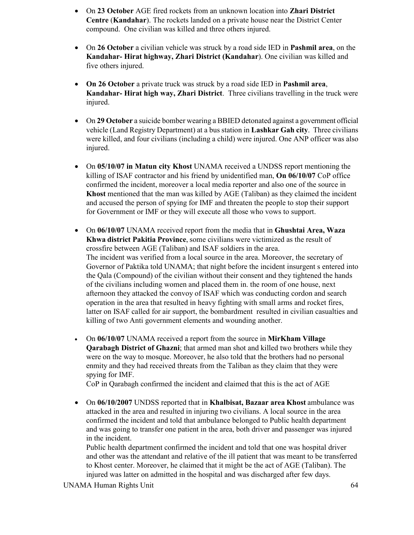- On **23 October** AGE fired rockets from an unknown location into **Zhari District Centre** (**Kandahar**). The rockets landed on a private house near the District Center compound. One civilian was killed and three others injured.
- On **26 October** a civilian vehicle was struck by a road side IED in **Pashmil area**, on the **Kandahar- Hirat highway, Zhari District (Kandahar**). One civilian was killed and five others injured.
- **On 26 October** a private truck was struck by a road side IED in **Pashmil area**, **Kandahar- Hirat high way, Zhari District**. Three civilians travelling in the truck were injured.
- On **29 October** a suicide bomber wearing a BBIED detonated against a government official vehicle (Land Registry Department) at a bus station in **Lashkar Gah city**. Three civilians were killed, and four civilians (including a child) were injured. One ANP officer was also injured.
- On 05/10/07 in Matun city Khost UNAMA received a UNDSS report mentioning the killing of ISAF contractor and his friend by unidentified man, **On 06/10/07** CoP office confirmed the incident, moreover a local media reporter and also one of the source in **Khost** mentioned that the man was killed by AGE (Taliban) as they claimed the incident and accused the person of spying for IMF and threaten the people to stop their support for Government or IMF or they will execute all those who vows to support.
- On **06/10/07** UNAMA received report from the media that in **Ghushtai Area, Waza Khwa district Pakitia Province**, some civilians were victimized as the result of crossfire between AGE (Taliban) and ISAF soldiers in the area. The incident was verified from a local source in the area. Moreover, the secretary of Governor of Paktika told UNAMA; that night before the incident insurgent s entered into the Qala (Compound) of the civilian without their consent and they tightened the hands of the civilians including women and placed them in. the room of one house, next afternoon they attacked the convoy of ISAF which was conducting cordon and search operation in the area that resulted in heavy fighting with small arms and rocket fires, latter on ISAF called for air support, the bombardment resulted in civilian casualties and killing of two Anti government elements and wounding another.
- On **06/10/07** UNAMA received a report from the source in **MirKham Village Qarabagh District of Ghazni**; that armed man shot and killed two brothers while they were on the way to mosque. Moreover, he also told that the brothers had no personal enmity and they had received threats from the Taliban as they claim that they were spying for IMF.

CoP in Qarabagh confirmed the incident and claimed that this is the act of AGE

• On **06/10/2007** UNDSS reported that in **Khalbisat, Bazaar area Khost** ambulance was attacked in the area and resulted in injuring two civilians. A local source in the area confirmed the incident and told that ambulance belonged to Public health department and was going to transfer one patient in the area, both driver and passenger was injured in the incident.

Public health department confirmed the incident and told that one was hospital driver and other was the attendant and relative of the ill patient that was meant to be transferred to Khost center. Moreover, he claimed that it might be the act of AGE (Taliban). The injured was latter on admitted in the hospital and was discharged after few days.

UNAMA Human Rights Unit 64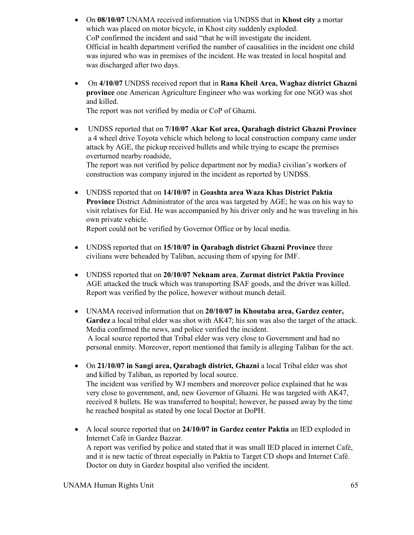- On **08/10/07** UNAMA received information via UNDSS that in **Khost city** a mortar which was placed on motor bicycle, in Khost city suddenly exploded. CoP confirmed the incident and said "that he will investigate the incident. Official in health department verified the number of causalities in the incident one child was injured who was in premises of the incident. He was treated in local hospital and was discharged after two days.
- On **4/10/07** UNDSS received report that in **Rana Kheil Area, Waghaz district Ghazni province** one American Agriculture Engineer who was working for one NGO was shot and killed.

The report was not verified by media or CoP of Ghazni.

• UNDSS reported that on **7/10/07 Akar Kot area, Qarabagh district Ghazni Province**  a 4 wheel drive Toyota vehicle which belong to local construction company came under attack by AGE, the pickup received bullets and while trying to escape the premises overturned nearby roadside,

The report was not verified by police department nor by media3 civilian's workers of construction was company injured in the incident as reported by UNDSS.

• UNDSS reported that on **14/10/07** in **Goashta area Waza Khas District Paktia Province** District Administrator of the area was targeted by AGE; he was on his way to visit relatives for Eid. He was accompanied by his driver only and he was traveling in his own private vehicle.

Report could not be verified by Governor Office or by local media.

- UNDSS reported that on **15/10/07 in Qarabagh district Ghazni Province** three civilians were beheaded by Taliban, accusing them of spying for IMF.
- UNDSS reported that on **20/10/07 Neknam area**, **Zurmat district Paktia Province** AGE attacked the truck which was transporting ISAF goods, and the driver was killed. Report was verified by the police, however without munch detail.
- UNAMA received information that on **20/10/07 in Khoutaba area, Gardez center, Gardez** a local tribal elder was shot with AK47; his son was also the target of the attack. Media confirmed the news, and police verified the incident. A local source reported that Tribal elder was very close to Government and had no personal enmity. Moreover, report mentioned that family is alleging Taliban for the act.
- On **21/10/07 in Sangi area, Qarabagh district, Ghazni** a local Tribal elder was shot and killed by Taliban, as reported by local source. The incident was verified by WJ members and moreover police explained that he was very close to government, and, new Governor of Ghazni. He was targeted with AK47, received 8 bullets. He was transferred to hospital; however, he passed away by the time he reached hospital as stated by one local Doctor at DoPH.
- A local source reported that on **24/10/07 in Gardez center Paktia** an IED exploded in Internet Café in Gardez Bazzar. A report was verified by police and stated that it was small IED placed in internet Café, and it is new tactic of threat especially in Paktia to Target CD shops and Internet Café. Doctor on duty in Gardez hospital also verified the incident.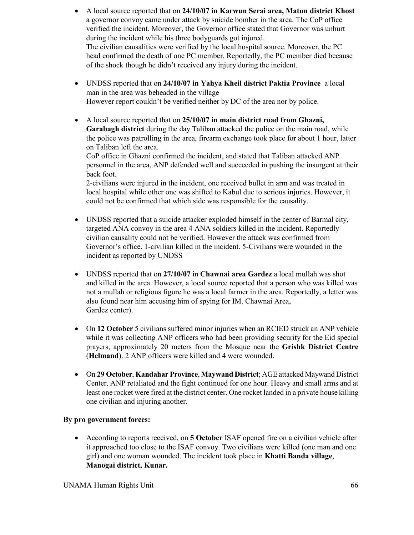- A local source reported that on **24/10/07 in Karwun Serai area, Matun district Khost** a governor convoy came under attack by suicide bomber in the area. The CoP office verified the incident. Moreover, the Governor office stated that Governor was unhurt during the incident while his three bodyguards got injured. The civilian causalities were verified by the local hospital source. Moreover, the PC head confirmed the death of one PC member. Reportedly, the PC member died because of the shock though he didn't received any injury during the incident.
- UNDSS reported that on **24/10/07 in Yahya Kheil district Paktia Province** a local man in the area was beheaded in the village However report couldn't be verified neither by DC of the area nor by police.
- A local source reported that on **25/10/07 in main district road from Ghazni, Garabagh district** during the day Taliban attacked the police on the main road, while the police was patrolling in the area, firearm exchange took place for about 1 hour, latter on Taliban left the area.

CoP office in Ghazni confirmed the incident, and stated that Taliban attacked ANP personnel in the area, ANP defended well and succeeded in pushing the insurgent at their back foot.

2-civilians were injured in the incident, one received bullet in arm and was treated in local hospital while other one was shifted to Kabul due to serious injuries. However, it could not be confirmed that which side was responsible for the causality.

- UNDSS reported that a suicide attacker exploded himself in the center of Barmal city, targeted ANA convoy in the area 4 ANA soldiers killed in the incident. Reportedly civilian causality could not be verified. However the attack was confirmed from Governor's office. 1-civilian killed in the incident. 5-Civilians were wounded in the incident as reported by UNDSS
- UNDSS reported that on **27/10/07** in **Chawnai area Gardez** a local mullah was shot and killed in the area. However, a local source reported that a person who was killed was not a mullah or religious figure he was a local farmer in the area. Reportedly, a letter was also found near him accusing him of spying for IM. Chawnai Area, Gardez center).
- On **12 October** 5 civilians suffered minor injuries when an RCIED struck an ANP vehicle while it was collecting ANP officers who had been providing security for the Eid special prayers, approximately 20 meters from the Mosque near the **Grishk District Centre** (**Helmand**). 2 ANP officers were killed and 4 were wounded.
- On **29 October**, **Kandahar Province**, **Maywand District**; AGE attacked Maywand District Center. ANP retaliated and the fight continued for one hour. Heavy and small arms and at least one rocket were fired at the district center. One rocket landed in a private house killing one civilian and injuring another.

# **By pro government forces:**

• According to reports received, on **5 October** ISAF opened fire on a civilian vehicle after it approached too close to the ISAF convoy. Two civilians were killed (one man and one girl) and one woman wounded. The incident took place in **Khatti Banda village**, **Manogai district, Kunar.**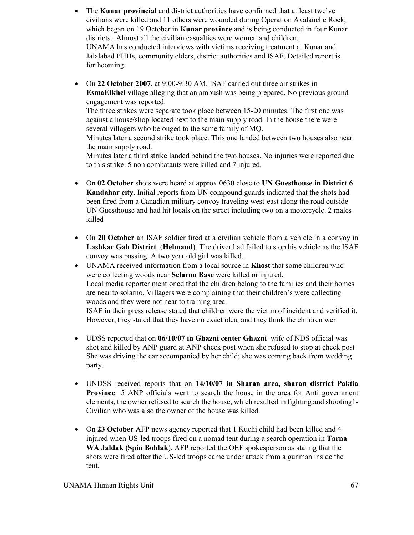- The **Kunar provincial** and district authorities have confirmed that at least twelve civilians were killed and 11 others were wounded during Operation Avalanche Rock, which began on 19 October in **Kunar province** and is being conducted in four Kunar districts. Almost all the civilian casualties were women and children. UNAMA has conducted interviews with victims receiving treatment at Kunar and Jalalabad PHHs, community elders, district authorities and ISAF. Detailed report is forthcoming.
- On **22 October 2007**, at 9:00-9:30 AM, ISAF carried out three air strikes in **EsmaElkhel** village alleging that an ambush was being prepared. No previous ground engagement was reported.

The three strikes were separate took place between 15-20 minutes. The first one was against a house/shop located next to the main supply road. In the house there were several villagers who belonged to the same family of MQ.

Minutes later a second strike took place. This one landed between two houses also near the main supply road.

Minutes later a third strike landed behind the two houses. No injuries were reported due to this strike. 5 non combatants were killed and 7 injured.

- On **02 October** shots were heard at approx 0630 close to **UN Guesthouse in District 6 Kandahar city**. Initial reports from UN compound guards indicated that the shots had been fired from a Canadian military convoy traveling west-east along the road outside UN Guesthouse and had hit locals on the street including two on a motorcycle. 2 males killed
- On **20 October** an ISAF soldier fired at a civilian vehicle from a vehicle in a convoy in **Lashkar Gah District**. (**Helmand**). The driver had failed to stop his vehicle as the ISAF convoy was passing. A two year old girl was killed.
- UNAMA received information from a local source in **Khost** that some children who were collecting woods near **Selarno Base** were killed or injured. Local media reporter mentioned that the children belong to the families and their homes are near to solarno. Villagers were complaining that their children's were collecting woods and they were not near to training area. ISAF in their press release stated that children were the victim of incident and verified it.

However, they stated that they have no exact idea, and they think the children wer

- UDSS reported that on **06/10/07 in Ghazni center Ghazni** wife of NDS official was shot and killed by ANP guard at ANP check post when she refused to stop at check post She was driving the car accompanied by her child; she was coming back from wedding party.
- UNDSS received reports that on **14/10/07 in Sharan area, sharan district Paktia Province** 5 ANP officials went to search the house in the area for Anti government elements, the owner refused to search the house, which resulted in fighting and shooting1- Civilian who was also the owner of the house was killed.
- On **23 October** AFP news agency reported that 1 Kuchi child had been killed and 4 injured when US-led troops fired on a nomad tent during a search operation in **Tarna WA Jaldak (Spin Boldak**). AFP reported the OEF spokesperson as stating that the shots were fired after the US-led troops came under attack from a gunman inside the tent.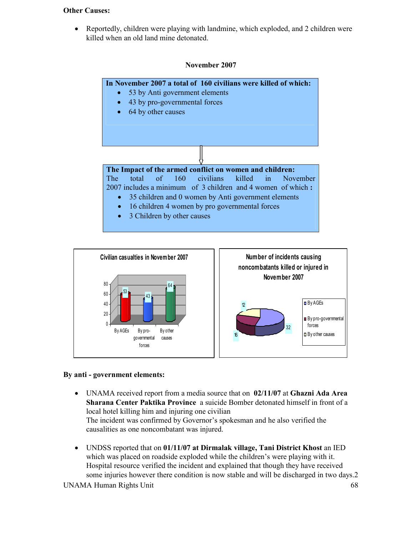#### **Other Causes:**

• Reportedly, children were playing with landmine, which exploded, and 2 children were killed when an old land mine detonated.

### **November 2007**





#### **By anti - government elements:**

- UNAMA received report from a media source that on **02/11/07** at **Ghazni Ada Area Sharana Center Paktika Province** a suicide Bomber detonated himself in front of a local hotel killing him and injuring one civilian The incident was confirmed by Governor's spokesman and he also verified the causalities as one noncombatant was injured.
- UNDSS reported that on **01/11/07 at Dirmalak village, Tani District Khost** an IED which was placed on roadside exploded while the children's were playing with it. Hospital resource verified the incident and explained that though they have received some injuries however there condition is now stable and will be discharged in two days.2

UNAMA Human Rights Unit 68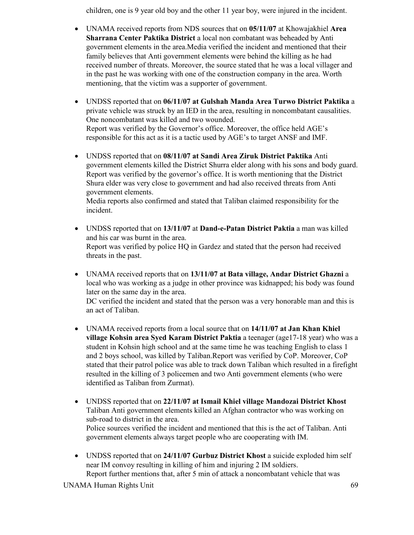children, one is 9 year old boy and the other 11 year boy, were injured in the incident.

- UNAMA received reports from NDS sources that on **05/11/07** at Khowajakhiel **Area Sharrana Center Paktika District** a local non combatant was beheaded by Anti government elements in the area.Media verified the incident and mentioned that their family believes that Anti government elements were behind the killing as he had received number of threats. Moreover, the source stated that he was a local villager and in the past he was working with one of the construction company in the area. Worth mentioning, that the victim was a supporter of government.
- UNDSS reported that on **06/11/07 at Gulshah Manda Area Turwo District Paktika** a private vehicle was struck by an IED in the area, resulting in noncombatant causalities. One noncombatant was killed and two wounded. Report was verified by the Governor's office. Moreover, the office held AGE's responsible for this act as it is a tactic used by AGE's to target ANSF and IMF.
- UNDSS reported that on **08/11/07 at Sandi Area Ziruk District Paktika** Anti government elements killed the District Shurra elder along with his sons and body guard. Report was verified by the governor's office. It is worth mentioning that the District Shura elder was very close to government and had also received threats from Anti government elements.

Media reports also confirmed and stated that Taliban claimed responsibility for the incident.

- UNDSS reported that on **13/11/07** at **Dand-e-Patan District Paktia** a man was killed and his car was burnt in the area. Report was verified by police HQ in Gardez and stated that the person had received threats in the past.
- UNAMA received reports that on **13/11/07 at Bata village, Andar District Ghazni** a local who was working as a judge in other province was kidnapped; his body was found later on the same day in the area.

DC verified the incident and stated that the person was a very honorable man and this is an act of Taliban.

- UNAMA received reports from a local source that on **14/11/07 at Jan Khan Khiel village Kohsin area Syed Karam District Paktia** a teenager (age17-18 year) who was a student in Kohsin high school and at the same time he was teaching English to class 1 and 2 boys school, was killed by Taliban.Report was verified by CoP. Moreover, CoP stated that their patrol police was able to track down Taliban which resulted in a firefight resulted in the killing of 3 policemen and two Anti government elements (who were identified as Taliban from Zurmat).
- UNDSS reported that on **22/11/07 at Ismail Khiel village Mandozai District Khost** Taliban Anti government elements killed an Afghan contractor who was working on sub-road to district in the area. Police sources verified the incident and mentioned that this is the act of Taliban. Anti government elements always target people who are cooperating with IM.
- UNDSS reported that on 24/11/07 Gurbuz District Khost a suicide exploded him self near IM convoy resulting in killing of him and injuring 2 IM soldiers. Report further mentions that, after 5 min of attack a noncombatant vehicle that was

UNAMA Human Rights Unit 69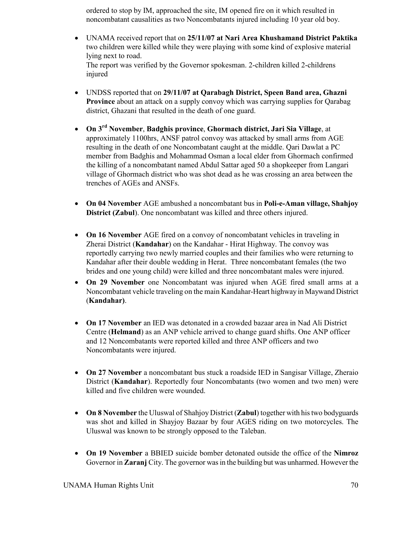ordered to stop by IM, approached the site, IM opened fire on it which resulted in noncombatant causalities as two Noncombatants injured including 10 year old boy.

- UNAMA received report that on **25/11/07 at Nari Area Khushamand District Paktika** two children were killed while they were playing with some kind of explosive material lying next to road. The report was verified by the Governor spokesman. 2-children killed 2-childrens injured
- UNDSS reported that on **29/11/07 at Qarabagh District, Speen Band area, Ghazni Province** about an attack on a supply convoy which was carrying supplies for Qarabag district, Ghazani that resulted in the death of one guard.
- **On 3rd November**, **Badghis province**, **Ghormach district, Jari Sia Village**, at approximately 1100hrs, ANSF patrol convoy was attacked by small arms from AGE resulting in the death of one Noncombatant caught at the middle. Qari Dawlat a PC member from Badghis and Mohammad Osman a local elder from Ghormach confirmed the killing of a noncombatant named Abdul Sattar aged 50 a shopkeeper from Langari village of Ghormach district who was shot dead as he was crossing an area between the trenches of AGEs and ANSFs.
- **On 04 November** AGE ambushed a noncombatant bus in **Poli-e-Aman village, Shahjoy District (Zabul**). One noncombatant was killed and three others injured.
- **On 16 November** AGE fired on a convoy of noncombatant vehicles in traveling in Zherai District (**Kandahar**) on the Kandahar - Hirat Highway. The convoy was reportedly carrying two newly married couples and their families who were returning to Kandahar after their double wedding in Herat. Three noncombatant females (the two brides and one young child) were killed and three noncombatant males were injured.
- **On 29 November** one Noncombatant was injured when AGE fired small arms at a Noncombatant vehicle traveling on the main Kandahar-Heart highway in Maywand District (**Kandahar)**.
- **On 17 November** an IED was detonated in a crowded bazaar area in Nad Ali District Centre (**Helmand**) as an ANP vehicle arrived to change guard shifts. One ANP officer and 12 Noncombatants were reported killed and three ANP officers and two Noncombatants were injured.
- **On 27 November** a noncombatant bus stuck a roadside IED in Sangisar Village, Zheraio District (**Kandahar**). Reportedly four Noncombatants (two women and two men) were killed and five children were wounded.
- **On 8 November** the Uluswal of Shahjoy District (**Zabul**) together with his two bodyguards was shot and killed in Shayjoy Bazaar by four AGES riding on two motorcycles. The Uluswal was known to be strongly opposed to the Taleban.
- **On 19 November** a BBIED suicide bomber detonated outside the office of the **Nimroz** Governor in **Zaranj** City. The governor was in the building but was unharmed. However the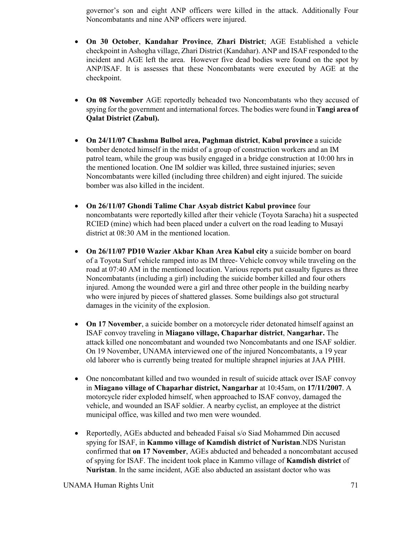governor's son and eight ANP officers were killed in the attack. Additionally Four Noncombatants and nine ANP officers were injured.

- **On 30 October**, **Kandahar Province**, **Zhari District**; AGE Established a vehicle checkpoint in Ashogha village, Zhari District (Kandahar). ANP and ISAF responded to the incident and AGE left the area. However five dead bodies were found on the spot by ANP/ISAF. It is assesses that these Noncombatants were executed by AGE at the checkpoint.
- **On 08 November** AGE reportedly beheaded two Noncombatants who they accused of spying for the government and international forces. The bodies were found in **Tangi area of Qalat District (Zabul).**
- **On 24/11/07 Chashma Bulbol area, Paghman district**, **Kabul province** a suicide bomber denoted himself in the midst of a group of construction workers and an IM patrol team, while the group was busily engaged in a bridge construction at 10:00 hrs in the mentioned location. One IM soldier was killed, three sustained injuries; seven Noncombatants were killed (including three children) and eight injured. The suicide bomber was also killed in the incident.
- **On 26/11/07 Ghondi Talime Char Asyab district Kabul province** four noncombatants were reportedly killed after their vehicle (Toyota Saracha) hit a suspected RCIED (mine) which had been placed under a culvert on the road leading to Musayi district at 08:30 AM in the mentioned location.
- **On 26/11/07 PD10 Wazier Akbar Khan Area Kabul city** a suicide bomber on board of a Toyota Surf vehicle ramped into as IM three- Vehicle convoy while traveling on the road at 07:40 AM in the mentioned location. Various reports put casualty figures as three Noncombatants (including a girl) including the suicide bomber killed and four others injured. Among the wounded were a girl and three other people in the building nearby who were injured by pieces of shattered glasses. Some buildings also got structural damages in the vicinity of the explosion.
- **On 17 November**, a suicide bomber on a motorcycle rider detonated himself against an ISAF convoy traveling in **Miagano village, Chaparhar district**, **Nangarhar.** The attack killed one noncombatant and wounded two Noncombatants and one ISAF soldier. On 19 November, UNAMA interviewed one of the injured Noncombatants, a 19 year old laborer who is currently being treated for multiple shrapnel injuries at JAA PHH.
- One noncombatant killed and two wounded in result of suicide attack over ISAF convoy in **Miagano village of Chaparhar district, Nangarhar** at 10:45am, on **17/11/2007**. A motorcycle rider exploded himself, when approached to ISAF convoy, damaged the vehicle, and wounded an ISAF soldier. A nearby cyclist, an employee at the district municipal office, was killed and two men were wounded.
- Reportedly, AGEs abducted and beheaded Faisal s/o Siad Mohammed Din accused spying for ISAF, in **Kammo village of Kamdish district of Nuristan**.NDS Nuristan confirmed that **on 17 November**, AGEs abducted and beheaded a noncombatant accused of spying for ISAF. The incident took place in Kammo village of **Kamdish district** of **Nuristan**. In the same incident, AGE also abducted an assistant doctor who was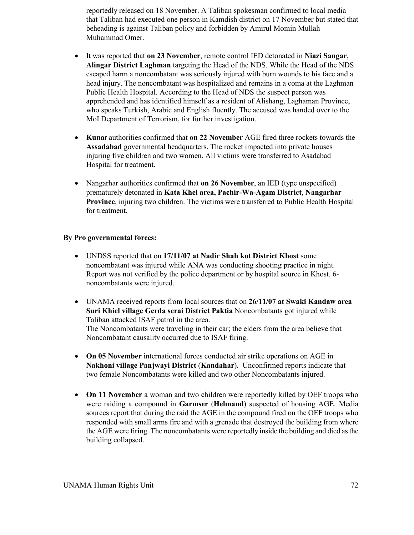reportedly released on 18 November. A Taliban spokesman confirmed to local media that Taliban had executed one person in Kamdish district on 17 November but stated that beheading is against Taliban policy and forbidden by Amirul Momin Mullah Muhammad Omer.

- It was reported that **on 23 November**, remote control IED detonated in **Niazi Sangar**, **Alingar District Laghman** targeting the Head of the NDS. While the Head of the NDS escaped harm a noncombatant was seriously injured with burn wounds to his face and a head injury. The noncombatant was hospitalized and remains in a coma at the Laghman Public Health Hospital. According to the Head of NDS the suspect person was apprehended and has identified himself as a resident of Alishang, Laghaman Province, who speaks Turkish, Arabic and English fluently. The accused was handed over to the MoI Department of Terrorism, for further investigation.
- **Kuna**r authorities confirmed that **on 22 November** AGE fired three rockets towards the **Assadabad** governmental headquarters. The rocket impacted into private houses injuring five children and two women. All victims were transferred to Asadabad Hospital for treatment.
- Nangarhar authorities confirmed that **on 26 November**, an IED (type unspecified) prematurely detonated in **Kata Khel area, Pachir-Wa-Agam District**, **Nangarhar Province**, injuring two children. The victims were transferred to Public Health Hospital for treatment.

#### **By Pro governmental forces:**

- UNDSS reported that on **17/11/07 at Nadir Shah kot District Khost** some noncombatant was injured while ANA was conducting shooting practice in night. Report was not verified by the police department or by hospital source in Khost. 6 noncombatants were injured.
- UNAMA received reports from local sources that on **26/11/07 at Swaki Kandaw area Suri Khiel village Gerda serai District Paktia** Noncombatants got injured while Taliban attacked ISAF patrol in the area. The Noncombatants were traveling in their car; the elders from the area believe that Noncombatant causality occurred due to ISAF firing.
- **On 05 November** international forces conducted air strike operations on AGE in **Nakhoni village Panjwayi District** (**Kandahar**). Unconfirmed reports indicate that two female Noncombatants were killed and two other Noncombatants injured.
- **On 11 November** a woman and two children were reportedly killed by OEF troops who were raiding a compound in **Garmser** (**Helmand**) suspected of housing AGE. Media sources report that during the raid the AGE in the compound fired on the OEF troops who responded with small arms fire and with a grenade that destroyed the building from where the AGE were firing. The noncombatants were reportedly inside the building and died as the building collapsed.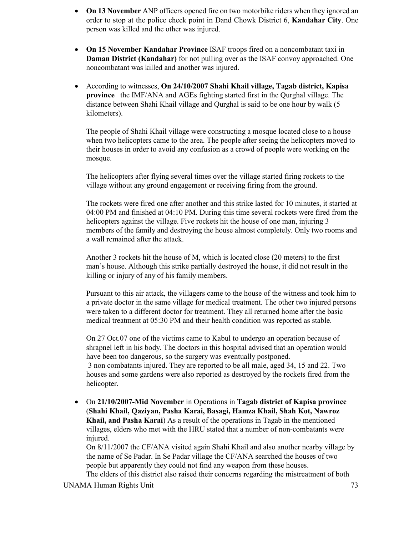- **On 13 November** ANP officers opened fire on two motorbike riders when they ignored an order to stop at the police check point in Dand Chowk District 6, **Kandahar City**. One person was killed and the other was injured.
- **On 15 November Kandahar Province** ISAF troops fired on a noncombatant taxi in **Daman District (Kandahar)** for not pulling over as the ISAF convoy approached. One noncombatant was killed and another was injured.
- According to witnesses, **On 24/10/2007 Shahi Khail village, Tagab district, Kapisa province** the IMF/ANA and AGEs fighting started first in the Qurghal village. The distance between Shahi Khail village and Qurghal is said to be one hour by walk (5 kilometers).

The people of Shahi Khail village were constructing a mosque located close to a house when two helicopters came to the area. The people after seeing the helicopters moved to their houses in order to avoid any confusion as a crowd of people were working on the mosque.

The helicopters after flying several times over the village started firing rockets to the village without any ground engagement or receiving firing from the ground.

The rockets were fired one after another and this strike lasted for 10 minutes, it started at 04:00 PM and finished at 04:10 PM. During this time several rockets were fired from the helicopters against the village. Five rockets hit the house of one man, injuring 3 members of the family and destroying the house almost completely. Only two rooms and a wall remained after the attack.

Another 3 rockets hit the house of M, which is located close (20 meters) to the first man's house. Although this strike partially destroyed the house, it did not result in the killing or injury of any of his family members.

Pursuant to this air attack, the villagers came to the house of the witness and took him to a private doctor in the same village for medical treatment. The other two injured persons were taken to a different doctor for treatment. They all returned home after the basic medical treatment at 05:30 PM and their health condition was reported as stable.

On 27 Oct.07 one of the victims came to Kabul to undergo an operation because of shrapnel left in his body. The doctors in this hospital advised that an operation would have been too dangerous, so the surgery was eventually postponed. 3 non combatants injured. They are reported to be all male, aged 34, 15 and 22. Two houses and some gardens were also reported as destroyed by the rockets fired from the helicopter.

• On **21/10/2007-Mid November** in Operations in **Tagab district of Kapisa province** (**Shahi Khail, Qaziyan, Pasha Karai, Basagi, Hamza Khail, Shah Kot, Nawroz Khail, and Pasha Karai**) As a result of the operations in Tagab in the mentioned villages, elders who met with the HRU stated that a number of non-combatants were injured.

On 8/11/2007 the CF/ANA visited again Shahi Khail and also another nearby village by the name of Se Padar. In Se Padar village the CF/ANA searched the houses of two people but apparently they could not find any weapon from these houses. The elders of this district also raised their concerns regarding the mistreatment of both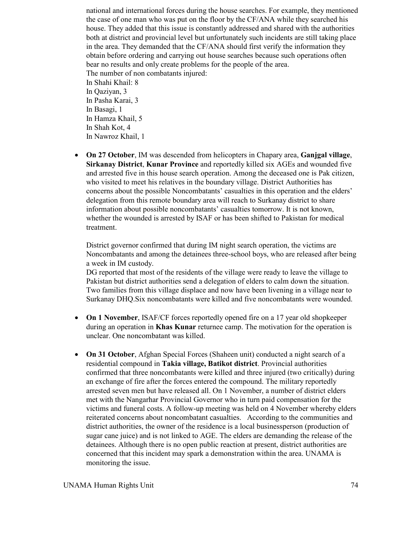national and international forces during the house searches. For example, they mentioned the case of one man who was put on the floor by the CF/ANA while they searched his house. They added that this issue is constantly addressed and shared with the authorities both at district and provincial level but unfortunately such incidents are still taking place in the area. They demanded that the CF/ANA should first verify the information they obtain before ordering and carrying out house searches because such operations often bear no results and only create problems for the people of the area. The number of non combatants injured: In Shahi Khail: 8 In Qaziyan, 3 In Pasha Karai, 3 In Basagi, 1 In Hamza Khail, 5 In Shah Kot, 4 In Nawroz Khail, 1

• **On 27 October**, IM was descended from helicopters in Chapary area, **Ganjgal village**, **Sirkanay District**, **Kunar Province** and reportedly killed six AGEs and wounded five and arrested five in this house search operation. Among the deceased one is Pak citizen, who visited to meet his relatives in the boundary village. District Authorities has concerns about the possible Noncombatants' casualties in this operation and the elders' delegation from this remote boundary area will reach to Surkanay district to share information about possible noncombatants' casualties tomorrow. It is not known, whether the wounded is arrested by ISAF or has been shifted to Pakistan for medical treatment.

District governor confirmed that during IM night search operation, the victims are Noncombatants and among the detainees three-school boys, who are released after being a week in IM custody.

DG reported that most of the residents of the village were ready to leave the village to Pakistan but district authorities send a delegation of elders to calm down the situation. Two families from this village displace and now have been livening in a village near to Surkanay DHQ.Six noncombatants were killed and five noncombatants were wounded.

- **On 1 November**, ISAF/CF forces reportedly opened fire on a 17 year old shopkeeper during an operation in **Khas Kunar** returnee camp. The motivation for the operation is unclear. One noncombatant was killed.
- **On 31 October**, Afghan Special Forces (Shaheen unit) conducted a night search of a residential compound in **Takia village, Batikot district**. Provincial authorities confirmed that three noncombatants were killed and three injured (two critically) during an exchange of fire after the forces entered the compound. The military reportedly arrested seven men but have released all. On 1 November, a number of district elders met with the Nangarhar Provincial Governor who in turn paid compensation for the victims and funeral costs. A follow-up meeting was held on 4 November whereby elders reiterated concerns about noncombatant casualties. According to the communities and district authorities, the owner of the residence is a local businessperson (production of sugar cane juice) and is not linked to AGE. The elders are demanding the release of the detainees. Although there is no open public reaction at present, district authorities are concerned that this incident may spark a demonstration within the area. UNAMA is monitoring the issue.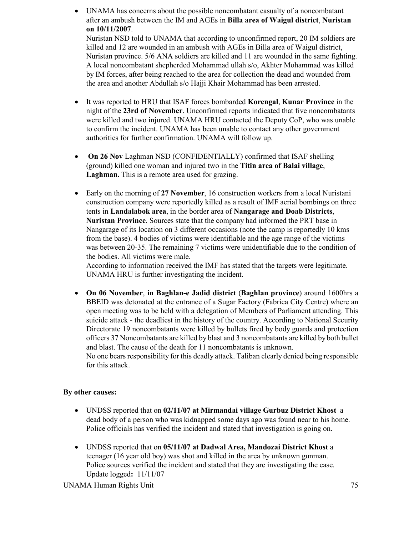- UNAMA has concerns about the possible noncombatant casualty of a noncombatant after an ambush between the IM and AGEs in **Billa area of Waigul district**, **Nuristan on 10/11/2007**. Nuristan NSD told to UNAMA that according to unconfirmed report, 20 IM soldiers are killed and 12 are wounded in an ambush with AGEs in Billa area of Waigul district, Nuristan province. 5/6 ANA soldiers are killed and 11 are wounded in the same fighting. A local noncombatant shepherded Mohammad ullah s/o, Akhter Mohammad was killed by IM forces, after being reached to the area for collection the dead and wounded from the area and another Abdullah s/o Hajji Khair Mohammad has been arrested.
- It was reported to HRU that ISAF forces bombarded **Korengal**, **Kunar Province** in the night of the **23rd of November**. Unconfirmed reports indicated that five noncombatants were killed and two injured. UNAMA HRU contacted the Deputy CoP, who was unable to confirm the incident. UNAMA has been unable to contact any other government authorities for further confirmation. UNAMA will follow up.
- **On 26 Nov** Laghman NSD (CONFIDENTIALLY) confirmed that ISAF shelling (ground) killed one woman and injured two in the **Titin area of Balai village**, **Laghman.** This is a remote area used for grazing.
- Early on the morning of **27 November**, 16 construction workers from a local Nuristani construction company were reportedly killed as a result of IMF aerial bombings on three tents in **Landalabok area**, in the border area of **Nangarage and Doab Districts**, **Nuristan Province**. Sources state that the company had informed the PRT base in Nangarage of its location on 3 different occasions (note the camp is reportedly 10 kms from the base). 4 bodies of victims were identifiable and the age range of the victims was between 20-35. The remaining 7 victims were unidentifiable due to the condition of the bodies. All victims were male.

According to information received the IMF has stated that the targets were legitimate. UNAMA HRU is further investigating the incident.

• **On 06 November**, **in Baghlan-e Jadid district** (**Baghlan province**) around 1600hrs a BBEID was detonated at the entrance of a Sugar Factory (Fabrica City Centre) where an open meeting was to be held with a delegation of Members of Parliament attending. This suicide attack - the deadliest in the history of the country. According to National Security Directorate 19 noncombatants were killed by bullets fired by body guards and protection officers 37 Noncombatants are killed by blast and 3 noncombatants are killed by both bullet and blast. The cause of the death for 11 noncombatants is unknown.

No one bears responsibility for this deadly attack. Taliban clearly denied being responsible for this attack.

## **By other causes:**

- UNDSS reported that on **02/11/07 at Mirmandai village Gurbuz District Khost** a dead body of a person who was kidnapped some days ago was found near to his home. Police officials has verified the incident and stated that investigation is going on.
- UNDSS reported that on **05/11/07 at Dadwal Area, Mandozai District Khost** a teenager (16 year old boy) was shot and killed in the area by unknown gunman. Police sources verified the incident and stated that they are investigating the case. Update logged**:** 11/11/07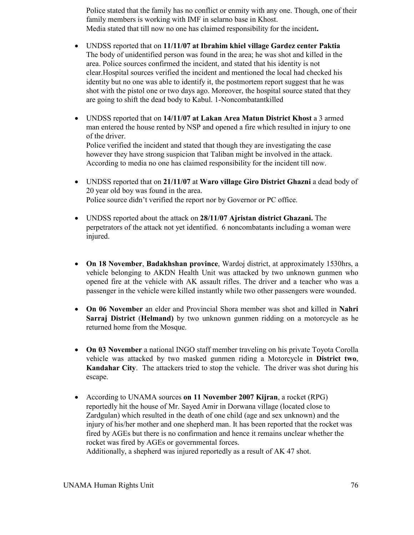Police stated that the family has no conflict or enmity with any one. Though, one of their family members is working with IMF in selarno base in Khost. Media stated that till now no one has claimed responsibility for the incident**.** 

- UNDSS reported that on **11/11/07 at Ibrahim khiel village Gardez center Paktia** The body of unidentified person was found in the area; he was shot and killed in the area. Police sources confirmed the incident, and stated that his identity is not clear.Hospital sources verified the incident and mentioned the local had checked his identity but no one was able to identify it, the postmortem report suggest that he was shot with the pistol one or two days ago. Moreover, the hospital source stated that they are going to shift the dead body to Kabul. 1-Noncombatantkilled
- UNDSS reported that on **14/11/07 at Lakan Area Matun District Khost** a 3 armed man entered the house rented by NSP and opened a fire which resulted in injury to one of the driver. Police verified the incident and stated that though they are investigating the case however they have strong suspicion that Taliban might be involved in the attack. According to media no one has claimed responsibility for the incident till now.
- UNDSS reported that on **21/11/07** at **Waro village Giro District Ghazni** a dead body of 20 year old boy was found in the area. Police source didn't verified the report nor by Governor or PC office.
- UNDSS reported about the attack on **28/11/07 Ajristan district Ghazani.** The perpetrators of the attack not yet identified. 6 noncombatants including a woman were injured.
- **On 18 November**, **Badakhshan province**, Wardoj district, at approximately 1530hrs, a vehicle belonging to AKDN Health Unit was attacked by two unknown gunmen who opened fire at the vehicle with AK assault rifles. The driver and a teacher who was a passenger in the vehicle were killed instantly while two other passengers were wounded.
- **On 06 November** an elder and Provincial Shora member was shot and killed in **Nahri Sarraj District** (**Helmand)** by two unknown gunmen ridding on a motorcycle as he returned home from the Mosque.
- **On 03 November** a national INGO staff member traveling on his private Toyota Corolla vehicle was attacked by two masked gunmen riding a Motorcycle in **District two**, **Kandahar City**. The attackers tried to stop the vehicle. The driver was shot during his escape.
- According to UNAMA sources **on 11 November 2007 Kijran**, a rocket (RPG) reportedly hit the house of Mr. Sayed Amir in Dorwana village (located close to Zardgulan) which resulted in the death of one child (age and sex unknown) and the injury of his/her mother and one shepherd man. It has been reported that the rocket was fired by AGEs but there is no confirmation and hence it remains unclear whether the rocket was fired by AGEs or governmental forces. Additionally, a shepherd was injured reportedly as a result of AK 47 shot.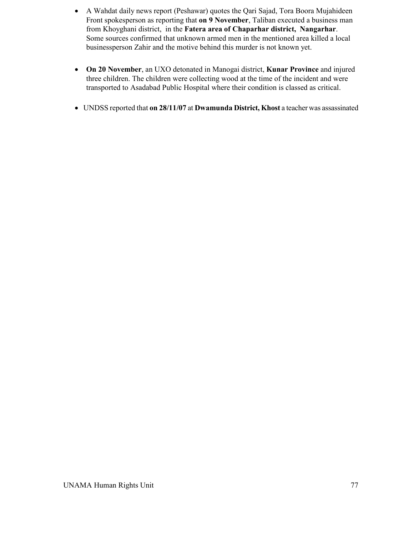- A Wahdat daily news report (Peshawar) quotes the Qari Sajad, Tora Boora Mujahideen Front spokesperson as reporting that **on 9 November**, Taliban executed a business man from Khoyghani district, in the **Fatera area of Chaparhar district, Nangarhar**. Some sources confirmed that unknown armed men in the mentioned area killed a local businessperson Zahir and the motive behind this murder is not known yet.
- **On 20 November**, an UXO detonated in Manogai district, **Kunar Province** and injured three children. The children were collecting wood at the time of the incident and were transported to Asadabad Public Hospital where their condition is classed as critical.
- UNDSS reported that **on 28/11/07** at **Dwamunda District, Khost** a teacher was assassinated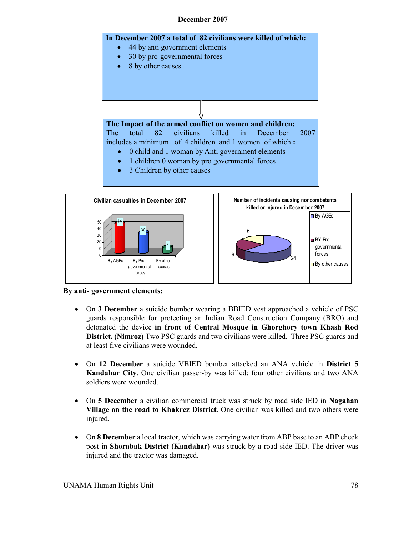## **December 2007**





- On **3 December** a suicide bomber wearing a BBIED vest approached a vehicle of PSC guards responsible for protecting an Indian Road Construction Company (BRO) and detonated the device **in front of Central Mosque in Ghorghory town Khash Rod District. (Nimroz)** Two PSC guards and two civilians were killed. Three PSC guards and at least five civilians were wounded.
- On **12 December** a suicide VBIED bomber attacked an ANA vehicle in **District 5 Kandahar City**. One civilian passer-by was killed; four other civilians and two ANA soldiers were wounded.
- On **5 December** a civilian commercial truck was struck by road side IED in **Nagahan Village on the road to Khakrez District**. One civilian was killed and two others were injured.
- On **8 December** a local tractor, which was carrying water from ABP base to an ABP check post in **Shorabak District (Kandahar)** was struck by a road side IED. The driver was injured and the tractor was damaged.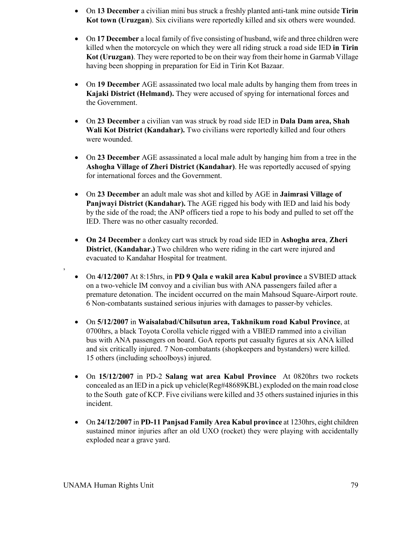- On **13 December** a civilian mini bus struck a freshly planted anti-tank mine outside **Tirin Kot town (Uruzgan**). Six civilians were reportedly killed and six others were wounded.
- On **17 December** a local family of five consisting of husband, wife and three children were killed when the motorcycle on which they were all riding struck a road side IED **in Tirin Kot (Uruzgan)**. They were reported to be on their way from their home in Garmab Village having been shopping in preparation for Eid in Tirin Kot Bazaar.
- On **19 December** AGE assassinated two local male adults by hanging them from trees in **Kajaki District (Helmand).** They were accused of spying for international forces and the Government.
- On **23 December** a civilian van was struck by road side IED in **Dala Dam area, Shah Wali Kot District (Kandahar).** Two civilians were reportedly killed and four others were wounded.
- On **23 December** AGE assassinated a local male adult by hanging him from a tree in the **Ashogha Village of Zheri District (Kandahar)**. He was reportedly accused of spying for international forces and the Government.
- On **23 December** an adult male was shot and killed by AGE in **Jaimrasi Village of Panjwayi District (Kandahar).** The AGE rigged his body with IED and laid his body by the side of the road; the ANP officers tied a rope to his body and pulled to set off the IED. There was no other casualty recorded.
- **On 24 December** a donkey cart was struck by road side IED in **Ashogha area**, **Zheri District**, **(Kandahar.)** Two children who were riding in the cart were injured and evacuated to Kandahar Hospital for treatment.
- On **4/12/2007** At 8:15hrs, in **PD 9 Qala e wakil area Kabul province** a SVBIED attack on a two-vehicle IM convoy and a civilian bus with ANA passengers failed after a premature detonation. The incident occurred on the main Mahsoud Square-Airport route. 6 Non-combatants sustained serious injuries with damages to passer-by vehicles.
- On **5/12/2007** in **Waisalabad/Chilsutun area, Takhnikum road Kabul Province**, at 0700hrs, a black Toyota Corolla vehicle rigged with a VBIED rammed into a civilian bus with ANA passengers on board. GoA reports put casualty figures at six ANA killed and six critically injured. 7 Non-combatants (shopkeepers and bystanders) were killed. 15 others (including schoolboys) injured.
- On **15/12/2007** in PD-2 **Salang wat area Kabul Province** At 0820hrs two rockets concealed as an IED in a pick up vehicle(Reg#48689KBL) exploded on the main road close to the South gate of KCP. Five civilians were killed and 35 others sustained injuries in this incident.
- On **24/12/2007** in **PD-11 Panjsad Family Area Kabul province** at 1230hrs, eight children sustained minor injuries after an old UXO (rocket) they were playing with accidentally exploded near a grave yard.

,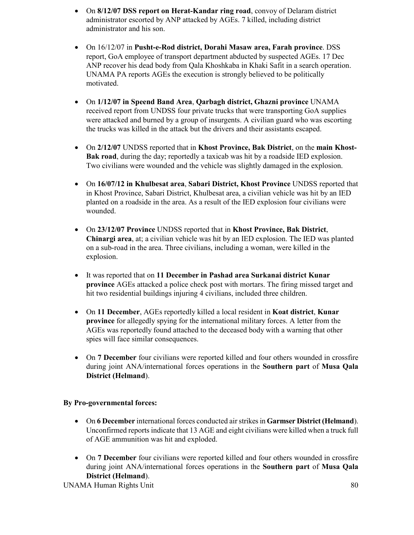- On **8/12/07 DSS report on Herat-Kandar ring road**, convoy of Delaram district administrator escorted by ANP attacked by AGEs. 7 killed, including district administrator and his son.
- On 16/12/07 in **Pusht-e-Rod district, Dorahi Masaw area, Farah province**. DSS report, GoA employee of transport department abducted by suspected AGEs. 17 Dec ANP recover his dead body from Qala Khoshkaba in Khaki Safit in a search operation. UNAMA PA reports AGEs the execution is strongly believed to be politically motivated.
- On **1/12/07 in Speend Band Area**, **Qarbagh district, Ghazni province** UNAMA received report from UNDSS four private trucks that were transporting GoA supplies were attacked and burned by a group of insurgents. A civilian guard who was escorting the trucks was killed in the attack but the drivers and their assistants escaped.
- On **2/12/07** UNDSS reported that in **Khost Province, Bak District**, on the **main Khost-Bak road**, during the day; reportedly a taxicab was hit by a roadside IED explosion. Two civilians were wounded and the vehicle was slightly damaged in the explosion.
- On **16/07/12 in Khulbesat area**, **Sabari District, Khost Province** UNDSS reported that in Khost Province, Sabari District, Khulbesat area, a civilian vehicle was hit by an IED planted on a roadside in the area. As a result of the IED explosion four civilians were wounded.
- On **23/12/07 Province** UNDSS reported that in **Khost Province, Bak District**, **Chinargi area**, at; a civilian vehicle was hit by an IED explosion. The IED was planted on a sub-road in the area. Three civilians, including a woman, were killed in the explosion.
- It was reported that on **11 December in Pashad area Surkanai district Kunar province** AGEs attacked a police check post with mortars. The firing missed target and hit two residential buildings injuring 4 civilians, included three children.
- On **11 December**, AGEs reportedly killed a local resident in **Koat district**, **Kunar province** for allegedly spying for the international military forces. A letter from the AGEs was reportedly found attached to the deceased body with a warning that other spies will face similar consequences.
- On **7 December** four civilians were reported killed and four others wounded in crossfire during joint ANA/international forces operations in the **Southern part** of **Musa Qala District (Helmand**).

## **By Pro-governmental forces:**

- On **6 December** international forces conducted air strikes in **Garmser District(Helmand**). Unconfirmed reports indicate that 13 AGE and eight civilians were killed when a truck full of AGE ammunition was hit and exploded.
- On **7 December** four civilians were reported killed and four others wounded in crossfire during joint ANA/international forces operations in the **Southern part** of **Musa Qala District (Helmand**).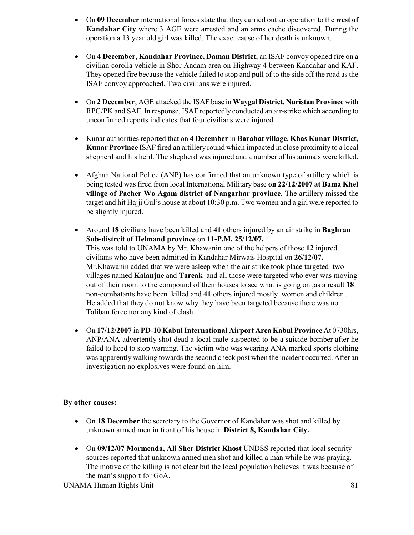- On **09 December** international forces state that they carried out an operation to the **west of Kandahar City** where 3 AGE were arrested and an arms cache discovered. During the operation a 13 year old girl was killed. The exact cause of her death is unknown.
- On **4 December, Kandahar Province, Daman District**, an ISAF convoy opened fire on a civilian corolla vehicle in Shor Andam area on Highway 4 between Kandahar and KAF. They opened fire because the vehicle failed to stop and pull of to the side off the road as the ISAF convoy approached. Two civilians were injured.
- On **2 December**, AGE attacked the ISAF base in **Waygal District**, **Nuristan Province** with RPG/PK and SAF. In response, ISAF reportedly conducted an air-strike which according to unconfirmed reports indicates that four civilians were injured.
- Kunar authorities reported that on **4 December** in **Barabat village, Khas Kunar District, Kunar Province** ISAF fired an artillery round which impacted in close proximity to a local shepherd and his herd. The shepherd was injured and a number of his animals were killed.
- Afghan National Police (ANP) has confirmed that an unknown type of artillery which is being tested was fired from local International Military base **on 22/12/2007 at Bama Khel village of Pacher Wo Agam district of Nangarhar province**. The artillery missed the target and hit Hajji Gul's house at about 10:30 p.m. Two women and a girl were reported to be slightly injured.
- Around **18** civilians have been killed and **41** others injured by an air strike in **Baghran Sub-distrcit of Helmand province** on **11-P.M. 25/12/07.**  This was told to UNAMA by Mr. Khawanin one of the helpers of those **12** injured civilians who have been admitted in Kandahar Mirwais Hospital on **26/12/07.**  Mr.Khawanin added that we were asleep when the air strike took place targeted two villages named **Kalanjue** and **Tareak** and all those were targeted who ever was moving out of their room to the compound of their houses to see what is going on ,as a result **18** non-combatants have been killed and **41** others injured mostly women and children . He added that they do not know why they have been targeted because there was no Taliban force nor any kind of clash.
- On **17/12/2007** in **PD-10 Kabul International Airport Area Kabul Province** At 0730hrs, ANP/ANA advertently shot dead a local male suspected to be a suicide bomber after he failed to heed to stop warning. The victim who was wearing ANA marked sports clothing was apparently walking towards the second check post when the incident occurred. After an investigation no explosives were found on him.

## **By other causes:**

- On **18 December** the secretary to the Governor of Kandahar was shot and killed by unknown armed men in front of his house in **District 8, Kandahar City.**
- On 09/12/07 Mormenda, Ali Sher District Khost UNDSS reported that local security sources reported that unknown armed men shot and killed a man while he was praying. The motive of the killing is not clear but the local population believes it was because of the man's support for GoA.